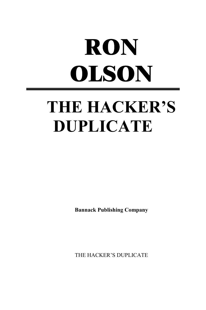# **RON OLSON THE HACKER'S DUPLICATE**

**Bannack Publishing Company**

THE HACKER'S DUPLICATE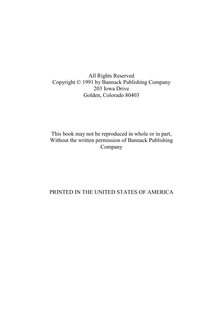All Rights Reserved Copyright © 1991 by Bannack Publishing Company 203 Iowa Drive Golden, Colorado 80403

This book may not be reproduced in whole or in part, Without the written permission of Bannack Publishing Company

# PRINTED IN THE UNITED STATES OF AMERICA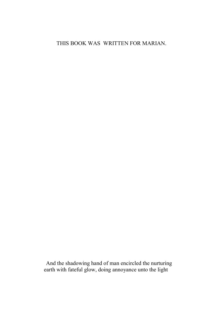# THIS BOOK WAS WRITTEN FOR MARIAN.

And the shadowing hand of man encircled the nurturing earth with fateful glow, doing annoyance unto the light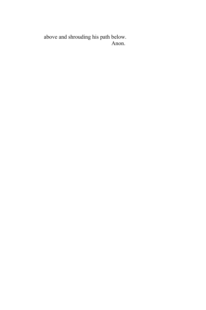above and shrouding his path below. Anon.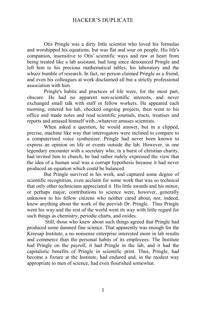Otis Pringle was a dirty little scientist who loved his formulas and worshipped his equations, but was flat and sour on people. His life's companion, insensitive to Otis' scientific ways and raw at heart from being treated like a lab assistant, had long since denounced Pringle and left him to his precious mathematical tables, his laboratory and the whuzz bumble of research. In fact, no person claimed Pringle as a friend, and even his colleagues at work disclaimed all but a strictly professional association with him.

Pringle's habits and practices of life were, for the most part, obscure. He had no apparent non-scientific interests, and never exchanged small talk with staff or fellow workers. He appeared each morning, entered his lab, checked ongoing projects, then went to his office and made notes and read scientific journals, tracts, treatises and reports and amused himself with...whatever amuses scientists.

When asked a question, he would answer, but in a clipped, precise, machine like way that interrogators were inclined to compare to a computerized voice synthesizer. Pringle had never been known to express an opinion on life or events outside the lab. However, in one legendary encounter with a secretary who, in a burst of christian charity, had invited him to church, he had rather rudely expressed the view that the idea of a human soul was a corrupt hypothesis because it had never produced an equation which could be balanced.

But Pringle survived in his work, and captured some degree of scientific recognition, even acclaim for some work that was so technical that only other technicians appreciated it. His little awards and his minor, or perhaps major, contributions to science were, however, generally unknown to his fellow citizens who neither cared about, nor, indeed, knew anything about the work of the peevish Dr. Pringle. Thus Pringle went his way and the rest of the world went its way with little regard for such things as chemistry, periodic charts, and oxides.

 Still, those who knew about such things agreed that Pringle had produced some damned fine science. That apparently was enough for the Kreesap Institute, a no nonsense enterprise interested more in lab results and commerce than the personal habits of its employees. The Institute had Pringle on the payroll, it had Pringle in the lab, and it had the capitalistic benefits of Pringle in scientific print. Thus, Pringle, had become a fixture at the Institute, had endured and, in the modest way appropriate to men of science, had even flourished somewhat.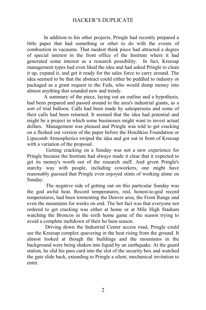In addition to his other projects, Pringle had recently prepared a little paper that had something or other to do with the events of combustion in vacuums. That modest think piece had attracted a degree of special interest in the front office of the Institute where it had generated some interest as a research possibility. In fact, Kreesap management types had even liked the idea and had asked Pringle to clean it up, expand it, and get it ready for the sales force to carry around. The idea seemed to be that the abstract could either be peddled to industry or packaged as a grant request to the Feds, who would dump money into almost anything that sounded new and trendy.

A summary of the piece, laying out an outline and a hypothesis, had been prepared and passed around to the area's industrial giants, as a sort of trial balloon. Calls had been made by salespersons and some of their calls had been returned. It seemed that the idea had potential and might be a project in which some businesses might want to invest actual dollars. Management was pleased and Pringle was told to get cracking on a fleshed out version of the paper before the Hotchkiss Foundation or Lipscomb Atmospherics swiped the idea and got out in front of Kreesap with a variation of the proposal.

 Getting cracking on a Sunday was not a new experience for Pringle because the Institute had always made it clear that it expected to get its money's worth out of the research staff. And given Pringle's starchy way with people, including coworkers, one might have reasonably guessed that Pringle even enjoyed stints of working alone on Sunday.

 The negative side of getting out on this particular Sunday was the god awful heat. Record temperatures, real, honest-to-god record temperatures, had been tormenting the Denver area, the Front Range and even the mountains for weeks on end. The hot fact was that everyone not ordered to get cracking was either at home or at Mile High Stadium watching the Broncos in the sixth home game of the season trying to avoid a complete meltdown of their ho hum season.

 Driving down the Industrial Center access road, Pringle could see the Kreesap complex quavering in the heat rising from the ground. It almost looked at though the buildings and the mountains in the background were being shaken into liquid by an earthquake. At the guard station, he slid his pass card into the slot of the security box and watched the gate slide back, extending to Pringle a silent, mechanical invitation to enter.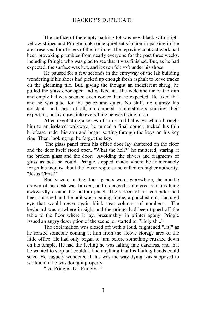The surface of the empty parking lot was new black with bright yellow stripes and Pringle took some quiet satisfaction in parking in the area reserved for officers of the Institute. The repaving contract work had been provoking grumbles from nearly everyone for the past three weeks, including Pringle who was glad to see that it was finished. But, as he had expected, the surface was hot, and it even felt soft under his shoes.

He paused for a few seconds in the entryway of the lab building wondering if his shoes had picked up enough fresh asphalt to leave tracks on the gleaming tile. But, giving the thought an indifferent shrug, he pulled the glass door open and walked in. The welcome air of the dim and empty hallway seemed even cooler than he expected. He liked that and he was glad for the peace and quiet. No staff, no clumsy lab assistants and, best of all, no damned administrators sticking their expectant, pushy noses into everything he was trying to do.

After negotiating a series of turns and hallways which brought him to an isolated walkway, he turned a final corner, tucked his thin briefcase under his arm and began sorting through the keys on his key ring. Then, looking up, he forgot the key.

 The glass panel from his office door lay shattered on the floor and the door itself stood open. "What the hell?" he muttered, staring at the broken glass and the door. Avoiding the slivers and fragments of glass as best he could, Pringle stepped inside where he immediately forget his inquiry about the lower regions and called on higher authority. "Jesus Christ!"

Books were on the floor, papers were everywhere, the middle drawer of his desk was broken, and its jagged, splintered remains hung awkwardly around the bottom panel. The screen of his computer had been smashed and the unit was a gaping frame, a punched out, fractured eye that would never again blink neat columns of numbers. The keyboard was nowhere in sight and the printer had been tipped off the table to the floor where it lay, presumably, in printer agony. Pringle issued an angry description of the scene, or started to, "Holy sh..."

The exclamation was closed off with a loud, frightened "..it!" as he sensed someone coming at him from the alcove storage area of the little office. He had only began to turn before something crushed down on his temple. He had the feeling he was falling into darkness, and that he wanted to stop but couldn't find anything that his flailing hands could seize. He vaguely wondered if this was the way dying was supposed to work and if he was doing it properly.

"Dr. Pringle...Dr. Pringle..."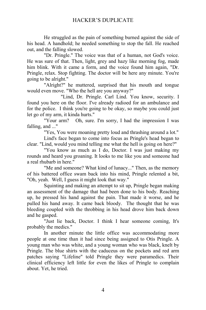He struggled as the pain of something burned against the side of his head. A handhold; he needed something to stop the fall. He reached out, and the falling slowed.

"Dr. Pringle." The voice was that of a human, not God's voice. He was sure of that. Then, light, grey and hazy like morning fog, made him blink. With it came a form, and the voice found him again, "Dr. Pringle, relax. Stop fighting. The doctor will be here any minute. You're going to be alright."

"Alright?" he muttered, surprised that his mouth and tongue would even move. "Who the hell are you anyway?"

"Lind, Dr. Pringle. Carl Lind. You know, security. I found you here on the floor. I've already radioed for an ambulance and for the police. I think you're going to be okay, so maybe you could just let go of my arm, it kinda hurts."

Oh, sure. I'm sorry, I had the impression I was falling, and ..."

"Yes, You were moaning pretty loud and thrashing around a lot."

Lind's face began to come into focus as Pringle's head began to clear. "Lind, would you mind telling me what the hell is going on here?"

"You know as much as I do, Doctor. I was just making my rounds and heard you groaning. It looks to me like you and someone had a real rhubarb in here."

"Me and someone? What kind of lunacy..." Then, as the memory of his battered office swam back into his mind, Pringle relented a bit, "Oh, yeah. Well, I guess it might look that way."

Squinting and making an attempt to sit up, Pringle began making an assessment of the damage that had been done to his body. Reaching up, he pressed his hand against the pain. That made it worse, and he pulled his hand away. It came back bloody. The thought that he was bleeding coupled with the throbbing in his head drove him back down and he gasped.

"Just lie back, Doctor. I think I hear someone coming, It's probably the medics."

In another minute the little office was accommodating more people at one time than it had since being assigned to Otis Pringle. A young man who was white, and a young woman who was black, knelt by Pringle. The blue shirts with the caduceus on the pockets and red arm patches saying "Lifeline" told Pringle they were paramedics. Their clinical efficiency left little for even the likes of Pringle to complain about. Yet, he tried.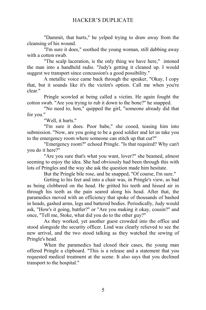"Dammit, that hurts," he yelped trying to draw away from the cleansing of his wound.

"I'm sure it does," soothed the young woman, still dabbing away with a cotton swab.

"The scalp laceration, is the only thing we have here," intoned the man into a handheld radio. "Judy's getting it cleaned up. I would suggest we transport since concussion's a good possibility."

A metallic voice came back through the speaker, "Okay, I copy that, but it sounds like it's the victim's option. Call me when you're clear."

Pringle scowled at being called a victim. He again fought the cotton swab. "Are you trying to rub it down to the bone?" he snapped.

"No need to, hon," quipped the girl, "someone already did that for you."

"Well, it hurts."

"I'm sure it does. Poor babe," she cooed, teasing him into submission. "Now, are you going to be a good soldier and let us take you to the emergency room where someone can stitch up that cut?"

"Emergency room?" echoed Pringle. "Is that required? Why can't you do it here?"

"Are you sure that's what you want, lover?" she beamed, almost seeming to enjoy the idea. She had obviously had been through this with lots of Pringles and the way she ask the question made him hesitate.

But the Pringle bile rose, and he snapped, "Of course, I'm sure."

Getting to his feet and into a chair was, in Pringle's view, as bad as being clobbered on the head. He gritted his teeth and hissed air in through his teeth as the pain seared along his head. After that, the paramedics moved with an efficiency that spoke of thousands of bashed in heads, gashed arms, legs and battered bodies. Periodically, Judy would ask, "How's it going, battler?" or "Are you making it okay, cousin?" and once, "Tell me, Stoke, what did you do to the other guy?"

As they worked, yet another guest crowded into the office and stood alongside the security officer. Lind was clearly relieved to see the new arrival, and the two stood talking as they watched the sewing of Pringle's head.

When the paramedics had closed their cases, the young man offered Pringle a clipboard. "This is a release and a statement that you requested medical treatment at the scene. It also says that you declined transport to the hospital."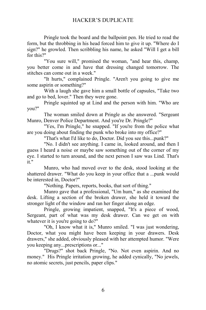Pringle took the board and the ballpoint pen. He tried to read the form, but the throbbing in his head forced him to give it up. "Where do I sign?" he growled. Then scribbling his name, he asked "Will I get a bill for this?"

"You sure will," promised the woman, "and hear this, champ, you better come in and have that dressing changed tomorrow. The stitches can come out in a week."

"It hurts," complained Pringle. "Aren't you going to give me some aspirin or something?"

With a laugh she gave him a small bottle of capsules, "Take two and go to bed, lover." Then they were gone.

Pringle squinted up at Lind and the person with him. "Who are you?"

The woman smiled down at Pringle as she answered. "Sergeant Munro, Denver Police Department. And you're Dr. Pringle?"

"Yes, I'm Pringle," he snapped. "If you're from the police what are you doing about finding the punk who broke into my office?"

"That's what I'd like to do, Doctor. Did you see this...punk?"

"No. I didn't see anything. I came in, looked around, and then I guess I heard a noise or maybe saw something out of the corner of my eye. I started to turn around, and the next person I saw was Lind. That's it."

Munro, who had moved over to the desk, stood looking at the shattered drawer. "What do you keep in your office that a ...punk would be interested in, Doctor?"

"Nothing. Papers, reports, books, that sort of thing."

Munro gave that a professional, "Um hum," as she examined the desk. Lifting a section of the broken drawer, she held it toward the stronger light of the window and ran her finger along an edge.

Pringle, growing impatient, snapped, "It's a piece of wood, Sergeant, part of what was my desk drawer. Can we get on with whatever it is you're going to do?"

"Oh, I know what it is," Munro smiled. "I was just wondering, Doctor, what you might have been keeping in your drawers. Desk drawers," she added, obviously pleased with her attempted humor. "Were you keeping any...prescriptions or..."

"Drugs?" shot back Pringle, "No. Not even aspirin. And no money." His Pringle irritation growing, he added cynically, "No jewels, no atomic secrets, just pencils, paper clips."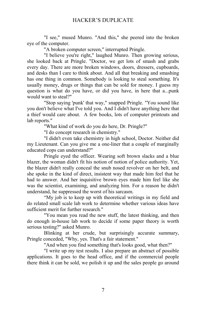"I see," mused Munro. "And this," she peered into the broken eye of the computer.

"A broken computer screen," interrupted Pringle.

"I believe you're right," laughed Munro. Then growing serious, she looked back at Pringle. "Doctor, we get lots of smash and grabs every day. There are more broken windows, doors, dressers, cupboards, and desks than I care to think about. And all that breaking and smashing has one thing in common. Somebody is looking to steal something. It's usually money, drugs or things that can be sold for money. I guess my question is what do you have, or did you have, in here that a...punk would want to steal?"

"Stop saying 'punk' that way," snapped Pringle. "You sound like you don't believe what I've told you. And I didn't have anything here that a thief would care about. A few books, lots of computer printouts and lab reports."

"What kind of work do you do here, Dr. Pringle?"

"I do concept research in chemistry."

"I didn't even take chemistry in high school, Doctor. Neither did my Lieutenant. Can you give me a one-liner that a couple of marginally educated cops can understand?"

Pringle eyed the officer. Wearing soft brown slacks and a blue blazer, the woman didn't fit his notion of notion of police authority. Yet, the blazer didn't really conceal the snub nosed revolver on her belt, and she spoke in the kind of direct, insistent way that made him feel that he had to answer. And her inquisitive brown eyes made him feel like she was the scientist, examining, and analyzing him. For a reason he didn't understand, he suppressed the worst of his sarcasm.

"My job is to keep up with theoretical writings in my field and do related small scale lab work to determine whether various ideas have sufficient merit for further research."

"You mean you read the new stuff, the latest thinking, and then do enough in-house lab work to decide if some paper theory is worth serious testing?" asked Munro.

Blinking at her crude, but surprisingly accurate summary, Pringle conceded, "Why, yes. That's a fair statement."

"And when you find something that's looks good, what then?"

"I write up my test results. I also prepare an abstract of possible applications. It goes to the head office, and if the commercial people there think it can be sold, we polish it up and the sales people go around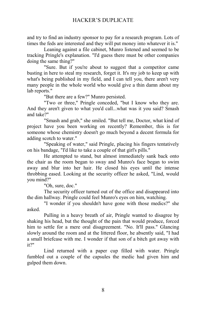and try to find an industry sponsor to pay for a research program. Lots of times the feds are interested and they will put money into whatever it is."

Leaning against a file cabinet, Munro listened and seemed to be tracking Pringle's explanation. "I'd guess there must be other companies doing the same thing?"

"Sure. But if you're about to suggest that a competitor came busting in here to steal my research, forget it. It's my job to keep up with what's being published in my field, and I can tell you, there aren't very many people in the whole world who would give a thin damn about my lab reports."

"But there are a few?" Munro persisted.

"Two or three," Pringle conceded, "but I know who they are. And they aren't given to what you'd call...what was it you said? Smash and take?"

"Smash and grab," she smiled. "But tell me, Doctor, what kind of project have you been working on recently? Remember, this is for someone whose chemistry doesn't go much beyond a decent formula for adding scotch to water."

"Speaking of water," said Pringle, placing his fingers tentatively on his bandage, "I'd like to take a couple of that girl's pills."

He attempted to stand, but almost immediately sank back onto the chair as the room began to sway and Munro's face began to swim away and blur into her hair. He closed his eyes until the intense throbbing eased. Looking at the security officer he asked, "Lind, would you mind?"

"Oh, sure, doc."

The security officer turned out of the office and disappeared into the dim hallway. Pringle could feel Munro's eyes on him, watching.

"I wonder if you shouldn't have gone with those medics?" she asked.

Pulling in a heavy breath of air, Pringle wanted to disagree by shaking his head, but the thought of the pain that would produce, forced him to settle for a mere oral disagreement. "No. It'll pass." Glancing slowly around the room and at the littered floor, he absently said, "I had a small briefcase with me. I wonder if that son of a bitch got away with it?"

Lind returned with a paper cup filled with water. Pringle fumbled out a couple of the capsules the medic had given him and gulped them down.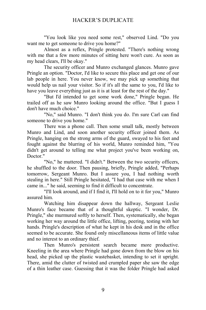"You look like you need some rest," observed Lind. "Do you want me to get someone to drive you home?"

Almost as a reflex, Pringle protested. "There's nothing wrong with me that a few more minutes of sitting here won't cure. As soon as my head clears, I'll be okay."

The security officer and Munro exchanged glances. Munro gave Pringle an option. "Doctor, I'd like to secure this place and get one of our lab people in here. You never know, we may pick up something that would help us nail your visitor. So if it's all the same to you, I'd like to have you leave everything just as it is at least for the rest of the day."

"But I'd intended to get some work done," Pringle began. He trailed off as he saw Munro looking around the office. "But I guess I don't have much choice."

"No," said Munro. "I don't think you do. I'm sure Carl can find someone to drive you home."

There was a phone call. Then some small talk, mostly between Munro and Lind, and soon another security officer joined them. As Pringle, hanging on the strong arms of the guard, swayed to his feet and fought against the blurring of his world, Munro reminded him, "You didn't get around to telling me what project you've been working on, Doctor."

"No," he muttered. "I didn't." Between the two security officers, he shuffled to the door. Then pausing, briefly, Pringle added, "Perhaps tomorrow, Sergeant Munro. But I assure you, I had nothing worth stealing in here." Still Pringle hesitated, "I had that case with me when I came in..." he said, seeming to find it difficult to concentrate.

"I'll look around, and if I find it, I'll hold on to it for you," Munro assured him.

Watching him disappear down the hallway, Sergeant Leslie Munro's face became that of a thoughtful skeptic. "I wonder, Dr. Pringle," she murmured softly to herself. Then, systematically, she began working her way around the little office, lifting, peering, testing with her hands. Pringle's description of what he kept in his desk and in the office seemed to be accurate. She found only miscellaneous items of little value and no interest to an ordinary thief.

Then Munro's persistent search became more productive. Kneeling in the area where Pringle had gone down from the blow on his head, she picked up the plastic wastebasket, intending to set it upright. There, amid the clutter of twisted and crumpled paper she saw the edge of a thin leather case. Guessing that it was the folder Pringle had asked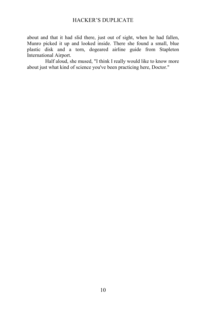about and that it had slid there, just out of sight, when he had fallen, Munro picked it up and looked inside. There she found a small, blue plastic disk and a torn, dogeared airline guide from Stapleton International Airport.

 Half aloud, she mused, "I think I really would like to know more about just what kind of science you've been practicing here, Doctor."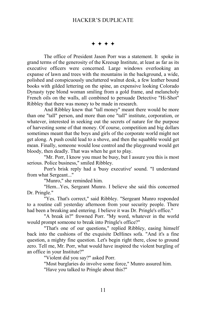#### $***$

The office of President Jason Porr was a statement. It spoke in grand terms of the generosity of the Kreesap Institute, at least as far as its executive officers were concerned. Large windows overlooking an expanse of lawn and trees with the mountains in the background, a wide, polished and conspicuously uncluttered walnut desk, a few leather bound books with gilded lettering on the spine, an expensive looking Colorado Dynasty type blond woman smiling from a gold frame, and melancholy French oils on the walls, all combined to persuade Detective "Hi-Shot" Ribbley that there was money to be made in research.

And Ribbley knew that "tall money" meant there would be more than one "tall" person, and more than one "tall" institute, corporation, or whatever, interested in seeking out the secrets of nature for the purpose of harvesting some of that money. Of course, competition and big dollars sometimes meant that the boys and girls of the corporate world might not get along. A push could lead to a shove, and then the squabble would get mean. Finally, someone would lose control and the playground would get bloody, then deadly. That was when he got to play.

"Mr. Porr, I know you must be busy, but I assure you this is most serious. Police business," smiled Ribbley.

Porr's brisk reply had a 'busy executive' sound. "I understand from what Sergeant..."

"Munro," she reminded him.

"Hem...Yes, Sergeant Munro. I believe she said this concerned Dr. Pringle."

"Yes. That's correct," said Ribbley. "Sergeant Munro responded to a routine call yesterday afternoon from your security people. There had been a breaking and entering. I believe it was Dr. Pringle's office."

"A break in?" frowned Porr. "My word, whatever in the world would prompt someone to break into Pringle's office?"

"That's one of our questions," replied Ribbley, easing himself back into the cushions of the exquisite DeHines sofa. "And it's a fine question, a mighty fine question. Let's begin right there, close to ground zero. Tell me, Mr. Porr, what would have inspired the violent burgling of an office in your Institute?"

"Violent did you say?" asked Porr.

"Most burglaries do involve some force," Munro assured him.

"Have you talked to Pringle about this?"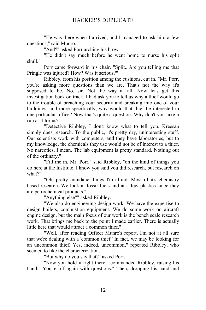"He was there when I arrived, and I managed to ask him a few questions," said Munro.

"And?" asked Porr arching his brow.

"He didn't say much before he went home to nurse his split skull."

Porr came forward in his chair. "Split...Are you telling me that Pringle was injured? How? Was it serious?"

Ribbley, from his position among the cushions, cut in. "Mr. Porr, you're asking more questions than we are. That's not the way it's supposed to be. No, sir. Not the way at all. Now let's get this investigation back on track. I had ask you to tell us why a thief would go to the trouble of breaching your security and breaking into one of your buildings, and more specifically, why would that thief be interested in one particular office? Now that's quite a question. Why don't you take a run at it for us?"

"Detective Ribbley, I don't know what to tell you. Kreesap simply does research. To the public, it's pretty dry, uninteresting stuff. Our scientists work with computers, and they have laboratories, but to my knowledge, the chemicals they use would not be of interest to a thief. No narcotics, I mean. The lab equipment is pretty standard. Nothing out of the ordinary."

"Fill me in, Mr. Porr," said Ribbley, "on the kind of things you do here at the Institute. I know you said you did research, but research on what?"

"Oh, pretty mundane things I'm afraid. Most of it's chemistry based research. We look at fossil fuels and at a few plastics since they are petrochemical products."

"Anything else?" asked Ribbley.

"We also do engineering design work. We have the expertise to design boilers, combustion equipment. We do some work on aircraft engine design, but the main focus of our work is the bench scale research work. That brings me back to the point I made earlier. There is actually little here that would attract a common thief."

"Well, after reading Officer Munro's report, I'm not at all sure that we're dealing with a 'common thief.' In fact, we may be looking for an uncommon thief. Yes, indeed, uncommon," repeated Ribbley, who seemed to like the characterization.

"But why do you say that?" asked Porr.

"Now you hold it right there," commanded Ribbley, raising his hand. "You're off again with questions." Then, dropping his hand and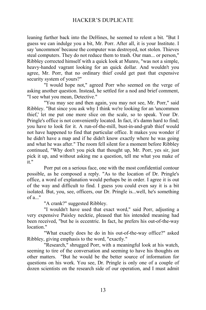leaning further back into the DeHines, he seemed to relent a bit. "But I guess we can indulge you a bit, Mr. Porr. After all, it is your Institute. I say 'uncommon' because the computer was destroyed, not stolen. Thieves steal computers. They do not reduce them to trash. Our man... or person," Ribbley corrected himself with a quick look at Munro, "was not a simple, heavy-handed vagrant looking for an quick dollar. And wouldn't you agree, Mr. Porr, that no ordinary thief could get past that expensive security system of yours?"

"I would hope not," agreed Porr who seemed on the verge of asking another question. Instead, he settled for a nod and brief comment, "I see what you mean, Detective."

"You may see and then again, you may not see, Mr. Porr," said Ribbley. "But since you ask why I think we're looking for an 'uncommon thief,' let me put one more slice on the scale, so to speak. Your Dr. Pringle's office is not conveniently located. In fact, it's damn hard to find; you have to look for it. A run-of-the-mill, bust-in-and-grab thief would not have happened to find that particular office. It makes you wonder if he didn't have a map and if he didn't know exactly where he was going and what he was after." The room fell silent for a moment before Ribbley continued, "Why don't you pick that thought up, Mr. Porr, yes sir, just pick it up, and without asking me a question, tell me what you make of it."

Porr put on a serious face, one with the most confidential contour possible, as he composed a reply. "As to the location of Dr. Pringle's office, a word of explanation would perhaps be in order. I agree it is out of the way and difficult to find. I guess you could even say it is a bit isolated. But, you, see, officers, our Dr. Pringle is...well, he's something  $of a$ ."

"A crank?" suggested Ribbley.

"I wouldn't have used that exact word," said Porr, adjusting a very expensive Paisley necktie, pleased that his intended meaning had been received, "but he is eccentric. In fact, he prefers his out-of-the-way location."

"What exactly does he do in his out-of-the-way office?" asked Ribbley, giving emphasis to the word, "exactly."

"Research," shrugged Porr, with a meaningful look at his watch, seeming to tire of the conversation and seeming to have his thoughts on other matters. "But he would be the better source of information for questions on his work. You see, Dr. Pringle is only one of a couple of dozen scientists on the research side of our operation, and I must admit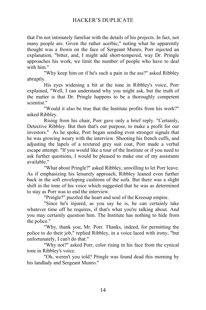that I'm not intimately familiar with the details of his projects. In fact, not many people are. Given the rather acerbic," noting what he apparently thought was a frown on the face of Sergeant Munro, Porr injected an explanation, "bitter, and, I might add short-tempered, way Dr. Pringle approaches his work, we limit the number of people who have to deal with him."

"Why keep him on if he's such a pain in the ass?" asked Ribbley abruptly.

His eyes widening a bit at the tone in Ribbley's voice, Porr explained, "Well, I can understand why you might ask, but the truth of the matter is that Dr. Pringle happens to be a thoroughly competent scientist."

"Would it also be true that the Institute profits from his work?" asked Ribbley.

Rising from his chair, Porr gave only a brief reply. "Certainly, Detective Ribbley. But then that's our purpose, to make a profit for our investors." As he spoke, Porr began sending even stronger signals that he was growing weary with the interview. Shooting his french cuffs, and adjusting the lapels of a textured grey suit coat, Porr made a verbal escape attempt. "If you would like a tour of the Institute or if you need to ask further questions, I would be pleased to make one of my assistants available."

"What about Pringle?" asked Ribbley, unwilling to let Porr leave. As if emphasizing his leisurely approach, Ribbley leaned even further back in the soft enveloping cushions of the sofa. But there was a slight shift in the tone of his voice which suggested that he was as determined to stay as Porr was to end the interview.

"Pringle?" puzzled the heart and soul of the Kreesap empire.

"Since he's injured, as you say he is, he can certainly take whatever time off he requires, if that's what you're talking about. And you may certainly question him. The Institute has nothing to hide from the police."

"Why, thank you, Mr. Porr. Thanks, indeed, for permitting the police to do their job," replied Ribbley, in a voice laced with irony, "but unfortunately, I can't do that."

"Why not?" asked Porr, color rising in his face from the cynical tone in Ribbley's voice.

"Oh, weren't you told? Pringle was found dead this morning by his landlady and Sergeant Munro."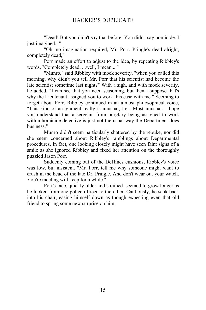"Dead! But you didn't say that before. You didn't say homicide. I just imagined..."

"Oh, no imagination required, Mr. Porr. Pringle's dead alright, completely dead,"

Porr made an effort to adjust to the idea, by repeating Ribbley's words, "Completely dead, ...well, I mean...."

"Munro," said Ribbley with mock severity, "when you called this morning, why didn't you tell Mr. Porr that his scientist had become the late scientist sometime last night?" With a sigh, and with mock severity, he added, "I can see that you need seasoning, but then I suppose that's why the Lieutenant assigned you to work this case with me." Seeming to forget about Porr, Ribbley continued in an almost philosophical voice, "This kind of assignment really is unusual, Les. Most unusual. I hope you understand that a sergeant from burglary being assigned to work with a homicide detective is just not the usual way the Department does business."

Munro didn't seem particularly shattered by the rebuke, nor did she seem concerned about Ribbley's ramblings about Departmental procedures. In fact, one looking closely might have seen faint signs of a smile as she ignored Ribbley and fixed her attention on the thoroughly puzzled Jason Porr.

Suddenly coming out of the DeHines cushions, Ribbley's voice was low, but insistent. "Mr. Porr, tell me why someone might want to crush in the head of the late Dr. Pringle. And don't wear out your watch. You're meeting will keep for a while."

Porr's face, quickly older and strained, seemed to grow longer as he looked from one police officer to the other. Cautiously, he sank back into his chair, easing himself down as though expecting even that old friend to spring some new surprise on him.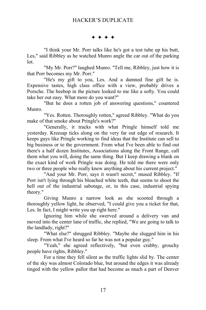$***$ 

"I think your Mr. Porr talks like he's got a test tube up his butt, Les," said Ribbley as he watched Munro angle the car out of the parking lot.

"My Mr. Porr?" laughed Munro. "Tell me, Ribbley, just how it is that Porr becomes my Mr. Porr."

"He's my gift to you, Les. And a damned fine gift he is. Expensive tastes, high class office with a view, probably drives a Porsche. The beebop in the picture looked to me like a softy. You could take her out easy. What more do you want?"

"But he does a rotten job of answering questions," countered Munro.

"Yes. Rotten. Thoroughly rotten," agreed Ribbley. "What do you make of that smoke about Pringle's work?"

"Generally, it tracks with what Pringle himself told me yesterday. Kreesap ticks along on the very far out edge of research. It keeps guys like Pringle working to find ideas that the Institute can sell to big business or to the government. From what I've been able to find out there's a half dozen Institutes, Associations along the Front Range, call them what you will, doing the same thing. But I keep drawing a blank on the exact kind of work Pringle was doing. He told me there were only two or three people who really knew anything about his current project."

"And your Mr. Porr, says it wasn't secret," mused Ribbley. "If Porr isn't lying through his bleached white teeth, that seems to shoot the hell out of the industrial sabotage, or, in this case, industrial spying theory."

Giving Munro a narrow look as she scooted through a thoroughly yellow light, he observed, "I could give you a ticket for that, Les. In fact, I might write you up right here."

Ignoring him while she swerved around a delivery van and moved into the center lane of traffic, she replied, "We are going to talk to the landlady, right?"

"What else?" shrugged Ribbley. "Maybe she slugged him in his sleep. From what I've heard so far he was not a popular guy."

"Yeah," she agreed reflectively, "but even crabby, grouchy people have rights, Ribbley."

For a time they fell silent as the traffic lights slid by. The center of the sky was almost Colorado blue, but around the edges it was already tinged with the yellow pallor that had become as much a part of Denver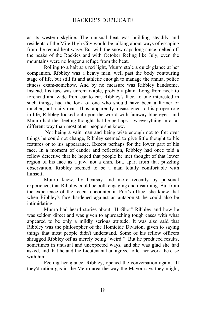as its western skyline. The unusual heat was building steadily and residents of the Mile High City would be talking about ways of escaping from the record heat wave. But with the snow caps long since melted off the peaks of the Rockies and with October feeling like July, even the mountains were no longer a refuge from the heat.

Rolling to a halt at a red light, Munro stole a quick glance at her companion. Ribbley was a heavy man, well past the body contouring stage of life, but still fit and athletic enough to manage the annual police fitness exam-somehow. And by no measure was Ribbley handsome. Instead, his face was unremarkable, probably plain. Long from neck to forehead and wide from ear to ear, Ribbley's face, to one interested in such things, had the look of one who should have been a farmer or rancher, not a city man. Thus, apparently misassigned to his proper role in life, Ribbley looked out upon the world with faraway blue eyes, and Munro had the fleeting thought that he perhaps saw everything in a far different way than most other people she knew.

 Not being a vain man and being wise enough not to fret over things he could not change, Ribbley seemed to give little thought to his features or to his appearance. Except perhaps for the lower part of his face. In a moment of candor and reflection, Ribbley had once told a fellow detective that he hoped that people he met thought of that lower region of his face as a jaw, not a chin. But, apart from that puzzling observation, Ribbley seemed to be a man totally comfortable with himself.

Munro knew, by hearsay and more recently by personal experience, that Ribbley could be both engaging and disarming. But from the experience of the recent encounter in Porr's office, she knew that when Ribbley's face hardened against an antagonist, he could also be intimidating.

Munro had heard stories about "Hi-Shot" Ribbley and how he was seldom direct and was given to approaching tough cases with what appeared to be only a mildly serious attitude. It was also said that Ribbley was the philosopher of the Homicide Division, given to saying things that most people didn't understand. Some of his fellow officers shrugged Ribbley off as merely being "weird." But he produced results, sometimes in unusual and unexpected ways, and she was glad she had asked, and that he and the Lieutenant had agreed to let her work the case with him.

Feeling her glance, Ribbley, opened the conversation again, "If they'd ration gas in the Metro area the way the Mayor says they might,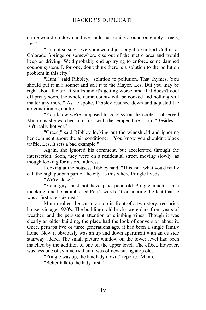crime would go down and we could just cruise around on empty streets, Les."

"I'm not so sure. Everyone would just buy it up in Fort Collins or Colorado Springs or somewhere else out of the metro area and would keep on driving. We'd probably end up trying to enforce some damned coupon system. I, for one, don't think there is a solution to the pollution problem in this city."

"Hum," said Ribbley, "solution to pollution. That rhymes. You should put it in a sonnet and sell it to the Mayor, Les. But you may be right about the air. It stinks and it's getting worse, and if it doesn't cool off pretty soon, the whole damn county will be cooked and nothing will matter any more." As he spoke, Ribbley reached down and adjusted the air conditioning control.

"You know we're supposed to go easy on the cooler," observed Munro as she watched him fuss with the temperature knob. "Besides, it isn't really hot yet."

"Green," said Ribbley looking out the windshield and ignoring her comment about the air conditioner. "You know you shouldn't block traffic, Les. It sets a bad example."

Again, she ignored his comment, but accelerated through the intersection. Soon, they were on a residential street, moving slowly, as though looking for a street address.

Looking at the houses, Ribbley said, "This isn't what you'd really call the high poobah part of the city. Is this where Pringle lived?"

"We're close."

"Your guy must not have paid poor old Pringle much." In a mocking tone he paraphrased Porr's words, "Considering the fact that he was a first rate scientist."

Munro rolled the car to a stop in front of a two story, red brick house, vintage 1920's. The building's old bricks were dark from years of weather, and the persistent attention of climbing vines. Though it was clearly an older building, the place had the look of conversion about it. Once, perhaps two or three generations ago, it had been a single family home. Now it obviously was an up and down apartment with an outside stairway added. The small picture window on the lower level had been matched by the addition of one on the upper level. The effect, however, was less one of symmetry than it was of new sitting atop old.

"Pringle was up, the landlady down," reported Munro.

"Better talk to the lady first."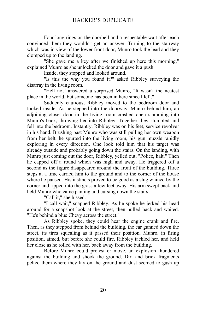Four long rings on the doorbell and a respectable wait after each convinced them they wouldn't get an answer. Turning to the stairway which was in view of the lower front door, Munro took the lead and they clomped up to the landing.

"She gave me a key after we finished up here this morning," explained Munro as she unlocked the door and gave it a push.

Inside, they stopped and looked around.

"Is this the way you found it?" asked Ribbley surveying the disarray in the living room.

"Hell no," answered a surprised Munro, "It wasn't the neatest place in the world, but someone has been in here since I left."

Suddenly cautious, Ribbley moved to the bedroom door and looked inside. As he stepped into the doorway, Munro behind him, an adjoining closet door in the living room crashed open slamming into Munro's back, throwing her into Ribbley. Together they stumbled and fell into the bedroom. Instantly, Ribbley was on his feet, service revolver in his hand. Brushing past Munro who was still pulling her own weapon from her belt, he spurted into the living room, his gun muzzle rapidly exploring in every direction. One look told him that his target was already outside and probably going down the stairs. On the landing, with Munro just coming out the door, Ribbley, yelled out, "Police, halt." Then he capped off a round which was high and away. He triggered off a second as the figure disappeared around the front of the building. Three steps at a time carried him to the ground and to the corner of the house where he paused. His instincts proved to be good as a slug whined by the corner and ripped into the grass a few feet away. His arm swept back and held Munro who came panting and cursing down the stairs.

"Call it," she hissed.

"I call wait," snapped Ribbley. As he spoke he jerked his head around for a snapshot look at the street, then pulled back and waited. "He's behind a blue Chevy across the street."

As Ribbley spoke, they could hear the engine crank and fire. Then, as they stepped from behind the building, the car gunned down the street, its tires squealing as it passed their position. Munro, in firing position, aimed, but before she could fire, Ribbley tackled her, and held her close as he rolled with her, back away from the building.

Before Munro could protest or move, an explosion thundered against the building and shook the ground. Dirt and brick fragments pelted them where they lay on the ground and dust seemed to gush up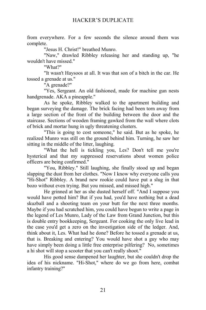from everywhere. For a few seconds the silence around them was complete.

"Jesus H. Christ!" breathed Munro.

"Naw," drawled Ribbley releasing her and standing up, "he wouldn't have missed."

"What?"

"It wasn't Haysoos at all. It was that son of a bitch in the car. He tossed a grenade at us."

"A grenade?"

"Yes, Sergeant. An old fashioned, made for machine gun nests handgrenade. AKA a pineapple."

As he spoke, Ribbley walked to the apartment building and began surveying the damage. The brick facing had been torn away from a large section of the front of the building between the door and the staircase. Sections of wooden framing gawked from the wall where clots of brick and mortar hung in ugly threatening clusters.

"This is going to cost someone," he said. But as he spoke, he realized Munro was still on the ground behind him. Turning, he saw her sitting in the middle of the litter, laughing.

"What the hell is tickling you, Les? Don't tell me you're hysterical and that my suppressed reservations about women police officers are being confirmed."

"You, Ribbley." Still laughing, she finally stood up and began slapping the dust from her clothes. "Now I know why everyone calls you "Hi-Shot" Ribbley. A brand new rookie could have put a slug in that bozo without even trying. But you missed, and missed high."

He grinned at her as she dusted herself off. "And I suppose you would have potted him? But if you had, you'd have nothing but a dead skuzball and a shooting team on your butt for the next three months. Maybe if you had scratched him, you could have begun to write a page in the legend of Les Munro, Lady of the Law from Grand Junction, but this is double entry bookkeeping, Sergeant. For cooking the only live lead in the case you'd get a zero on the investigation side of the ledger. And, think about it, Les. What had he done? Before he tossed a grenade at us, that is. Breaking and entering? You would have shot a guy who may have simply been doing a little free enterprise pilfering? No, sometimes a hi shot will stop a scooter that you can't really shoot."

His good sense dampened her laughter, but she couldn't drop the idea of his nickname. "Hi-Shot," where do we go from here, combat infantry training?"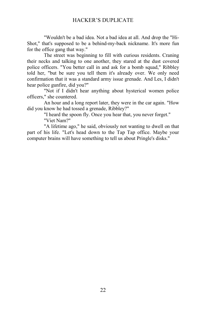"Wouldn't be a bad idea. Not a bad idea at all. And drop the "Hi-Shot," that's supposed to be a behind-my-back nickname. It's more fun for the office gang that way."

The street was beginning to fill with curious residents. Craning their necks and talking to one another, they stared at the dust covered police officers. "You better call in and ask for a bomb squad," Ribbley told her, "but be sure you tell them it's already over. We only need confirmation that it was a standard army issue grenade. And Les, I didn't hear police gunfire, did you?"

"Not if I didn't hear anything about hysterical women police officers," she countered.

An hour and a long report later, they were in the car again. "How did you know he had tossed a grenade, Ribbley?"

> "I heard the spoon fly. Once you hear that, you never forget." "Viet Nam?"

"A lifetime ago," he said, obviously not wanting to dwell on that part of his life. "Let's head down to the Tap Tap office. Maybe your computer brains will have something to tell us about Pringle's disks."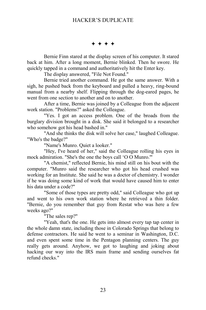$***$ 

Bernie Finn stared at the display screen of his computer. It stared back at him. After a long moment, Bernie blinked. Then he swore. He quickly tapped in a command and authoritatively hit the Enter key.

The display answered, "File Not Found."

Bernie tried another command. He got the same answer. With a sigh, he pushed back from the keyboard and pulled a heavy, ring-bound manual from a nearby shelf. Flipping through the dog-eared pages, he went from one section to another and on to another.

After a time, Bernie was joined by a Colleague from the adjacent work station. "Problems?" asked the Colleague.

"Yes. I got an access problem. One of the broads from the burglary division brought in a disk. She said it belonged to a researcher who somehow got his head bashed in."

"And she thinks the disk will solve her case," laughed Colleague. "Who's the badge?"

"Name's Munro. Quiet a looker."

"Hey, I've heard of her," said the Colleague rolling his eyes in mock admiration. "She's the one the boys call 'O O Munro.'"

"A chemist," reflected Bernie, his mind still on his bout with the computer. "Munro said the researcher who got his head crushed was working for an Institute. She said he was a doctor of chemistry. I wonder if he was doing some kind of work that would have caused him to enter his data under a code?"

"Some of those types are pretty odd," said Colleague who got up and went to his own work station where he retrieved a thin folder. "Bernie, do you remember that guy from Restat who was here a few weeks ago?"

"The sales rep?"

"Yeah, that's the one. He gets into almost every tap tap center in the whole damn state, including those in Colorado Springs that belong to defense contractors. He said he went to a seminar in Washington, D.C. and even spent some time in the Pentagon planning centers. The guy really gets around. Anyhow, we got to laughing and joking about hacking our way into the IRS main frame and sending ourselves fat refund checks."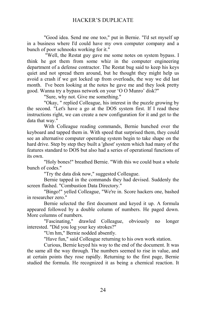"Good idea. Send me one too," put in Bernie. "I'd set myself up in a business where I'd could have my own computer company and a bunch of poor schnooks working for it."

 "Well, the Restat guy gave me some notes on system bypass. I think he got them from some whiz in the computer engineering department of a defense contractor. The Restat bug said to keep his keys quiet and not spread them around, but he thought they might help us avoid a crash if we got locked up from overloads, the way we did last month. I've been looking at the notes he gave me and they look pretty good. Wanna try a bypass network on your 'O O Munro' disk?"

"Sure, why not. Give me something."

"Okay, " replied Colleague, his interest in the puzzle growing by the second. "Let's have a go at the DOS system first. If I read these instructions right, we can create a new configuration for it and get to the data that way."

With Colleague reading commands, Bernie hunched over the keyboard and tapped them in. With speed that surprised them, they could see an alternative computer operating system begin to take shape on the hard drive. Step by step they built a 'ghost' system which had many of the features standard to DOS but also had a series of operational functions of its own.

"Holy bones!" breathed Bernie. "With this we could bust a whole bunch of codes."

"Try the data disk now," suggested Colleague.

Bernie tapped in the commands they had devised. Suddenly the screen flashed. "Combustion Data Directory."

"Bingo!" yelled Colleague, "We're in. Score hackers one, bashed in researcher zero."

Bernie selected the first document and keyed it up. A formula appeared followed by a double column of numbers. He paged down. More columns of numbers.

"Fascinating," drawled Colleague, obviously no longer interested. "Did you log your key strokes?"

"Um hm," Bernie nodded absently.

"Have fun," said Colleague returning to his own work station.

Curious, Bernie keyed his way to the end of the document. It was the same all the way through. The numbers seemed to rise in value, and at certain points they rose rapidly. Returning to the first page, Bernie studied the formula. He recognized it as being a chemical reaction. It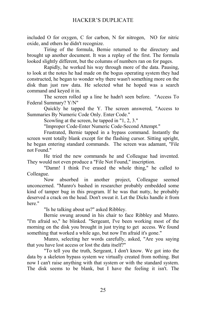included O for oxygen, C for carbon, N for nitrogen, NO for nitric oxide, and others he didn't recognize.

Tiring of the formula, Bernie returned to the directory and brought up another document. It was a replay of the first. The formula looked slightly different, but the columns of numbers ran on for pages.

Rapidly, he worked his way through more of the data. Pausing, to look at the notes he had made on the bogus operating system they had constructed, he began to wonder why there wasn't something more on the disk than just raw data. He selected what he hoped was a search command and keyed it in.

The screen rolled up a line he hadn't seen before. "Access To Federal Summary? Y/N"

Quickly he tapped the Y. The screen answered, "Access to Summaries By Numeric Code Only. Enter Code."

Scowling at the screen, he tapped in "1, 2, 3."

"Improper Code-Enter Numeric Code-Second Attempt."

Frustrated, Bernie tapped in a bypass command. Instantly the screen went totally blank except for the flashing cursor. Sitting upright, he began entering standard commands. The screen was adamant, "File not Found."

He tried the new commands he and Colleague had invented. They would not even produce a "File Not Found," inscription.

"Damn! I think I've erased the whole thing," he called to Colleague.

Now absorbed in another project, Colleague seemed unconcerned. "Munro's bashed in researcher probably embedded some kind of tamper bug in this program. If he was that nutty, he probably deserved a crack on the head. Don't sweat it. Let the Dicks handle it from here."

"Is he talking about us?" asked Ribbley.

Bernie swung around in his chair to face Ribbley and Munro. "I'm afraid so," he blinked. "Sergeant, I've been working most of the morning on the disk you brought in just trying to get access. We found something that worked a while ago, but now I'm afraid it's gone."

Munro, selecting her words carefully, asked, "Are you saying that you have lost access or lost the data itself?"

"To tell you the truth, Sergeant, I don't know. We got into the data by a skeleton bypass system we virtually created from nothing. But now I can't raise anything with that system or with the standard system. The disk seems to be blank, but I have the feeling it isn't. The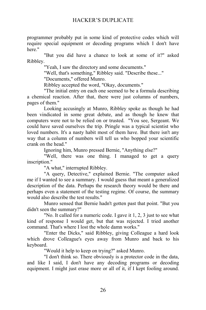programmer probably put in some kind of protective codes which will require special equipment or decoding programs which I don't have here."

"But you did have a chance to look at some of it?" asked Ribbley.

"Yeah, I saw the directory and some documents."

"Well, that's something," Ribbley said. "Describe these..."

"Documents," offered Munro.

Ribbley accepted the word, "Okay, documents."

"The initial entry on each one seemed to be a formula describing a chemical reaction. After that, there were just columns of numbers, pages of them."

Looking accusingly at Munro, Ribbley spoke as though he had been vindicated in some great debate, and as though he knew that computers were not to be relied on or trusted. "You see, Sergeant. We could have saved ourselves the trip. Pringle was a typical scientist who loved numbers. It's a nasty habit most of them have. But there isn't any way that a column of numbers will tell us who bopped your scientific crank on the head."

Ignoring him, Munro pressed Bernie, "Anything else?"

"Well, there was one thing. I managed to get a query inscription."

"A what," interrupted Ribbley.

"A query, Detective," explained Bernie. "The computer asked me if I wanted to see a summary. I would guess that meant a generalized description of the data. Perhaps the research theory would be there and perhaps even a statement of the testing regime. Of course, the summary would also describe the test results."

Munro sensed that Bernie hadn't gotten past that point. "But you didn't seen the summary?"

"No. It called for a numeric code. I gave it 1, 2, 3 just to see what kind of response I would get, but that was rejected. I tried another command. That's where I lost the whole damn works."

"Enter the Dicks," said Ribbley, giving Colleague a hard look which drove Colleague's eyes away from Munro and back to his keyboard.

"Would it help to keep on trying?" asked Munro.

"I don't think so. There obviously is a protector code in the data, and like I said, I don't have any decoding programs or decoding equipment. I might just erase more or all of it, if I kept fooling around.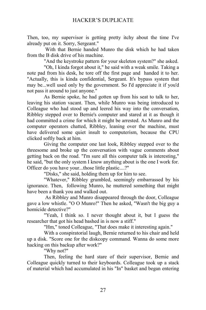Then, too, my supervisor is getting pretty itchy about the time I've already put on it. Sorry, Sergeant."

 With that Bernie handed Munro the disk which he had taken from the B disk drive of his machine.

"And the keystroke pattern for your skeleton system?" she asked.

"Oh, I kinda forgot about it," he said with a weak smile. Taking a note pad from his desk, he tore off the first page and handed it to her. "Actually, this is kinda confidential, Sergeant. It's bypass system that may be...well used only by the government. So I'd appreciate it if you'd not pass it around to just anyone."

As Bernie spoke, he had gotten up from his seat to talk to her, leaving his station vacant. Then, while Munro was being introduced to Colleague who had stood up and leered his way into the conversation, Ribbley stepped over to Bernie's computer and stared at it as though it had committed a crime for which it might be arrested. As Munro and the computer operators chatted, Ribbley, leaning over the machine, must have delivered some quiet insult to computerism, because the CPU clicked softly back at him.

Giving the computer one last look, Ribbley stepped over to the threesome and broke up the conversation with vague comments about getting back on the road. "I'm sure all this computer talk is interesting," he said, "but the only system I know anything about is the one I work for. Officer do you have your...those little plastic....?"

"Disks," she said, holding them up for him to see.

"Whatever," Ribbley grumbled, seemingly embarrassed by his ignorance. Then, following Munro, he muttered something that might have been a thank you and walked out.

 As Ribbley and Munro disappeared through the door, Colleague gave a low whistle. "O O Munro!" Then he asked, "Wasn't the big guy a homicide detective?"

"Yeah, I think so. I never thought about it, but I guess the researcher that got his head bashed in is now a stiff."

"Hm," toned Colleague, "That does make it interesting again."

With a conspiratorial laugh, Bernie returned to his chair and held up a disk. "Score one for the diskcopy command. Wanna do some more hacking on this backup after work?"

"Why not?"

Then, feeling the hard stare of their supervisor, Bernie and Colleague quickly turned to their keyboards. Colleague took up a stack of material which had accumulated in his "In" basket and began entering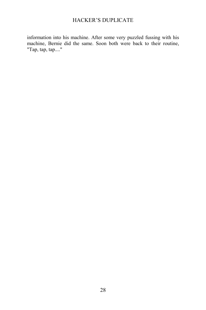information into his machine. After some very puzzled fussing with his machine, Bernie did the same. Soon both were back to their routine, "Tap, tap, tap...."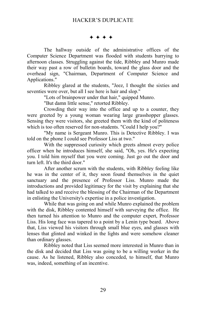#### $***$

The hallway outside of the administrative offices of the Computer Science Department was flooded with students hurrying to afternoon classes. Struggling against the tide, Ribbley and Munro made their way past a row of bulletin boards, toward the glass door and the overhead sign, "Chairman, Department of Computer Science and Applications."

Ribbley glared at the students, "Jeez, I thought the sixties and seventies were over, but all I see here is hair and slop."

"Lots of brainpower under that hair," quipped Munro.

"But damn little sense," retorted Ribbley.

Crowding their way into the office and up to a counter, they were greeted by a young woman wearing large grasshopper glasses. Sensing they were visitors, she greeted them with the kind of politeness which is too often reserved for non-students. "Could I help you?"

"My name is Sergeant Munro. This is Detective Ribbley. I was told on the phone I could see Professor Liss at two."

With the suppressed curiosity which greets almost every police officer when he introduces himself, she said, "Oh, yes. He's expecting you. I told him myself that you were coming. Just go out the door and turn left. It's the third door."

After another scrum with the students, with Ribbley feeling like he was in the center of it, they soon found themselves in the quiet sanctuary and the presence of Professor Liss. Munro made the introductions and provided legitimacy for the visit by explaining that she had talked to and receive the blessing of the Chairman of the Department in enlisting the University's expertise in a police investigation.

While that was going on and while Munro explained the problem with the disk, Ribbley contented himself with surveying the office. He then turned his attention to Munro and the computer expert, Professor Liss. His long face was tapered to a point by a Lenin type beard. Above that, Liss viewed his visitors through small blue eyes, and glasses with lenses that glinted and winked in the lights and were somehow cleaner than ordinary glasses.

Ribbley noted that Liss seemed more interested in Munro than in the disk and decided that Liss was going to be a willing worker in the cause. As he listened, Ribbley also conceded, to himself, that Munro was, indeed, something of an incentive.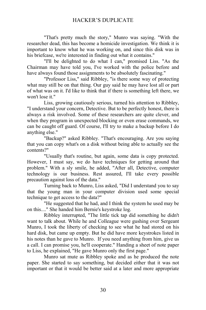"That's pretty much the story," Munro was saying. "With the researcher dead, this has become a homicide investigation. We think it is important to know what he was working on, and since this disk was in his briefcase, we're interested in finding out what it contains."

"I'll be delighted to do what I can," promised Liss. "As the Chairman may have told you, I've worked with the police before and have always found those assignments to be absolutely fascinating."

"Professor Liss," said Ribbley, "is there some way of protecting what may still be on that thing. Our guy said he may have lost all or part of what was on it. I'd like to think that if there is something left there, we won't lose it."

Liss, growing cautiously serious, turned his attention to Ribbley, "I understand your concern, Detective. But to be perfectly honest, there is always a risk involved. Some of these researchers are quite clever, and when they program in unexpected blocking or even erase commands, we can be caught off guard. Of course, I'll try to make a backup before I do anything else."

"Backup?" asked Ribbley. "That's encouraging. Are you saying that you can copy what's on a disk without being able to actually see the contents?"

"Usually that's routine, but again, some data is copy protected. However, I must say, we do have techniques for getting around that problem." With a sly smile, he added, "After all, Detective, computer technology is our business. Rest assured, I'll take every possible precaution against loss of the data."

Turning back to Munro, Liss asked, "Did I understand you to say that the young man in your computer division used some special technique to get access to the data?"

"He suggested that he had, and I think the system he used may be on this...." She handed him Bernie's keystroke log.

Ribbley interrupted, "The little tick tap did something he didn't want to talk about. While he and Colleague were gushing over Sergeant Munro, I took the liberty of checking to see what he had stored on his hard disk, but came up empty. But he did have more keystrokes listed in his notes than he gave to Munro. If you need anything from him, give us a call. I can promise you, he'll cooperate." Handing a sheet of note paper to Liss, he explained, "He gave Munro only the first page."

Munro sat mute as Ribbley spoke and as he produced the note paper. She started to say something, but decided either that it was not important or that it would be better said at a later and more appropriate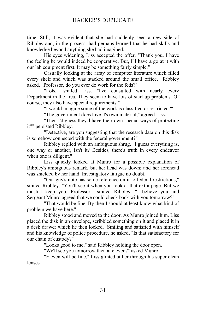time. Still, it was evident that she had suddenly seen a new side of Ribbley and, in the process, had perhaps learned that he had skills and knowledge beyond anything she had imagined.

His eyes widening, Liss accepted the offer, "Thank you. I have the feeling he would indeed be cooperative. But, I'll have a go at it with our lab equipment first. It may be something fairly simple."

Casually looking at the array of computer literature which filled every shelf and which was stacked around the small office, Ribbley asked, "Professor, do you ever do work for the feds?"

"Lots," smiled Liss. "I've consulted with nearly every Department in the area. They seem to have lots of start up problems. Of course, they also have special requirements."

"I would imagine some of the work is classified or restricted?"

"The government does love it's own material," agreed Liss.

"Then I'd guess they'd have their own special ways of protecting it?" persisted Ribbley.

"Detective, are you suggesting that the research data on this disk is somehow connected with the federal government?"

Ribbley replied with an ambiguous shrug. "I guess everything is, one way or another, isn't it? Besides, there's truth in every endeavor when one is diligent."

Liss quickly looked at Munro for a possible explanation of Ribbley's ambiguous remark, but her head was down; and her forehead was shielded by her hand. Investigatory fatigue no doubt.

"Our guy's note has some reference on it to federal restrictions," smiled Ribbley. "You'll see it when you look at that extra page. But we mustn't keep you, Professor," smiled Ribbley. "I believe you and Sergeant Munro agreed that we could check back with you tomorrow?"

"That would be fine. By then I should at least know what kind of problem we have here."

Ribbley stood and moved to the door. As Munro joined him, Liss placed the disk in an envelope, scribbled something on it and placed it in a desk drawer which he then locked. Smiling and satisfied with himself and his knowledge of police procedure, he asked, "Is that satisfactory for our chain of custody?"

"Looks good to me," said Ribbley holding the door open.

"We'll see you tomorrow then at eleven?" asked Munro.

"Eleven will be fine," Liss glinted at her through his super clean lenses.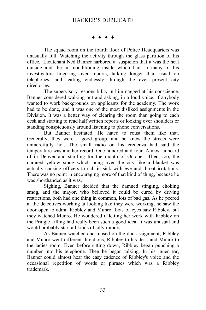$***$ 

The squad room on the fourth floor of Police Headquarters was unusually full. Watching the activity through the glass partition of his office, Lieutenant Ned Banner harbored a suspicion that it was the heat outside and the air conditioning inside which had so many of his investigators lingering over reports, talking longer than usual on telephones, and leafing endlessly through the ever present city directories.

The supervisory responsibility in him nagged at his conscience. Banner considered walking out and asking, in a loud voice, if anybody wanted to work backgrounds on applicants for the academy. The work had to be done, and it was one of the most disliked assignments in the Division. It was a better way of clearing the room than going to each desk and starting to read half written reports or looking over shoulders or standing conspicuously around listening to phone conversations.

But Banner hesitated. He hated to roust them like that. Generally, they were a good group, and he knew the streets were unmercifully hot. The small radio on his credenza had said the temperature was another record. One hundred and four. Almost unheard of in Denver and startling for the month of October. Then, too, the damned yellow smog which hung over the city like a blanket was actually causing officers to call in sick with eye and throat irritations. There was no point in encouraging more of that kind of thing, because he was shorthanded as it was.

Sighing, Banner decided that the damned stinging, choking smog, and the mayor, who believed it could be cured by driving restrictions, both had one thing in common, lots of bad gas. As he peered at the detectives working at looking like they were working, he saw the door open to admit Ribbley and Munro. Lots of eyes saw Ribbley, but they watched Munro. He wondered if letting her work with Ribbley on the Pringle killing had really been such a good idea. It was unusual and would probably start all kinds of silly rumors.

As Banner watched and mused on the duo assignment, Ribbley and Munro went different directions, Ribbley to his desk and Munro to the ladies room. Even before sitting down, Ribbley began punching a number into his telephone. Then he began talking. In his inner ear, Banner could almost hear the easy cadence of Ribbley's voice and the occasional repetition of words or phrases which was a Ribbley trademark.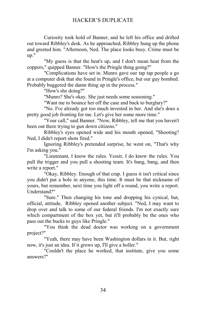Curiosity took hold of Banner, and he left his office and drifted out toward Ribbley's desk. As he approached, Ribbley hung up the phone and greeted him. "Afternoon, Ned. The place looks busy. Crime must be up."

"My guess is that the heat's up, and I don't mean heat from the coppers," quipped Banner. "How's the Pringle thing going?"

"Complications have set in. Munro gave our tap tap people a go at a computer disk that she found in Pringle's office, but our guy bombed. Probably buggered the damn thing up in the process."

"How's she doing?"

"Munro? She's okay. She just needs some seasoning."

"Want me to bounce her off the case and back to burglary?"

"No. I've already got too much invested in her. And she's does a pretty good job fronting for me. Let's give her some more time."

"Your call," said Banner. "Now, Ribbley, tell me that you haven't been out there trying to gun down citizens."

Ribbley's eyes opened wide and his mouth opened, "Shooting? Ned, I didn't report shots fired."

Ignoring Ribbley's pretended surprise, he went on, "That's why I'm asking you."

"Lieutenant, I know the rules. Yessir, I do know the rules. You pull the trigger and you pull a shooting team. It's bang, bang, and then write a report."

"Okay, Ribbley. Enough of that crap. I guess it isn't critical since you didn't put a hole in anyone, this time. It must be that nickname of yours, but remember, next time you light off a round, you write a report. Understand?"

"Sure." Then changing his tone and dropping his cynical, but, official, attitude, Ribbley opened another subject. "Ned, I may want to drop over and talk to some of our federal friends. I'm not exactly sure which compartment of the box yet, but it'll probably be the ones who pass out the bucks to guys like Pringle."

"You think the dead doctor was working on a government project?"

"Yeah, there may have been Washington dollars in it. But, right now, it's just an idea. If it grows up, I'll give a holler."

"Couldn't the place he worked, that institute, give you some answers?"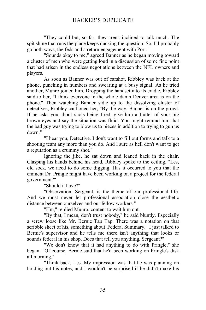"They could but, so far, they aren't inclined to talk much. The spit shine that runs the place keeps ducking the question. So, I'll probably go both ways, the feds and a return engagement with Porr."

"Sounds okay to me," agreed Banner as he began moving toward a cluster of men who were getting loud in a discussion of some fine point that had arisen in the endless negotiations between the NFL owners and players.

As soon as Banner was out of earshot, Ribbley was back at the phone, punching in numbers and swearing at a busy signal. As he tried another, Munro joined him. Dropping the handset into its cradle, Ribbley said to her, "I think everyone in the whole damn Denver area is on the phone." Then watching Banner sidle up to the dissolving cluster of detectives, Ribbley cautioned her, "By the way, Banner is on the prowl. If he asks you about shots being fired, give him a flutter of your big brown eyes and say the situation was fluid. You might remind him that the bad guy was trying to blow us to pieces in addition to trying to gun us down."

"I hear you, Detective. I don't want to fill out forms and talk to a shooting team any more than you do. And I sure as hell don't want to get a reputation as a crummy shot."

Ignoring the jibe, he sat down and leaned back in the chair. Clasping his hands behind his head, Ribbley spoke to the ceiling. "Les, old sock, we need to do some digging. Has it occurred to you that the eminent Dr. Pringle might have been working on a project for the federal government?"

"Should it have?"

"Observation, Sergeant, is the theme of our professional life. And we must never let professional association close the aesthetic distance between ourselves and our fellow workers."

"Hm," replied Munro, content to wait him out.

"By that, I mean, don't trust nobody," he said bluntly. Especially a screw loose like Mr. Bernie Tap Tap. There was a notation on that scribble sheet of his, something about 'Federal Summary.' I just talked to Bernie's supervisor and he tells me there isn't anything that looks or sounds federal in his shop. Does that tell you anything, Sergeant?"

"We don't know that it had anything to do with Pringle," she began. "Of course, Bernie said that he'd been working on Pringle's disk all morning."

"Think back, Les. My impression was that he was planning on holding out his notes, and I wouldn't be surprised if he didn't make his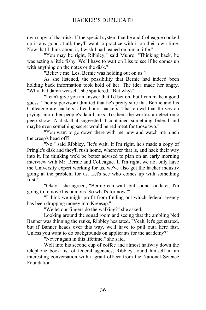own copy of that disk. If the special system that he and Colleague cooked up is any good at all, they'll want to practice with it on their own time. Now that I think about it, I wish I had leaned on him a little."

"You may be right, Ribbley," said Munro. "Thinking back, he was acting a little fishy. We'll have to wait on Liss to see if he comes up with anything on the notes or the disk."

"Believe me, Les, Bernie was holding out on us."

As she listened, the possibility that Bernie had indeed been holding back information took hold of her. The idea made her angry. "Why that damn weasel," she sputtered. "But why?"

"I can't give you an answer that I'd bet on, but I can make a good guess. Their supervisor admitted that he's pretty sure that Bernie and his Colleague are hackers, after hours hackers. That crowd that thrives on prying into other people's data banks. To them the world's an electronic peep show. A disk that suggested it contained something federal and maybe even something secret would be red meat for those two."

"You want to go down there with me now and watch me pinch the creep's head off?"

"No," said Ribbley, "let's wait. If I'm right, he's made a copy of Pringle's disk and they'll rush home, wherever that is, and hack their way into it. I'm thinking we'd be better advised to plan on an early morning interview with Mr. Bernie and Colleague. If I'm right, we not only have the University expert working for us, we've also got the hacker industry going at the problem for us. Let's see who comes up with something first."

"Okay," she agreed, "Bernie can wait, but sooner or later, I'm going to remove his bunions. So what's for now?"

"I think we might profit from finding out which federal agency has been dropping money into Kreesap."

"We let our fingers do the walking?" she asked.

Looking around the squad room and seeing that the ambling Ned Banner was thinning the ranks, Ribbley hesitated. "Yeah, let's get started, but if Banner heads over this way, we'll have to pull outa here fast. Unless you want to do backgrounds on applicants for the academy?"

"Never again in this lifetime," she said.

Well into his second cup of coffee and almost halfway down the telephone book list of federal agencies, Ribbley found himself in an interesting conversation with a grant officer from the National Science Foundation.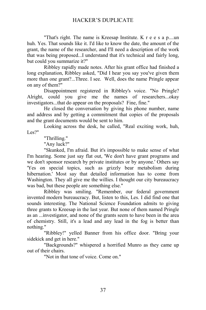"That's right. The name is Kreesap Institute. K r e e s a p....un huh. Yes. That sounds like it. I'd like to know the date, the amount of the grant, the name of the researcher, and I'll need a description of the work that was being proposed...I understand that it's technical and fairly long, but could you summarize it?"

Ribbley rapidly made notes. After his grant office had finished a long explanation, Ribbley asked, "Did I hear you say you've given them more than one grant?...Three. I see. Well, does the name Pringle appear on any of them?"

Disappointment registered in Ribbley's voice. "No Pringle? Alright, could you give me the names of researchers...okay investigators...that do appear on the proposals? Fine, fine."

He closed the conversation by giving his phone number, name and address and by getting a commitment that copies of the proposals and the grant documents would be sent to him.

Looking across the desk, he called, "Real exciting work, huh, Les?"

"Thrilling."

"Any luck?"

"Skunked, I'm afraid. But it's impossible to make sense of what I'm hearing. Some just say flat out, 'We don't have grant programs and we don't sponsor research by private institutes or by anyone.' Others say 'Yes on special topics, such as grizzly bear metabolism during hibernation.' Most say that detailed information has to come from Washington. They all give me the willies. I thought our city bureaucracy was bad, but these people are something else."

Ribbley was smiling. "Remember, our federal government invented modern bureaucracy. But, listen to this, Les. I did find one that sounds interesting. The National Science Foundation admits to giving three grants to Kreesap in the last year. But none of them named Pringle as an ...investigator, and none of the grants seem to have been in the area of chemistry. Still, it's a lead and any lead in the fog is better than nothing."

"Ribbley!" yelled Banner from his office door. "Bring your sidekick and get in here."

"Backgrounds?" whispered a horrified Munro as they came up out of their chairs.

"Not in that tone of voice. Come on."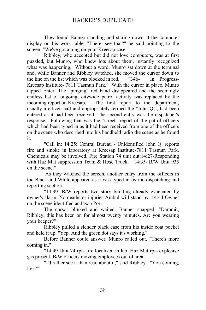They found Banner standing and staring down at the computer display on his work table. "There, see that?" he said pointing to the screen. "We've got a ping on your Kreesap case."

Ribbley, who accepted but did not love computers, was at first puzzled, but Munro, who knew lots about them, instantly recognized what was happening. Without a word, Munro sat down at the terminal and, while Banner and Ribbley watched, she moved the cursor down to the line on the list which was blocked in red. "346- In Progress-Kreesap Institute- 7811 Tasmun Park." With the cursor in place, Munro tapped Enter. The "pinging" red band disappeared and the seemingly endless list of ongoing, citywide patrol activity was replaced by the incoming report on Kreesap. The first report to the department, usually a citizen call and appropriately termed the "John Q,", had been entered as it had been received. The second entry was the dispatcher's response. Following that was the "street" report of the patrol officers which had been typed in as it had been received from one of the officers on the scene who described into his handheld radio the scene as he found it.

"Call in: 14:25: Central Bureau - Unidentified John Q. reports fire and smoke in laboratory at Kreesap Institute-7811 Tasmun Park. Chemicals may be involved. Fire Station 74 unit out:14:27-Responding with Haz Mat suppression Team & Hose Truck. 14:35- B/W Unit 935 on the scene."

 As they watched the screen, another entry from the officers in the Black and White appeared as it was typed in by the dispatching and reporting section.

"14:39- B/W reports two story building already evacuated by owner's alarm. No deaths or injuries-Ambul will stand by. 14:44-Owner on the scene identified as Jason Porr."

The cursor blinked and waited. Banner snapped, "Dammit, Ribbley, this has been on for almost twenty minutes. Are you wearing your beeper?"

Ribbley pulled a slender black case from his inside coat pocket and held it up. "Yep. And the green dot says it's working."

Before Banner could answer, Munro called out, "There's more coming in."

"14:49 Unit 74 rpts fire localized in lab. Haz Mat rpts explosive gas present. B/W officers moving employees out of area."

"I'd rather see it than read about it," said Ribbley. "You coming, Les?"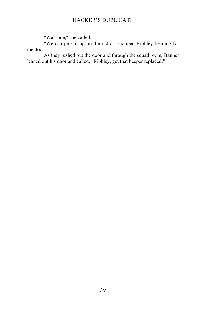"Wait one," she called.

"We can pick it up on the radio," snapped Ribbley heading for the door.

As they rushed out the door and through the squad room, Banner leaned out his door and called, "Ribbley, get that beeper replaced."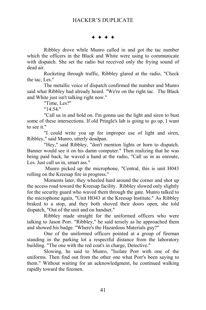$***$ 

Ribbley drove while Munro called in and got the tac number which the officers in the Black and White were using to communicate with dispatch. She set the radio but received only the frying sound of dead air.

Rocketing through traffic, Ribbley glared at the radio, "Check the tac. Les."

The metallic voice of dispatch confirmed the number and Munro said what Ribbley had already heard. "We're on the right tac. The Black and White just isn't talking right now."

"Time, Les?"

"14:54."

"Call us in and hold on. I'm gonna use the light and siren to bust some of these intersections. If old Pringle's lab is going to go up, I want to see it."

"I could write you up for improper use of light and siren, Ribbley," said Munro, utterly deadpan.

"Hey," said Ribbley, "don't mention lights or horn to dispatch. Banner would see it on his damn computer." Then realizing that he was being paid back, he waved a hand at the radio, "Call us in as enroute, Les. Just call us in, smart ass."

 Munro picked up the microphone, "Central, this is unit H043 rolling on the Kreesap fire in progress."

Moments later, they wheeled hard around the corner and shot up the access road toward the Kreesap facility. Ribbley slowed only slightly for the security guard who waved them through the gate. Munro talked to the microphone again, "Unit HO43 at the Kreesap Institute." As Ribbley braked to a stop, and they both shoved their doors open, she told dispatch, "Out of the unit and on handset."

Ribbley made straight for the uniformed officers who were talking to Jason Porr. "Ribbley," he said tersely as he approached them and showed his badge. "Where's the Hazardous Materials guy?"

One of the uniformed officers pointed at a group of fireman standing in the parking lot a respectful distance from the laboratory building. "The one with the red coat's in charge, Detective."

Slowing, he said to Munro, "Isolate Porr with one of the uniforms. Then find out from the other one what Porr's been saying to them." Without waiting for an acknowledgment, he continued walking rapidly toward the firemen.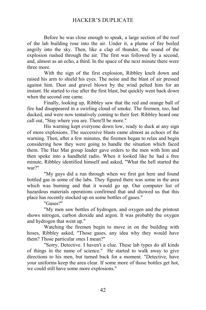Before he was close enough to speak, a large section of the roof of the lab building rose into the air. Under it, a plume of fire boiled angrily into the sky. Then, like a clap of thunder, the sound of the explosion rushed through the air. The first was followed by a second, and, almost as an echo, a third. In the space of the next minute there were three more.

With the sign of the first explosion, Ribbley knelt down and raised his arm to shield his eyes. The noise and the blast of air pressed against him. Dust and gravel blown by the wind pelted him for an instant. He started to rise after the first blast, but quickly went back down when the second one came.

Finally, looking up, Ribbley saw that the red and orange ball of fire had disappeared in a swirling cloud of smoke. The firemen, too, had ducked, and were now tentatively coming to their feet. Ribbley heard one call out, "Stay where you are. There'll be more."

His warning kept everyone down low, ready to duck at any sign of more explosions. The successive blasts came almost as echoes of the warning. Then, after a few minutes, the firemen began to relax and begin considering how they were going to handle the situation which faced them. The Haz Mat group leader gave orders to the men with him and then spoke into a handheld radio. When it looked like he had a free minute, Ribbley identified himself and asked, "What the hell started the war?"

"My guys did a run through when we first got here and found bottled gas in some of the labs. They figured there was some in the area which was burning and that it would go up. Our computer list of hazardous materials operations confirmed that and showed us that this place has recently stocked up on some bottles of gases."

"Gases?"

"My men saw bottles of hydrogen, and oxygen and the printout shows nitrogen, carbon dioxide and argon. It was probably the oxygen and hydrogen that went up."

Watching the firemen begin to move in on the building with hoses, Ribbley asked, "Those gases, any idea why they would have them? Those particular ones I mean?"

"Sorry, Detective. I haven't a clue. These lab types do all kinds of things in the name of science." He started to walk away to give directions to his men, but turned back for a moment. "Detective, have your uniforms keep the area clear. If some more of those bottles get hot, we could still have some more explosions."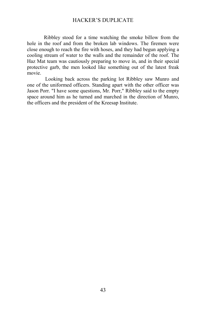Ribbley stood for a time watching the smoke billow from the hole in the roof and from the broken lab windows. The firemen were close enough to reach the fire with hoses, and they had begun applying a cooling stream of water to the walls and the remainder of the roof. The Haz Mat team was cautiously preparing to move in, and in their special protective garb, the men looked like something out of the latest freak movie.

 Looking back across the parking lot Ribbley saw Munro and one of the uniformed officers. Standing apart with the other officer was Jason Porr. "I have some questions, Mr. Porr," Ribbley said to the empty space around him as he turned and marched in the direction of Munro, the officers and the president of the Kreesap Institute.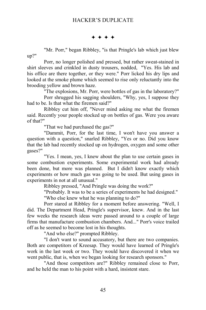$\rightarrow$   $\rightarrow$   $\rightarrow$   $\rightarrow$ 

"Mr. Porr," began Ribbley, "is that Pringle's lab which just blew up?"

Porr, no longer polished and pressed, but rather sweat-stained in shirt sleeves and crinkled in dusty trousers, nodded, "Yes. His lab and his office are there together, or they were." Porr licked his dry lips and looked at the smoke plume which seemed to rise only reluctantly into the brooding yellow and brown haze.

"The explosions, Mr. Porr, were bottles of gas in the laboratory?"

Porr shrugged his sagging shoulders, "Why, yes, I suppose they had to be. Is that what the firemen said?"

Ribbley cut him off, "Never mind asking me what the firemen said. Recently your people stocked up on bottles of gas. Were you aware of that?"

"That we had purchased the gas?"

"Dammit, Porr, for the last time, I won't have you answer a question with a question," snarled Ribbley, "Yes or no. Did you know that the lab had recently stocked up on hydrogen, oxygen and some other gases?"

"Yes. I mean, yes, I knew about the plan to use certain gases in some combustion experiments. Some experimental work had already been done, but more was planned. But I didn't know exactly which experiments or how much gas was going to be used. But using gases in experiments in not at all unusual."

Ribbley pressed, "And Pringle was doing the work?"

"Probably. It was to be a series of experiments he had designed." "Who else knew what he was planning to do?"

Porr stared at Ribbley for a moment before answering. "Well, I did. The Department Head, Pringle's supervisor, knew. And in the last few weeks the research ideas were passed around to a couple of large firms that manufacture combustion chambers. And..." Porr's voice trailed off as he seemed to become lost in his thoughts.

"And who else?" prompted Ribbley.

"I don't want to sound accusatory, but there are two companies. Both are competitors of Kreesap. They would have learned of Pringle's work in the last week or two. They would have discovered it when we went public, that is, when we began looking for research sponsors."

"And those competitors are?" Ribbley remained close to Porr, and he held the man to his point with a hard, insistent stare.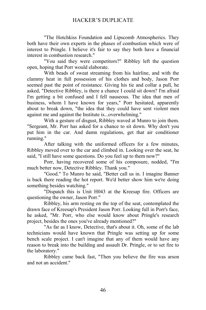"The Hotchkiss Foundation and Lipscomb Atmospherics. They both have their own experts in the phases of combustion which were of interest to Pringle. I believe it's fair to say they both have a financial interest in combustion research."

"You said they were competitors?" Ribbley left the question open, hoping that Porr would elaborate.

With beads of sweat streaming from his hairline, and with the clammy heat in full possession of his clothes and body, Jason Porr seemed past the point of resistance. Giving his tie and collar a pull, he asked, "Detective Ribbley, is there a chance I could sit down? I'm afraid I'm getting a bit confused and I fell nauseous. The idea that men of business, whom I have known for years," Porr hesitated, apparently about to break down, "the idea that they could have sent violent men against me and against the Institute is...overwhelming."

With a gesture of disgust, Ribbley waved at Munro to join them. "Sergeant, Mr. Porr has asked for a chance to sit down. Why don't you put him in the car. And damn regulations, get that air conditioner running."

After talking with the uniformed officers for a few minutes, Ribbley moved over to the car and climbed in. Looking over the seat, he said, "I still have some questions. Do you feel up to them now?"

Porr, having recovered some of his composure, nodded, "I'm much better now, Detective Ribbley. Thank you."

"Good." To Munro he said, "Better call us in. I imagine Banner is back there reading the hot report. We'd better show him we're doing something besides watching."

"Dispatch this is Unit H043 at the Kreesap fire. Officers are questioning the owner, Jason Porr."

Ribbley, his arm resting on the top of the seat, contemplated the drawn face of Kreesap's President Jason Porr. Looking full in Porr's face, he asked, "Mr. Porr, who else would know about Pringle's research project, besides the ones you've already mentioned?"

"As far as I know, Detective, that's about it. Oh, some of the lab technicians would have known that Pringle was setting up for some bench scale project. I can't imagine that any of them would have any reason to break into the building and assault Dr. Pringle, or to set fire to the laboratory."

Ribbley came back fast, "Then you believe the fire was arson and not an accident."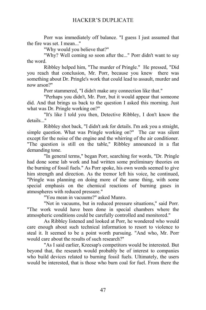Porr was immediately off balance. "I guess I just assumed that the fire was set. I mean..."

"Why would you believe that?"

"Why? Well coming so soon after the..." Porr didn't want to say the word.

Ribbley helped him, "The murder of Pringle." He pressed, "Did you reach that conclusion, Mr. Porr, because you knew there was something about Dr. Pringle's work that could lead to assault, murder and now arson?"

Porr stammered, "I didn't make any connection like that."

"Perhaps you didn't, Mr. Porr, but it would appear that someone did. And that brings us back to the question I asked this morning. Just what was Dr. Pringle working on?"

"It's like I told you then, Detective Ribbley, I don't know the details..."

Ribbley shot back, "I didn't ask for details. I'm ask you a straight, simple question. What was Pringle working on?" The car was silent except for the noise of the engine and the whirring of the air conditioner. "The question is still on the table," Ribbley announced in a flat demanding tone.

"In general terms," began Porr, searching for words, "Dr. Pringle had done some lab work and had written some preliminary theories on the burning of fossil fuels." As Porr spoke, his own words seemed to give him strength and direction. As the tremor left his voice, he continued, "Pringle was planning on doing more of the same thing, with some special emphasis on the chemical reactions of burning gases in atmospheres with reduced pressure."

"You mean in vacuums?" asked Munro.

"Not in vacuums, but in reduced pressure situations," said Porr. "The work would have been done in special chambers where the atmospheric conditions could be carefully controlled and monitored."

As Ribbley listened and looked at Porr, he wondered who would care enough about such technical information to resort to violence to steal it. It seemed to be a point worth pursuing. "And who, Mr. Porr would care about the results of such research?"

"As I said earlier, Kreesap's competitors would be interested. But beyond that, the research would probably be of interest to companies who build devices related to burning fossil fuels. Ultimately, the users would be interested, that is those who burn coal for fuel. From there the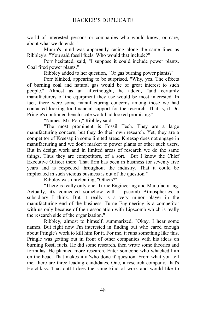world of interested persons or companies who would know, or care, about what we do ends."

Munro's mind was apparently racing along the same lines as Ribbley's. "You said fossil fuels. Who would that include?"

Porr hesitated, said, "I suppose it could include power plants. Coal fired power plants."

Ribbley added to her question, "Or gas burning power plants?"

Porr blinked, appearing to be surprised. "Why, yes. The effects of burning coal and natural gas would be of great interest to such people." Almost as an afterthought, he added, "and certainly manufacturers of the equipment they use would be most interested. In fact, there were some manufacturing concerns among those we had contacted looking for financial support for the research. That is, if Dr. Pringle's continued bench scale work had looked promising."

"Names, Mr. Porr," Ribbley said.

"The most prominent is Fossil Tech. They are a large manufacturing concern, but they do their own research. Yet, they are a competitor of Kreesap in some limited areas. Kreesap does not engage in manufacturing and we don't market to power plants or other such users. But in design work and in limited areas of research we do the same things. Thus they are competitors, of a sort. But I know the Chief Executive Officer there. That firm has been in business for seventy five years and is respected throughout the industry. That it could be implicated in such vicious business is out of the question."

Ribbley was unrelenting, "Others?"

"There is really only one. Turne Engineering and Manufacturing. Actually, it's connected somehow with Lipscomb Atmospherics, a subsidiary I think. But it really is a very minor player in the manufacturing end of the business. Turne Engineering is a competitor with us only because of their association with Lipscomb which is really the research side of the organization."

Ribbley, almost to himself, summarized, "Okay, I hear some names. But right now I'm interested in finding out who cared enough about Pringle's work to kill him for it. For me, it runs something like this. Pringle was getting out in front of other companies with his ideas on burning fossil fuels. He did some research, then wrote some theories and formulas. He planned more research. Enter someone who whacked him on the head. That makes it a 'who done it' question. From what you tell me, there are three leading candidates. One, a research company, that's Hotchkiss. That outfit does the same kind of work and would like to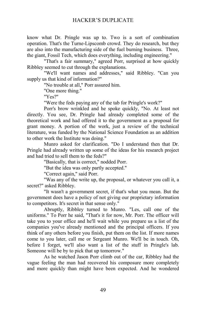know what Dr. Pringle was up to. Two is a sort of combination operation. That's the Turne-Lipscomb crowd. They do research, but they are also into the manufacturing side of the fuel burning business. Three, the giant, Fossil Tech, which does everything, including engineering."

"That's a fair summary," agreed Porr, surprised at how quickly Ribbley seemed to cut through the explanations.

"We'll want names and addresses," said Ribbley. "Can you supply us that kind of information?"

"No trouble at all," Porr assured him.

"One more thing."

"Yes?"

"Were the feds paying any of the tab for Pringle's work?"

Porr's brow wrinkled and he spoke quickly, "No. At least not directly. You see, Dr. Pringle had already completed some of the theoretical work and had offered it to the government as a proposal for grant money. A portion of the work, just a review of the technical literature, was funded by the National Science Foundation as an addition to other work the Institute was doing."

Munro asked for clarification. "Do I understand then that Dr. Pringle had already written up some of the ideas for his research project and had tried to sell them to the feds?"

"Basically, that is correct," nodded Porr.

"But the idea was only partly accepted."

"Correct again," said Porr.

"Was any of the write up, the proposal, or whatever you call it, a secret?" asked Ribbley.

"It wasn't a government secret, if that's what you mean. But the government does have a policy of not giving our proprietary information to competitors. It's secret in that sense only."

Abruptly, Ribbley turned to Munro. "Les, call one of the uniforms." To Porr he said, "That's it for now, Mr. Porr. The officer will take you to your office and he'll wait while you prepare us a list of the companies you've already mentioned and the principal officers. If you think of any others before you finish, put them on the list. If more names come to you later, call me or Sergeant Munro. We'll be in touch. Oh, before I forget, we'll also want a list of the stuff in Pringle's lab. Someone will be by to pick that up tomorrow."

As he watched Jason Porr climb out of the car, Ribbley had the vague feeling the man had recovered his composure more completely and more quickly than might have been expected. And he wondered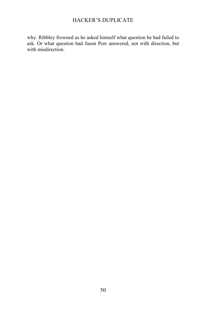why. Ribbley frowned as he asked himself what question he had failed to ask. Or what question had Jason Porr answered, not with direction, but with misdirection.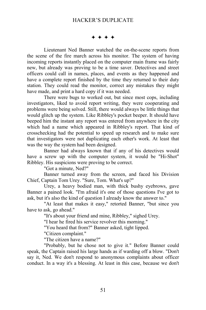$***$ 

Lieutenant Ned Banner watched the on-the-scene reports from the scene of the fire march across his monitor. The system of having incoming reports instantly placed on the computer main frame was fairly new, but already was proving to be a time saver. Detectives and street officers could call in names, places, and events as they happened and have a complete report finished by the time they returned to their duty station. They could read the monitor, correct any mistakes they might have made, and print a hard copy if it was needed.

There were bugs to worked out, but since most cops, including investigators, liked to avoid report writing, they were cooperating and problems were being solved. Still, there would always be little things that would glitch up the system. Like Ribbley's pocket beeper. It should have beeped him the instant any report was entered from anywhere in the city which had a name which appeared in Ribbley's report. That kind of crosschecking had the potential to speed up research and to make sure that investigators were not duplicating each other's work. At least that was the way the system had been designed.

Banner had always known that if any of his detectives would have a screw up with the computer system, it would be "Hi-Shot" Ribbley. His suspicions were proving to be correct.

"Got a minute, Ned?"

Banner turned away from the screen, and faced his Division Chief, Captain Tom Urey. "Sure, Tom. What's up?"

Urey, a heavy bodied man, with thick bushy eyebrows, gave Banner a pained look. "I'm afraid it's one of those questions I've got to ask, but it's also the kind of question I already know the answer to."

"At least that makes it easy," retorted Banner, "but since you have to ask, go ahead."

"It's about your friend and mine, Ribbley," sighed Urey.

"I hear he fired his service revolver this morning."

"You heard that from?" Banner asked, tight lipped.

"Citizen complaint."

"The citizen have a name?"

"Probably, but he chose not to give it." Before Banner could speak, the Captain raised his large hands as if warding off a blow. "Don't say it, Ned. We don't respond to anonymous complaints about officer conduct. In a way it's a blessing. At least in this case, because we don't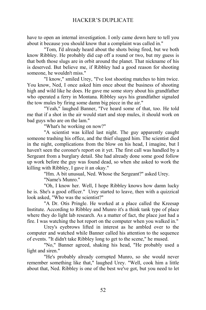have to open an internal investigation. I only came down here to tell you about it because you should know that a complaint was called in."

"Tom, I'd already heard about the shots being fired, but we both know Ribbley. He probably did cap off a round or two, but my guess is that both those slugs are in orbit around the planet. That nickname of his is deserved. But believe me, if Ribbley had a good reason for shooting someone, he wouldn't miss."

"I know," smiled Urey, "I've lost shooting matches to him twice. You know, Ned, I once asked him once about the business of shooting high and wild like he does. He gave me some story about his grandfather who operated a ferry in Montana. Ribbley says his grandfather signaled the tow mules by firing some damn big piece in the air."

"Yeah," laughed Banner, "I've heard some of that, too. He told me that if a shot in the air would start and stop mules, it should work on bad guys who are on the lam."

"What's he working on now?"

"A scientist was killed last night. The guy apparently caught someone trashing his office, and the thief slugged him. The scientist died in the night, complications from the blow on his head, I imagine, but I haven't seen the coroner's report on it yet. The first call was handled by a Sergeant from a burglary detail. She had already done some good follow up work before the guy was found dead, so when she asked to work the killing with Ribbley, I gave it an okay."

"Hm. A bit unusual, Ned. Whose the Sergeant?" asked Urey.

"Name's Munro."

"Oh, I know her. Well, I hope Ribbley knows how damn lucky he is. She's a good officer." Urey started to leave, then with a quizzical look asked, "Who was the scientist?"

"A Dr. Otis Pringle. He worked at a place called the Kreesap Institute. According to Ribbley and Munro it's a think tank type of place where they do light lab research. As a matter of fact, the place just had a fire. I was watching the hot report on the computer when you walked in."

Urey's eyebrows lifted in interest as he ambled over to the computer and watched while Banner called his attention to the sequence of events. "It didn't take Ribbley long to get to the scene," he mused.

"No," Banner agreed, shaking his head, "He probably used a light and siren."

"He's probably already corrupted Munro, so she would never remember something like that," laughed Urey. "Well, cook him a little about that, Ned. Ribbley is one of the best we've got, but you need to let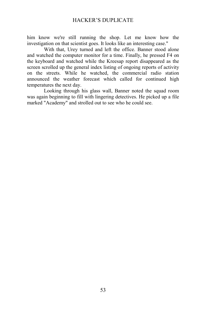him know we're still running the shop. Let me know how the investigation on that scientist goes. It looks like an interesting case."

With that, Urey turned and left the office. Banner stood alone and watched the computer monitor for a time. Finally, he pressed F4 on the keyboard and watched while the Kreesap report disappeared as the screen scrolled up the general index listing of ongoing reports of activity on the streets. While he watched, the commercial radio station announced the weather forecast which called for continued high temperatures the next day.

Looking through his glass wall, Banner noted the squad room was again beginning to fill with lingering detectives. He picked up a file marked "Academy" and strolled out to see who he could see.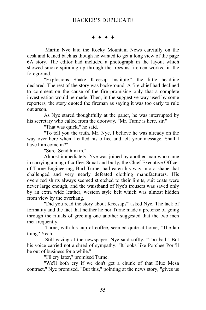$***$ 

Martin Nye laid the Rocky Mountain News carefully on the desk and leaned back as though he wanted to get a long view of the page 6A story. The editor had included a photograph in the layout which showed smoke spiraling up through the trees as firemen worked in the foreground.

"Explosions Shake Kreesap Institute," the little headline declared. The rest of the story was background. A fire chief had declined to comment on the cause of the fire promising only that a complete investigation would be made. Then, in the suggestive way used by some reporters, the story quoted the fireman as saying it was too early to rule out arson.

As Nye stared thoughtfully at the paper, he was interrupted by his secretary who called from the doorway, "Mr. Turne is here, sir."

"That was quick," he said.

"To tell you the truth, Mr. Nye, I believe he was already on the way over here when I called his office and left your message. Shall I have him come in?"

"Sure. Send him in."

Almost immediately, Nye was joined by another man who came in carrying a mug of coffee. Squat and burly, the Chief Executive Officer of Turne Engineering, Burl Turne, had eaten his way into a shape that challenged and very nearly defeated clothing manufacturers. His oversized shirts always seemed stretched to their limits, suit coats were never large enough, and the waistband of Nye's trousers was saved only by an extra wide leather, western style belt which was almost hidden from view by the overhang.

"Did you read the story about Kreesap?" asked Nye. The lack of formality and the fact that neither he nor Turne made a pretense of going through the rituals of greeting one another suggested that the two men met frequently.

 Turne, with his cup of coffee, seemed quite at home, "The lab thing? Yeah."

 Still gazing at the newspaper, Nye said softly, "Too bad." But his voice carried not a shred of sympathy. "It looks like Porchee Porr'll be out of business for a while."

"I'll cry later," promised Turne.

"We'll both cry if we don't get a chunk of that Blue Mesa contract," Nye promised. "But this," pointing at the news story, "gives us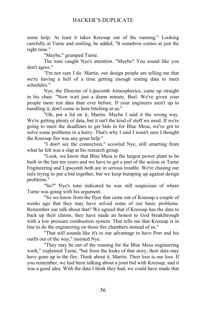some help. At least it takes Kreesap out of the running." Looking carefully at Turne and smiling, he added, "It somehow comes at just the right time."

"Maybe," grumped Turne.

The tone caught Nye's attention. "Maybe? You sound like you don't agree."

"I'm not sure I do. Martin, our design people are telling me that we're having a hell of a time getting enough testing data to meet schedules."

Nye, the Director of Lipscomb Atmospherics, came up straight in his chair. "Now wait just a damn minute, Burl. We've given your people more test data than ever before. If your engineers aren't up to handling it, don't come in here bitching at us."

"Oh, put a lid on it, Martin. Maybe I said it the wrong way. We're getting plenty of data, but it isn't the kind of stuff we need. If we're going to meet the deadlines to get bids in for Blue Mesa, we've got to solve some problems in a hurry. That's why I said I wasn't sure I thought the Kreesap fire was any great help."

"I don't see the connection," scowled Nye, still smarting from what he felt was a slap at his research group.

"Look, we know that Blue Mesa is the largest power plant to be built in the last ten years and we have to get a part of the action or Turne Engineering and Lipscomb both are in serious trouble. We're chasing our tails trying to put a bid together, but we keep bumping up against design problems."

"So?" Nye's tone indicated he was still suspicious of where Turne was going with his argument.

"So we know from the flyer that came out of Kreesap a couple of weeks ago that they may have solved some of our basic problems. Remember our talk about that? We agreed that if Kreesap has the data to back up their claims, they have made an honest to God breakthrough with a low pressure combustion system. That tells me that Kreesap is in line to do the engineering on those fire chambers instead of us."

"That still sounds like it's to our advantage to have Porr and his outfit out of the way," insisted Nye.

"They may be out of the running for the Blue Mesa engineering work," explained Turne, "but from the looks of that story, their data may have gone up in the fire. Think about it, Martin. Their loss is our loss. If you remember, we had been talking about a joint bid with Kreesap, and it was a good idea. With the data I think they had, we could have made that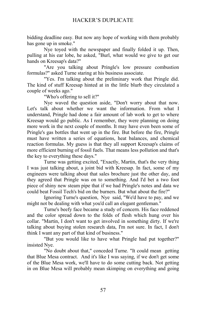bidding deadline easy. But now any hope of working with them probably has gone up in smoke."

Nye toyed with the newspaper and finally folded it up. Then, pulling at his ear lobe, he asked, "Burl, what would we give to get our hands on Kreesap's data?"

"Are you talking about Pringle's low pressure combustion formulas?" asked Turne staring at his business associate.

"Yes. I'm talking about the preliminary work that Pringle did. The kind of stuff Kreesap hinted at in the little blurb they circulated a couple of weeks ago."

"Who's offering to sell it?"

Nye waved the question aside, "Don't worry about that now. Let's talk about whether we want the information. From what I understand, Pringle had done a fair amount of lab work to get to where Kreesap would go public. As I remember, they were planning on doing more work in the next couple of months. It may have even been some of Pringle's gas bottles that went up in the fire. But before the fire, Pringle must have written a series of equations, heat balances, and chemical reaction formulas. My guess is that they all support Kreesap's claims of more efficient burning of fossil fuels. That means less pollution and that's the key to everything these days."

Turne was getting excited, "Exactly, Martin, that's the very thing I was just talking about, a joint bid with Kreesap. In fact, some of my engineers were talking about that sales brochure just the other day, and they agreed that Pringle was on to something. And I'd bet a two foot piece of shiny new steam pipe that if we had Pringle's notes and data we could beat Fossil Tech's bid on the burners. But what about the fire?"

Ignoring Turne's question, Nye said, "We'd have to pay, and we might not be dealing with what you'd call an elegant gentleman."

Turne's beefy face became a study of concern. His face reddened and the color spread down to the folds of flesh which hung over his collar. "Martin, I don't want to get involved in something dirty. If we're talking about buying stolen research data, I'm not sure. In fact, I don't think I want any part of that kind of business."

"But you would like to have what Pringle had put together?" insisted Nye.

"No doubt about that," conceded Turne. "It could mean getting that Blue Mesa contract. And it's like I was saying, if we don't get some of the Blue Mesa work, we'll have to do some cutting back. Not getting in on Blue Mesa will probably mean skimping on everything and going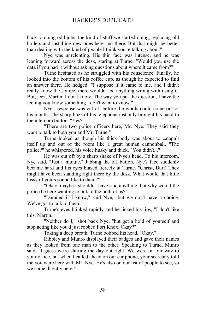back to doing odd jobs, the kind of stuff we started doing, replacing old boilers and installing new ones here and there. But that might be better than dealing with the kind of people I think you're talking about."

Nye was unrelenting. His thin face was intense, and he was leaning forward across the desk, staring at Turne. "Would you use the data if you had it without asking questions about where it came from?"

Turne hesitated as he struggled with his conscience. Finally, he looked into the bottom of his coffee cup, as though he expected to find an answer there. He hedged. "I suppose if it came to me, and I didn't really know the source, there wouldn't be anything wrong with using it. But, jeez, Martin, I don't know. The way you put the question, I have the feeling you know something I don't want to know."

Nye's response was cut off before the words could come out of his mouth. The sharp buzz of his telephone instantly brought his hand to the intercom button. "Yes?"

"There are two police officers here, Mr. Nye. They said they want to talk to both you and Mr. Turne."

Turne looked as though his thick body was about to catapult itself up and out of the room like a great human cannonball. "The police?" he whispered, his voice husky and thick. "You didn't..."

He was cut off by a sharp shake of Nye's head. To his intercom, Nye said, "Just a minute." Jabbing the off button, Nye's face suddenly became hard and his eyes blazed fiercely at Turne. "Christ, Burl! They might have been standing right there by the desk. What would that little hissy of yours sound like to them?"

"Okay, maybe I shouldn't have said anything, but why would the police be here wanting to talk to the both of us?"

"Damned if I know," said Nye, "but we don't have a choice. We've got to talk to them."

Turne's eyes blinked rapidly and he licked his lips, "I don't like this, Martin."

"Neither do I," shot back Nye, "but get a hold of yourself and stop acting like you'd just robbed Fort Knox. Okay?"

Taking a deep breath, Turne bobbed his head, "Okay."

Ribbley and Munro displayed their badges and gave their names as they looked from one man to the other. Speaking to Turne, Munro said, "I guess we're starting the day out right. We were on our way to your office, but when I called ahead on our car phone, your secretary told me you were here with Mr. Nye. He's also on our list of people to see, so we came directly here."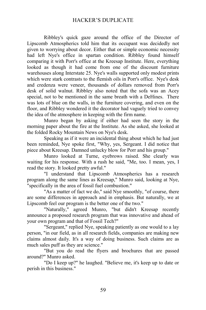Ribbley's quick gaze around the office of the Director of Lipscomb Atmospherics told him that its occupant was decidedly not given to worrying about decor. Either that or simple economic necessity had left Nye's office in spartan condition. Ribbley found himself comparing it with Porr's office at the Kreesap Institute. Here, everything looked as though it had come from one of the discount furniture warehouses along Interstate 25. Nye's walls supported only modest prints which were stark contrasts to the flemish oils in Porr's office. Nye's desk and credenza were veneer, thousands of dollars removed from Porr's desk of solid walnut. Ribbley also noted that the sofa was an Acey special, not to be mentioned in the same breath with a DeHines. There was lots of blue on the walls, in the furniture covering, and even on the floor, and Ribbley wondered it the decorator had vaguely tried to convey the idea of the atmosphere in keeping with the firm name.

Munro began by asking if either had seen the story in the morning paper about the fire at the Institute. As she asked, she looked at the folded Rocky Mountain News on Nye's desk.

Speaking as if it were an incidental thing about which he had just been reminded, Nye spoke first, "Why, yes, Sergeant. I did notice that piece about Kreesap. Damned unlucky blow for Porr and his group."

Munro looked at Turne, eyebrows raised. She clearly was waiting for his response. With a rush he said, "Me, too. I mean, yes, I read the story. It looked pretty awful."

"I understand that Lipscomb Atmospherics has a research program along the same lines as Kreesap," Munro said, looking at Nye, "specifically in the area of fossil fuel combustion."

"As a matter of fact we do," said Nye smoothly, "of course, there are some differences in approach and in emphasis. But naturally, we at Lipscomb feel our program is the better one of the two."

"Naturally," agreed Munro, "but didn't Kreesap recently announce a proposed research program that was innovative and ahead of your own program and that of Fossil Tech?"

"Sergeant," replied Nye, speaking patiently as one would to a lay person, "in our field, as in all research fields, companies are making new claims almost daily. It's a way of doing business. Such claims are as much sales puff as they are science."

"But you do read the flyers and brochures that are passed around?" Munro asked.

"Do I keep up?" he laughed. "Believe me, it's keep up to date or perish in this business."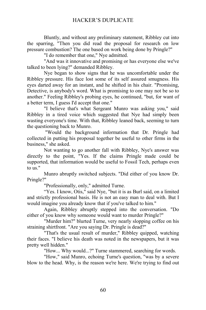Bluntly, and without any preliminary statement, Ribbley cut into the sparring, "Then you did read the proposal for research on low pressure combustion? The one based on work being done by Pringle?"

"I do remember that one," Nye admitted.

"And was it innovative and promising or has everyone else we've talked to been lying?" demanded Ribbley.

Nye began to show signs that he was uncomfortable under the Ribbley pressure. His face lost some of its self assured smugness. His eyes darted away for an instant, and he shifted in his chair. "Promising, Detective, is anybody's word. What is promising to one may not be so to another." Feeling Ribbley's probing eyes, he continued, "but, for want of a better term, I guess I'd accept that one."

"I believe that's what Sergeant Munro was asking you," said Ribbley in a tired voice which suggested that Nye had simply been wasting everyone's time. With that, Ribbley leaned back, seeming to turn the questioning back to Munro.

 "Would the background information that Dr. Pringle had collected in putting his proposal together be useful to other firms in the business," she asked.

Not wanting to go another fall with Ribbley, Nye's answer was directly to the point, "Yes. If the claims Pringle made could be supported, that information would be useful to Fossil Tech, perhaps even to us."

Munro abruptly switched subjects. "Did either of you know Dr. Pringle?"

"Professionally, only," admitted Turne.

"Yes. I know, Otis," said Nye, "but it is as Burl said, on a limited and strictly professional basis. He is not an easy man to deal with. But I would imagine you already know that if you've talked to him."

Again, Ribbley abruptly stepped into the conversation. "Do either of you know why someone would want to murder Pringle?"

"Murder him?" blurted Turne, very nearly slopping coffee on his straining shirtfront. "Are you saying Dr. Pringle is dead?"

"That's the usual result of murder," Ribbley quipped, watching their faces. "I believe his death was noted in the newspapers, but it was pretty well hidden."

"How... Why would...?" Turne stammered, searching for words.

"How," said Munro, echoing Turne's question, "was by a severe blow to the head. Why, is the reason we're here. We're trying to find out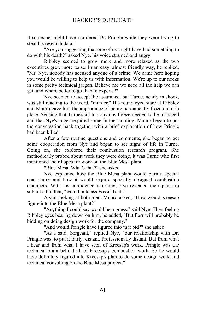if someone might have murdered Dr. Pringle while they were trying to steal his research data."

"Are you suggesting that one of us might have had something to do with his death?" asked Nye, his voice strained and angry.

Ribbley seemed to grow more and more relaxed as the two executives grew more tense. In an easy, almost friendly way, he replied, "Mr. Nye, nobody has accused anyone of a crime. We came here hoping you would be willing to help us with information. We're up to our necks in some pretty technical jargon. Believe me we need all the help we can get, and where better to go than to experts?"

Nye seemed to accept the assurance, but Turne, nearly in shock, was still reacting to the word, "murder." His round eyed stare at Ribbley and Munro gave him the appearance of being permanently frozen him in place. Sensing that Turne's all too obvious freeze needed to be managed and that Nye's anger required some further cooling, Munro began to put the conversation back together with a brief explanation of how Pringle had been killed.

After a few routine questions and comments, she began to get some cooperation from Nye and began to see signs of life in Turne. Going on, she explored their combustion research program. She methodically probed about work they were doing. It was Turne who first mentioned their hopes for work on the Blue Mesa plant.

"Blue Mesa. What's that?" she asked.

Nye explained how the Blue Mesa plant would burn a special coal slurry and how it would require specially designed combustion chambers. With his confidence returning, Nye revealed their plans to submit a bid that, "would outclass Fossil Tech."

Again looking at both men, Munro asked, "How would Kreesap figure into the Blue Mesa plant?"

"Anything I could say would be a guess," said Nye. Then feeling Ribbley eyes bearing down on him, he added, "But Porr will probably be bidding on doing design work for the company."

"And would Pringle have figured into that bid?" she asked.

"As I said, Sergeant," replied Nye, "our relationship with Dr. Pringle was, to put it fairly, distant. Professionally distant. But from what I hear and from what I have seen of Kreesap's work, Pringle was the technical brain behind all of Kreesap's combustion work. So he would have definitely figured into Kreesap's plan to do some design work and technical consulting on the Blue Mesa project."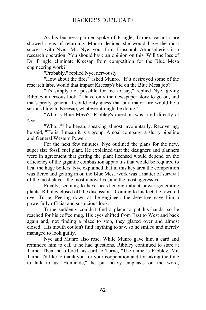As his business partner spoke of Pringle, Turne's vacant stare showed signs of returning. Munro decided she would have the most success with Nye. "Mr. Nye, your firm, Lipscomb Atmospherics is a research operation. You should have an opinion on this. Will the loss of Dr. Pringle eliminate Kreesap from competition for the Blue Mesa engineering work?"

"Probably," replied Nye, nervously.

"How about the fire?" asked Munro. "If it destroyed some of the research labs, would that impact Kreesap's bid on the Blue Mesa job?"

"It's simply not possible for me to say," replied Nye, giving Ribbley a nervous look, "I have only the newspaper story to go on, and that's pretty general. I could only guess that any major fire would be a serious blow to Kreesap, whatever it might be doing."

"Who is Blue Mesa?" Ribbley's question was fired directly at Nye.

"Who...?" he began, speaking almost involuntarily. Recovering, he said, "He is. I mean it is a group. A coal company, a slurry pipeline and General Western Power."

For the next few minutes, Nye outlined the plans for the new, super size fossil fuel plant. He explained that the designers and planners were in agreement that getting the plant licensed would depend on the efficiency of the gigantic combustion apparatus that would be required to heat the huge boilers. Nye explained that in this key area the competition was fierce and getting in on the Blue Mesa work was a matter of survival of the most clever, the most innovative, and the most aggressive.

Finally, seeming to have heard enough about power generating plants, Ribbley closed off the discussion. Coming to his feet, he towered over Turne. Peering down at the engineer, the detective gave him a powerfully official and suspicious look.

Turne suddenly couldn't find a place to put his hands, so he reached for his coffee mug. His eyes shifted from East to West and back again and, not finding a place to stop, they glazed over and almost closed. His mouth couldn't find anything to say, so he smiled and merely managed to look guilty.

Nye and Munro also rose. While Munro gave him a card and reminded him to call if he had questions, Ribbley continued to stare at Turne. Then, he offered his card to Turne, "The name is Ribbley, Mr. Turne. I'd like to thank you for your cooperation and for taking the time to talk to us. Homicide," he put heavy emphasis on the word,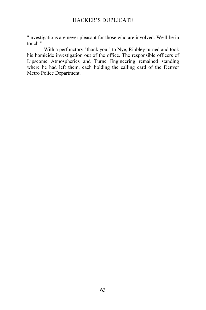"investigations are never pleasant for those who are involved. We'll be in touch."

With a perfunctory "thank you," to Nye, Ribbley turned and took his homicide investigation out of the office. The responsible officers of Lipscome Atmospherics and Turne Engineering remained standing where he had left them, each holding the calling card of the Denver Metro Police Department.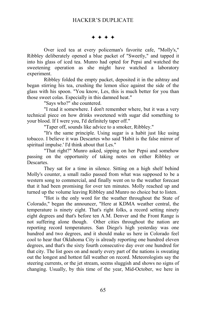#### $***$

Over iced tea at every policeman's favorite cafe, "Molly's," Ribbley deliberately opened a blue packet of "Sweetly," and tapped it into his glass of iced tea. Munro had opted for Pepsi and watched the sweetening operation as she might have watched a laboratory experiment.

Ribbley folded the empty packet, deposited it in the ashtray and began stirring his tea, crushing the lemon slice against the side of the glass with his spoon. "You know, Les, this is much better for you than those sweet colas. Especially in this damned heat."

"Says who?" she countered.

"I read it somewhere. I don't remember where, but it was a very technical piece on how drinks sweetened with sugar did something to your blood. If I were you, I'd definitely taper off."

"Taper off, sounds like advice to a smoker, Ribbley."

"It's the same principle. Using sugar is a habit just like using tobacco. I believe it was Descartes who said 'Habit is the false mirror of spiritual impulse.' I'd think about that Les."

"That right?" Munro asked, sipping on her Pepsi and somehow passing on the opportunity of taking notes on either Ribbley or **Descartes** 

They sat for a time in silence. Sitting on a high shelf behind Molly's counter, a small radio passed from what was supposed to be a western song to commercial, and finally went on to the weather forecast that it had been promising for over ten minutes. Molly reached up and turned up the volume leaving Ribbley and Munro no choice but to listen.

"Hot is the only word for the weather throughout the State of Colorado," began the announcer, "Here at KDMA weather central, the temperature is ninety eight. That's right folks, a record setting ninety eight degrees and that's before ten A.M. Denver and the Front Range is not suffering alone though. Other cities throughout the nation are reporting record temperatures. San Diego's high yesterday was one hundred and two degrees, and it should make us here in Colorado feel cool to hear that Oklahoma City is already reporting one hundred eleven degrees, and that's the sixty fourth consecutive day over one hundred for that city. The list goes on and nearly every part of the nations is sweating out the longest and hottest fall weather on record. Meteorologists say the steering currents, or the jet stream, seems sluggish and shows no signs of changing. Usually, by this time of the year, Mid-October, we here in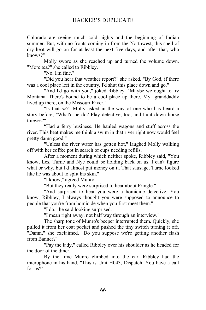Colorado are seeing much cold nights and the beginning of Indian summer. But, with no fronts coming in from the Northwest, this spell of dry heat will go on for at least the next five days, and after that, who knows?"

Molly swore as she reached up and turned the volume down. "More tea?" she called to Ribbley.

"No, I'm fine."

"Did you hear that weather report?" she asked. "By God, if there was a cool place left in the country, I'd shut this place down and go."

"And I'd go with you," joked Ribbley. "Maybe we ought to try Montana. There's bound to be a cool place up there. My granddaddy lived up there, on the Missouri River."

"Is that so?" Molly asked in the way of one who has heard a story before, "What'd he do? Play detective, too, and hunt down horse thieves?"

"Had a ferry business. He hauled wagons and stuff across the river. This heat makes me think a swim in that river right now would feel pretty damn good."

"Unless the river water has gotten hot," laughed Molly walking off with her coffee pot in search of cups needing refills.

After a moment during which neither spoke, Ribbley said, "You know, Les, Turne and Nye could be holding back on us. I can't figure what or why, but I'd almost put money on it. That sausage, Turne looked like he was about to split his skin."

"I know," agreed Munro.

"But they really were surprised to hear about Pringle."

"And surprised to hear you were a homicide detective. You know, Ribbley, I always thought you were supposed to announce to people that you're from homicide when you first meet them."

"I do," he said looking surprised.

"I mean right away, not half way through an interview."

The sharp tone of Munro's beeper interrupted them. Quickly, she pulled it from her coat pocket and pushed the tiny switch turning it off. "Damn," she exclaimed, "Do you suppose we're getting another flash from Banner?"

"Pay the lady," called Ribbley over his shoulder as he headed for the door of the diner.

By the time Munro climbed into the car, Ribbley had the microphone in his hand, "This is Unit H043, Dispatch. You have a call for us?"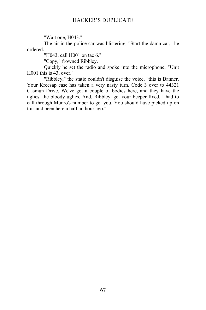"Wait one, H043."

The air in the police car was blistering. "Start the damn car," he ordered.

"H043, call H001 on tac 6."

"Copy," frowned Ribbley.

Quickly he set the radio and spoke into the microphone, "Unit H001 this is 43, over."

"Ribbley," the static couldn't disguise the voice, "this is Banner. Your Kreesap case has taken a very nasty turn. Code 3 over to 44321 Casmun Drive. We've got a couple of bodies here, and they have the uglies, the bloody uglies. And, Ribbley, get your beeper fixed. I had to call through Munro's number to get you. You should have picked up on this and been here a half an hour ago."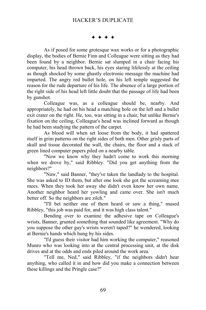$***$ 

As if posed for some grotesque wax works or for a photographic display, the bodies of Bernie Finn and Colleague were sitting as they had been found by a neighbor. Bernie sat slumped in a chair facing his computer, his head thrown back, his eyes staring lifelessly at the ceiling as though shocked by some ghastly electronic message the machine had imparted. The angry red bullet hole, on his left temple suggested the reason for the rude departure of his life. The absence of a large portion of the right side of his head left little doubt that the passage of life had been by gunshot.

Colleague was, as a colleague should be, nearby. And appropriately, he had on his head a matching hole on the left and a bullet exit crater on the right. He, too, was sitting in a chair, but unlike Bernie's fixation on the ceiling, Colleague's head was inclined forward as though he had been studying the pattern of the carpet.

As blood will when set loose from the body, it had spattered itself in grim patterns on the right sides of both men. Other grisly parts of skull and tissue decorated the wall, the chairs, the floor and a stack of green lined computer papers piled on a nearby table.

"Now we know why they hadn't come to work this morning when we drove by," said Ribbley. "Did you get anything from the neighbors?"

"Naw," said Banner, "they've taken the landlady to the hospital. She was asked to ID them, but after one look she got the screaming mee mees. When they took her away she didn't even know her own name. Another neighbor heard her yowling and came over. She isn't much better off. So the neighbors are zilch."

"I'll bet neither one of them heard or saw a thing," mused Ribbley, "this job was paid for, and it was high class talent."

Bending over to examine the adhesive tape on Colleague's wrists, Banner, grunted something that sounded like agreement. "Why do you suppose the other guy's wrists weren't taped?" he wondered, looking at Bernie's hands which hung by his sides.

"I'd guess their visitor had him working the computer," reasoned Munro who was looking into at the central processing unit, at the disk drives and at the odds and ends piled around the work area.

"Tell me, Ned," said Ribbley, "if the neighbors didn't hear anything, who called it in and how did you make a connection between these killings and the Pringle case?"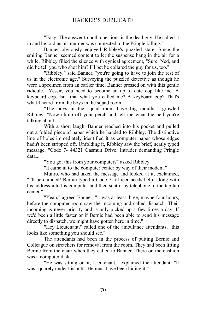"Easy. The answer to both questions is the dead guy. He called it in and he told us his murder was connected to the Pringle killing."

Banner obviously enjoyed Ribbley's puzzled stare. Since the smiling Banner seemed content to let the suspense hang in the air for a while, Ribbley filled the silence with cynical agreement, "Sure, Ned, and did he tell you who shot him? I'll bet he collared the guy for us, too."

"Ribbley," said Banner, "you're going to have to join the rest of us in the electronic age." Surveying the puzzled detective as though he were a specimen from an earlier time. Banner pressed on with this gentle ridicule. "Yessir, you need to become an up to date cop like me. A keyboard cop. Isn't that what you called me? A keyboard cop? That's what I heard from the boys in the squad room."

"The boys in the squad room have big mouths," growled Ribbley. "Now climb off your perch and tell me what the hell you're talking about."

With a short laugh, Banner reached into his pocket and pulled out a folded piece of paper which he handed to Ribbley. The distinctive line of holes immediately identified it as computer paper whose edges hadn't been stripped off. Unfolding it, Ribbley saw the brief, neatly typed message, "Code 7- 44321 Casmun Drive. Intruder demanding Pringle data<sup>"</sup>

"You got this from your computer?" asked Ribbley.

"It came in to the computer center by way of their modem."

Munro, who had taken the message and looked at it, exclaimed, "I'll be damned! Bernie typed a Code 7- officer needs help- along with his address into his computer and then sent it by telephone to the tap tap center."

"Yeah," agreed Banner, "it was at least three, maybe four hours, before the computer room saw the incoming and called dispatch. Their incoming is never priority and is only picked up a few times a day. If we'd been a little faster or if Bernie had been able to send his message directly to dispatch, we might have gotten here in time."

"Hey Lieutenant," called one of the ambulance attendants, "this looks like something you should see."

The attendants had been in the process of putting Bernie and Colleague on stretchers for removal from the room. They had been lifting Bernie from the chair when they called to Banner. There on the cushion was a computer disk.

"He was sitting on it, Lieutenant," explained the attendant. "It was squarely under his butt. He must have been hiding it."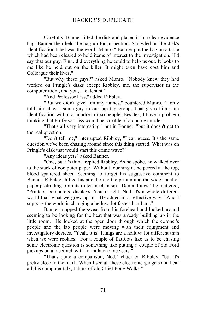Carefully, Banner lifted the disk and placed it in a clear evidence bag. Banner then held the bag up for inspection. Scrawled on the disk's identification label was the word "Munro." Banner put the bag on a table which had been cleared to hold items of interest to the investigation. "I'd say that our guy, Finn, did everything he could to help us out. It looks to me like he held out on the killer. It might even have cost him and Colleague their lives."

"But why these guys?" asked Munro. "Nobody knew they had worked on Pringle's disks except Ribbley, me, the supervisor in the computer room, and you, Lieutenant."

"And Professor Liss," added Ribbley.

"But we didn't give him any names," countered Munro. "I only told him it was some guy in our tap tap group. That gives him a an identification within a hundred or so people. Besides, I have a problem thinking that Professor Liss would be capable of a double murder."

"That's all very interesting," put in Banner, "but it doesn't get to the real question."

"Don't tell me," interrupted Ribbley, "I can guess. It's the same question we've been chasing around since this thing started. What was on Pringle's disk that would start this crime wave?"

"Any ideas yet?" asked Banner.

"One, but it's thin," replied Ribbley. As he spoke, he walked over to the stack of computer paper. Without touching it, he peered at the top, blood spattered sheet. Seeming to forget his suggestive comment to Banner, Ribbley shifted his attention to the printer and the wide sheet of paper protruding from its roller mechanism. "Damn things," he muttered, "Printers, computers, displays. You're right, Ned, it's a whole different world than what we grew up in." He added in a reflective way, "And I suppose the world is changing a helluva lot faster than I am."

Banner mopped the sweat from his forehead and looked around seeming to be looking for the heat that was already building up in the little room. He looked at the open door through which the coroner's people and the lab people were moving with their equipment and investigatory devices. "Yeah, it is. Things are a helluva lot different than when we were rookies. For a couple of flatfoots like us to be chasing some electronic question is something like putting a couple of old Ford pickups on a racetrack with formula one race cars."

"That's quite a comparison, Ned," chuckled Ribbley, "but it's pretty close to the mark. When I see all these electronic gadgets and hear all this computer talk, I think of old Chief Pony Walks."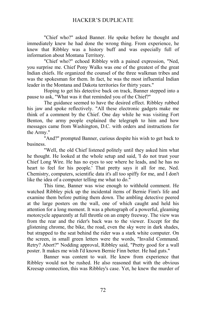"Chief who?" asked Banner. He spoke before he thought and immediately knew he had done the wrong thing. From experience, he knew that Ribbley was a history buff and was especially full of information about Montana Territory.

"Chief who?" echoed Ribbley with a pained expression, "Ned, you surprise me. Chief Pony Walks was one of the greatest of the great Indian chiefs. He organized the counsel of the three walkman tribes and was the spokesman for them. In fact, he was the most influential Indian leader in the Montana and Dakota territories for thirty years."

Hoping to get his detective back on track, Banner stepped into a pause to ask, "What was it that reminded you of the Chief?"

The guidance seemed to have the desired effect. Ribbley rubbed his jaw and spoke reflectively. "All these electronic gadgets make me think of a comment by the Chief. One day while he was visiting Fort Benton, the army people explained the telegraph to him and how messages came from Washington, D.C. with orders and instructions for the Army."

"And?" prompted Banner, curious despite his wish to get back to business.

"Well, the old Chief listened politely until they asked him what he thought. He looked at the whole setup and said, 'I do not trust your Chief Long Wire. He has no eyes to see where he leads, and he has no heart to feel for his people.' That pretty says it all for me, Ned. Chemistry, computers, scientific data it's all too spiffy for me, and I don't like the idea of a computer telling me what to do."

This time, Banner was wise enough to withhold comment. He watched Ribbley pick up the incidental items of Bernie Finn's life and examine them before putting them down. The ambling detective peered at the large posters on the wall, one of which caught and held his attention for a long moment. It was a photograph of a powerful, gleaming motorcycle apparently at full throttle on an empty freeway. The view was from the rear and the rider's back was to the viewer. Except for the glistening chrome, the bike, the road, even the sky were in dark shades, but strapped to the seat behind the rider was a stark white computer. On the screen, in small green letters were the words, "Invalid Command. Retry? Abort?" Nodding approval, Ribbley said, "Pretty good for a wall poster. It makes me wish I'd known Bernie Finn better. He had guts."

Banner was content to wait. He knew from experience that Ribbley would not be rushed. He also reasoned that with the obvious Kreesap connection, this was Ribbley's case. Yet, he knew the murder of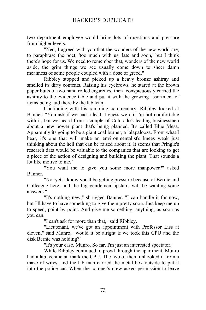two department employee would bring lots of questions and pressure from higher levels.

"Ned, I agreed with you that the wonders of the new world are, to paraphrase the poet, 'too much with us, late and soon,' but I think there's hope for us. We need to remember that, wonders of the new world aside, the grim things we see usually come down to sheer damn meanness of some people coupled with a dose of greed."

Ribbley stopped and picked up a heavy bronze ashtray and smelled its dirty contents. Raising his eyebrows, he stared at the brown paper butts of two hand rolled cigarettes, then conspicuously carried the ashtray to the evidence table and put it with the growing assortment of items being laid there by the lab team.

Continuing with his rambling commentary, Ribbley looked at Banner, "You ask if we had a lead. I guess we do. I'm not comfortable with it, but we heard from a couple of Colorado's leading businessmen about a new power plant that's being planned. It's called Blue Mesa. Apparently its going to be a giant coal burner, a lalapalooza. From what I hear, it's one that will make an environmentalist's knees weak just thinking about the hell that can be raised about it. It seems that Pringle's research data would be valuable to the companies that are looking to get a piece of the action of designing and building the plant. That sounds a lot like motive to me."

"You want me to give you some more manpower?" asked Banner.

"Not yet. I know you'll be getting pressure because of Bernie and Colleague here, and the big gentlemen upstairs will be wanting some answers."

"It's nothing new," shrugged Banner. "I can handle it for now, but I'll have to have something to give them pretty soon. Just keep me up to speed, point by point. And give me something, anything, as soon as you can."

"I can't ask for more than that," said Ribbley.

"Lieutenant, we've got an appointment with Professor Liss at eleven," said Munro, "would it be alright if we took this CPU and the disk Bernie was holding?"

"It's your case, Munro. So far, I'm just an interested spectator."

While Ribbley continued to prowl through the apartment, Munro had a lab technician mark the CPU. The two of them unhooked it from a maze of wires, and the lab man carried the metal box outside to put it into the police car. When the coroner's crew asked permission to leave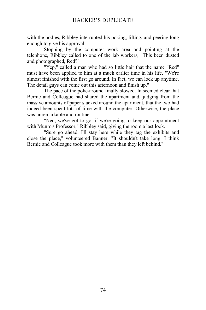with the bodies, Ribbley interrupted his poking, lifting, and peering long enough to give his approval.

Stopping by the computer work area and pointing at the telephone, Ribbley called to one of the lab workers, "This been dusted and photographed, Red?"

"Yep," called a man who had so little hair that the name "Red" must have been applied to him at a much earlier time in his life. "We're almost finished with the first go around. In fact, we can lock up anytime. The detail guys can come out this afternoon and finish up."

The pace of the poke-around finally slowed. In seemed clear that Bernie and Colleague had shared the apartment and, judging from the massive amounts of paper stacked around the apartment, that the two had indeed been spent lots of time with the computer. Otherwise, the place was unremarkable and routine.

"Ned, we've got to go, if we're going to keep our appointment with Munro's Professor," Ribbley said, giving the room a last look.

"Sure go ahead. I'll stay here while they tag the exhibits and close the place," volunteered Banner. "It shouldn't take long. I think Bernie and Colleague took more with them than they left behind."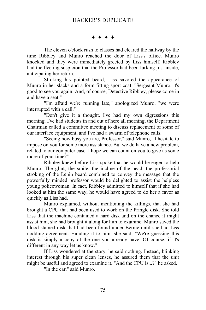$***$ 

The eleven o'clock rush to classes had cleared the hallway by the time Ribbley and Munro reached the door of Liss's office. Munro knocked and they were immediately greeted by Liss himself. Ribbley had the fleeting suspicion that the Professor had been lurking just inside, anticipating her return.

Stroking his pointed beard, Liss savored the appearance of Munro in her slacks and a form fitting sport coat. "Sergeant Munro, it's good to see you again. And, of course, Detective Ribbley, please come in and have a seat."

"I'm afraid we're running late," apologized Munro, "we were interrupted with a call."

"Don't give it a thought. I've had my own digressions this morning. I've had students in and out of here all morning, the Department Chairman called a committee meeting to discuss replacement of some of our interface equipment, and I've had a swarm of telephone calls."

"Seeing how busy you are, Professor," said Munro, "I hesitate to impose on you for some more assistance. But we do have a new problem, related to our computer case. I hope we can count on you to give us some more of your time?"

Ribbley knew before Liss spoke that he would be eager to help Munro. The glint, the smile, the incline of the head, the professorial stroking of the Lenin beard combined to convey the message that the powerfully minded professor would be delighted to assist the helpless young policewoman. In fact, Ribbley admitted to himself that if she had looked at him the same way, he would have agreed to do her a favor as quickly as Liss had.

Munro explained, without mentioning the killings, that she had brought a CPU that had been used to work on the Pringle disk. She told Liss that the machine contained a hard disk and on the chance it might assist him, she had brought it along for him to examine. Munro saved the blood stained disk that had been found under Bernie until she had Liss nodding agreement. Handing it to him, she said, "We're guessing this disk is simply a copy of the one you already have. Of course, if it's different in any way let us know."

If Liss wondered at the story, he said nothing. Instead, blinking interest through his super clean lenses, he assured them that the unit might be useful and agreed to examine it. "And the CPU is...?" he asked.

"In the car," said Munro.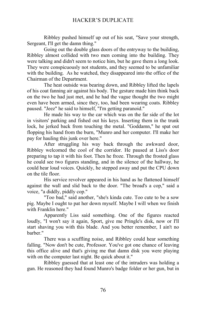Ribbley pushed himself up out of his seat, "Save your strength, Sergeant, I'll get the damn thing."

Going out the double glass doors of the entryway to the building, Ribbley almost collided with two men coming into the building. They were talking and didn't seem to notice him, but he gave them a long look. They were conspicuously not students, and they seemed to be unfamiliar with the building. As he watched, they disappeared into the office of the Chairman of the Department.

The heat outside was bearing down, and Ribbley lifted the lapels of his coat fanning air against his body. The gesture made him think back on the two he had just met, and he had the vague thought the two might even have been armed, since they, too, had been wearing coats. Ribbley paused. "Jeez" he said to himself, "I'm getting paranoid."

He made his way to the car which was on the far side of the lot in visitors' parking and fished out his keys. Inserting them in the trunk lock, he jerked back from touching the metal. "Goddamn," he spat out flopping his hand from the burn, "Munro and her computer. I'll make her pay for hauling this junk over here."

After struggling his way back through the awkward door, Ribbley welcomed the cool of the corridor. He paused at Liss's door preparing to tap it with his foot. Then he froze. Through the frosted glass he could see two figures standing, and in the silence of the hallway, he could hear loud voices. Quickly, he stepped away and put the CPU down on the tile floor.

His service revolver appeared in his hand as he flattened himself against the wall and slid back to the door. "The broad's a cop," said a voice, "a diddly, piddly cop."

"Too bad," said another, "she's kinda cute. Too cute to be a sow pig. Maybe I ought to pat her down myself. Maybe I will when we finish with Franklin here."

Apparently Liss said something. One of the figures reacted loudly, "I won't say it again, Sport, give me Pringle's disk, now or I'll start shaving you with this blade. And you better remember, I ain't no barber."

There was a scuffling noise, and Ribbley could hear something falling. "Now don't be cute, Professor. You've got one chance of leaving this office alive and that's giving me that damn disk you were playing with on the computer last night. Be quick about it."

Ribbley guessed that at least one of the intruders was holding a gun. He reasoned they had found Munro's badge folder or her gun, but in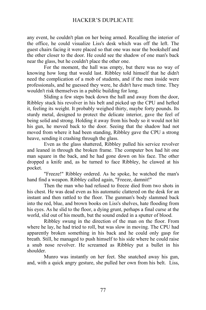any event, he couldn't plan on her being armed. Recalling the interior of the office, he could visualize Liss's desk which was off the left. The guest chairs facing it were placed so that one was near the bookshelf and the other closer to the door. He could see the shadow of one man's back near the glass, but he couldn't place the other one.

For the moment, the hall was empty, but there was no way of knowing how long that would last. Ribbley told himself that he didn't need the complication of a mob of students, and if the men inside were professionals, and he guessed they were, he didn't have much time. They wouldn't risk themselves in a public building for long.

Sliding a few steps back down the hall and away from the door, Ribbley stuck his revolver in his belt and picked up the CPU and hefted it, feeling its weight. It probably weighed thirty, maybe forty pounds. Its sturdy metal, designed to protect the delicate interior, gave the feel of being solid and strong. Holding it away from his body so it would not hit his gun, he moved back to the door. Seeing that the shadow had not moved from where it had been standing, Ribbley gave the CPU a strong heave, sending it crashing through the glass.

Even as the glass shattered, Ribbley pulled his service revolver and leaned in through the broken frame. The computer box had hit one man square in the back, and he had gone down on his face. The other dropped a knife and, as he turned to face Ribbley, he clawed at his pocket.

"Freeze!" Ribbley ordered. As he spoke, he watched the man's hand find a weapon. Ribbley called again, "Freeze, damnit!"

Then the man who had refused to freeze died from two shots in his chest. He was dead even as his automatic clattered on the desk for an instant and then rattled to the floor. The gunman's body slammed back into the red, blue, and brown books on Liss's shelves, hate flooding from his eyes. As he slid to the floor, a dying grunt, perhaps a final curse at the world, slid out of his mouth, but the sound ended in a sputter of blood.

Ribbley swung in the direction of the man on the floor. From where he lay, he had tried to roll, but was slow in moving. The CPU had apparently broken something in his back and he could only gasp for breath. Still, he managed to push himself to his side where he could raise a snub nose revolver. He screamed as Ribbley put a bullet in his shoulder.

Munro was instantly on her feet. She snatched away his gun, and, with a quick angry gesture, she pulled her own from his belt. Liss,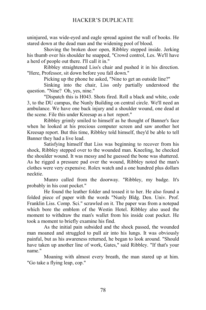uninjured, was wide-eyed and eagle spread against the wall of books. He stared down at the dead man and the widening pool of blood.

Shoving the broken door open, Ribbley stepped inside. Jerking his thumb over his shoulder he snapped, "Crowd control, Les. We'll have a herd of people out there. I'll call it in."

Ribbley straightened Liss's chair and pushed it in his direction. "Here, Professor, sit down before you fall down."

Picking up the phone he asked, "Nine to get an outside line?"

Sinking into the chair, Liss only partially understood the question. "Nine? Oh, yes, nine."

"Dispatch this is H043. Shots fired. Roll a black and white, code 3, to the DU campus, the Nunly Building on central circle. We'll need an ambulance. We have one back injury and a shoulder wound, one dead at the scene. File this under Kreesap as a hot report."

Ribbley grimly smiled to himself as he thought of Banner's face when he looked at his precious computer screen and saw another hot Kreesap report. But this time, Ribbley told himself, they'd be able to tell Banner they had a live lead.

Satisfying himself that Liss was beginning to recover from his shock, Ribbley stepped over to the wounded man. Kneeling, he checked the shoulder wound. It was messy and he guessed the bone was shattered. As he rigged a pressure pad over the wound, Ribbley noted the man's clothes were very expensive. Rolex watch and a one hundred plus dollars necktie.

Munro called from the doorway. "Ribbley, my badge. It's probably in his coat pocket."

He found the leather folder and tossed it to her. He also found a folded piece of paper with the words "Nunly Bldg. Den. Univ. Prof. Franklin Liss. Comp. Sci." scrawled on it. The paper was from a notepad which bore the emblem of the Westin Hotel. Ribbley also used the moment to withdraw the man's wallet from his inside coat pocket. He took a moment to briefly examine his find.

As the initial pain subsided and the shock passed, the wounded man moaned and struggled to pull air into his lungs. It was obviously painful, but as his awareness returned, he began to look around. "Should have taken up another line of work, Gates," said Ribbley. "If that's your name."

Moaning with almost every breath, the man stared up at him. "Go take a flying leap, cop."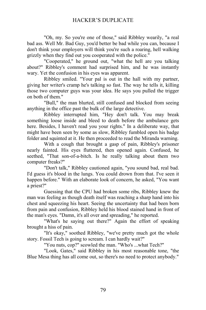"Oh, my. So you're one of those," said Ribbley wearily, "a real bad ass. Well Mr. Bad Guy, you'd better be bad while you can, because I don't think your employers will think you're such a roaring, hell walking grizzly when they find out you cooperated with the police."

"Cooperated," he ground out, "what the hell are you talking about?" Ribbley's comment had surprised him, and he was instantly wary. Yet the confusion in his eyes was apparent.

Ribbley smiled. "Your pal is out in the hall with my partner, giving her writer's cramp he's talking so fast. The way he tells it, killing those two computer guys was your idea. He says you pulled the trigger on both of them."

"Bull," the man blurted, still confused and blocked from seeing anything in the office past the bulk of the large detective.

Ribbley interrupted him, "Hey don't talk. You may break something loose inside and bleed to death before the ambulance gets here. Besides, I haven't read you your rights." In a deliberate way, that might have been seen by some as slow, Ribbley fumbled open his badge folder and squinted at it. He then proceeded to read the Miranda warning.

With a cough that brought a gasp of pain, Ribbley's prisoner nearly fainted. His eyes fluttered, then opened again. Confused, he seethed, "That son-of-a-bitch. Is he really talking about them two computer freaks?"

"Don't talk," Ribbley cautioned again, "you sound bad, real bad. I'd guess it's blood in the lungs. You could drown from that. I've seen it happen before." With an elaborate look of concern, he asked, "You want a priest?"

Guessing that the CPU had broken some ribs, Ribbley knew the man was feeling as though death itself was reaching a sharp hand into his chest and squeezing his heart. Seeing the uncertainty that had been born from pain and confusion, Ribbley held his blood stained hand in front of the man's eyes. "Damn, it's all over and spreading," he reported.

"What's he saying out there?" Again the effort of speaking brought a hiss of pain.

"It's okay," soothed Ribbley, "we've pretty much got the whole story. Fossil Tech is going to scream. I can hardly wait?"

"You nuts, cop?" scowled the man. "Who's ...what Tech?"

"Look, Gates," said Ribbley in his most reasonable tone, "the Blue Mesa thing has all come out, so there's no need to protect anybody."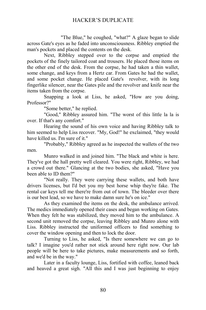"The Blue," he coughed, "what?" A glaze began to slide across Gate's eyes as he faded into unconsciousness. Ribbley emptied the man's pockets and placed the contents on the desk.

Next, Ribbley stepped over to the corpse and emptied the pockets of the finely tailored coat and trousers. He placed those items on the other end of the desk. From the corpse, he had taken a thin wallet, some change, and keys from a Hertz car. From Gates he had the wallet, and some pocket change. He placed Gate's revolver, with its long fingerlike silencer, near the Gates pile and the revolver and knife near the items taken from the corpse.

Snapping a look at Liss, he asked, "How are you doing, Professor?"

"Some better," he replied.

"Good," Ribbley assured him. "The worst of this little la la is over. If that's any comfort."

Hearing the sound of his own voice and having Ribbley talk to him seemed to help Liss recover. "My, God!" he exclaimed, "they would have killed us. I'm sure of it."

"Probably," Ribbley agreed as he inspected the wallets of the two men.

Munro walked in and joined him. "The black and white is here. They've got the hall pretty well cleared. You were right, Ribbley, we had a crowd out there." Glancing at the two bodies, she asked, "Have you been able to ID them?"

"Not really. They were carrying these wallets, and both have drivers licenses, but I'd bet you my best horse whip they're fake. The rental car keys tell me there're from out of town. The bleeder over there is our best lead, so we have to make damn sure he's on ice."

As they examined the items on the desk, the ambulance arrived. The medics immediately opened their cases and began working on Gates. When they felt he was stabilized, they moved him to the ambulance. A second unit removed the corpse, leaving Ribbley and Munro alone with Liss. Ribbley instructed the uniformed officers to find something to cover the window opening and then to lock the door.

Turning to Liss, he asked, "Is there somewhere we can go to talk? I imagine you'd rather not stick around here right now. Our lab people will be here to take pictures, make measurements and so forth, and we'd be in the way."

Later in a faculty lounge, Liss, fortified with coffee, leaned back and heaved a great sigh. "All this and I was just beginning to enjoy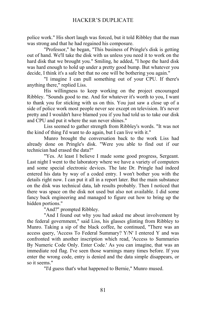police work." His short laugh was forced, but it told Ribbley that the man was strong and that he had regained his composure.

"Professor," he began, "This business of Pringle's disk is getting out of hand. We'll take the disk with us unless you need it to work on the hard disk that we brought you." Smiling, he added, "I hope the hard disk was hard enough to hold up under a pretty good bump. But whatever you decide, I think it's a safe bet that no one will be bothering you again."

"I imagine I can pull something out of your CPU. If there's anything there," replied Liss.

His willingness to keep working on the project encouraged Ribbley. "Sounds good to me. And for whatever it's worth to you, I want to thank you for sticking with us on this. You just saw a close up of a side of police work most people never see except on television. It's never pretty and I wouldn't have blamed you if you had told us to take our disk and CPU and put it where the sun never shines."

Liss seemed to gather strength from Ribbley's words. "It was not the kind of thing I'd want to do again, but I can live with it."

Munro brought the conversation back to the work Liss had already done on Pringle's disk. "Were you able to find out if our technician had erased the data?"

"Yes. At least I believe I made some good progress, Sergeant. Last night I went to the laboratory where we have a variety of computers and some special electronic devices. The late Dr. Pringle had indeed entered his data by way of a coded entry. I won't bother you with the details right now. I can put it all in a report later. But the main substance on the disk was technical data, lab results probably. Then I noticed that there was space on the disk not used but also not available. I did some fancy back engineering and managed to figure out how to bring up the hidden portions."

"And?" prompted Ribbley.

"And I found out why you had asked me about involvement by the federal government," said Liss, his glasses glinting from Ribbley to Munro. Taking a sip of the black coffee, he continued, "There was an access query, 'Access To Federal Summary? Y/N' I entered Y and was confronted with another inscription which read, 'Access to Summaries By Numeric Code Only. Enter Code.' As you can imagine, that was an immediate red flag. I've seen those warnings many times before. If you enter the wrong code, entry is denied and the data simple disappears, or so it seems."

"I'd guess that's what happened to Bernie," Munro mused.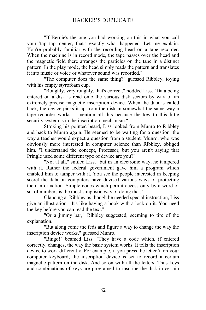"If Bernie's the one you had working on this in what you call your 'tap tap' center, that's exactly what happened. Let me explain. You're probably familiar with the recording head on a tape recorder. When the machine is in record mode, the tape passes over the head and the magnetic field there arranges the particles on the tape in a distinct pattern. In the play mode, the head simply reads the pattern and translates it into music or voice or whatever sound was recorded."

"The computer does the same thing?" guessed Ribbley, toying with his empty styrofoam cup.

"Roughly, very roughly, that's correct," nodded Liss. "Data being entered on a disk is read onto the various disk sectors by way of an extremely precise magnetic inscription device. When the data is called back, the device picks it up from the disk in somewhat the same way a tape recorder works. I mention all this because the key to this little security system is in the inscription mechanism."

Stroking his pointed beard, Liss looked from Munro to Ribbley and back to Munro again. He seemed to be waiting for a question, the way a teacher would expect a question from a student. Munro, who was obviously more interested in computer science than Ribbley, obliged him. "I understand the concept, Professor, but you aren't saying that Pringle used some different type of device are you?"

"Not at all," smiled Liss. "but in an electronic way, he tampered with it. Rather the federal government gave him a program which enabled him to tamper with it. You see the people interested in keeping secret the data on computers have devised various ways of protecting their information. Simple codes which permit access only by a word or set of numbers is the most simplistic way of doing that."

Glancing at Ribbley as though he needed special instruction, Liss give an illustration. "It's like having a book with a lock on it. You need the key before you can read the text."

"Or a jimmy bar," Ribbley suggested, seeming to tire of the explanation.

"But along come the feds and figure a way to change the way the inscription device works," guessed Munro.

"Bingo!" beamed Liss. "They have a code which, if entered correctly, changes, the way the basic system works. It tells the inscription device to work differently. For example, if you press the letter 't' on your computer keyboard, the inscription device is set to record a certain magnetic pattern on the disk. And so on with all the letters. Thus keys and combinations of keys are programed to inscribe the disk in certain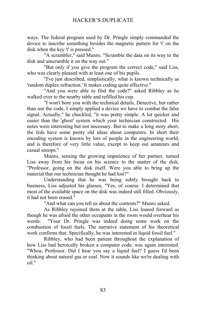ways. The federal program used by Dr. Pringle simply commanded the device to inscribe something besides the magnetic pattern for 't' on the disk when the key 't' is pressed."

"A scrambler," said Munro. "Scramble the data on its way to the disk and unscramble it on the way out."

"But only if you give the program the correct code," said Liss, who was clearly pleased with at least one of his pupils.

"I've just described, simplistically, what is known technically as 'random duplex refraction.' It makes coding quite effective."

"And you were able to find the code?" asked Ribbley as he walked over to the nearby table and refilled his cup.

"I won't bore you with the technical details, Detective, but rather than use the code, I simply applied a device we have to combat the false signal. Actually," he chuckled, "it was pretty simple. A lot quicker and easier than the 'ghost' system which your technician constructed. His notes were interesting but not necessary. But to make a long story short, the feds have some pretty old ideas about computers. In short their encoding system is known by lots of people in the engineering world, and is therefore of very little value, except to keep out amateurs and casual snoops."

Munro, sensing the growing impatience of her partner, turned Liss away from his focus on his science to the matter of the disk. "Professor, going on the disk itself. Were you able to bring up the material that our technician thought he had lost?"

Understanding that he was being subtly brought back to business, Liss adjusted his glasses, "Yes, of course. I determined that most of the available space on the disk was indeed still filled. Obviously, it had not been erased."

"And what can you tell us about the contents?" Munro asked.

As Ribbley rejoined them at the table, Liss leaned forward as though he was afraid the other occupants in the room would overhear his words. "Your Dr. Pringle was indeed doing some work on the combustion of fossil fuels. The narrative statement of his theoretical work confirms that. Specifically, he was interested in liquid fossil fuel."

Ribbley, who had been patient throughout the explanation of how Liss had heroically broken a computer code, was again interested. "Whoa, Professor. Did I hear you say a liquid fuel? I guess I'd been thinking about natural gas or coal. Now it sounds like we're dealing with oil."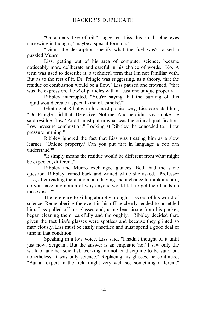"Or a derivative of oil," suggested Liss, his small blue eyes narrowing in thought, "maybe a special formula."

"Didn't the description specify what the fuel was?" asked a puzzled Munro.

Liss, getting out of his area of computer science, became noticeably more deliberate and careful in his choice of words. "No. A term was used to describe it, a technical term that I'm not familiar with. But as to the rest of it, Dr. Pringle was suggesting, as a theory, that the residue of combustion would be a flow," Liss paused and frowned, "that was the expression, 'flow' of particles with at least one unique property."

Ribbley interrupted, "You're saying that the burning of this liquid would create a special kind of...smoke?"

Glinting at Ribbley in his most precise way, Liss corrected him, "Dr. Pringle said that, Detective. Not me. And he didn't say smoke, he said residue 'flow.' And I must put in what was the critical qualification. Low pressure combustion." Looking at Ribbley, he conceded to, "Low pressure burning."

Ribbley ignored the fact that Liss was treating him as a slow learner. "Unique property? Can you put that in language a cop can understand?"

"It simply means the residue would be different from what might be expected, different."

Ribbley and Munro exchanged glances. Both had the same question. Ribbley leaned back and waited while she asked, "Professor Liss, after reading the material and having had a chance to think about it, do you have any notion of why anyone would kill to get their hands on those discs?"

The reference to killing abruptly brought Liss out of his world of science. Remembering the event in his office clearly tended to unsettled him. Liss pulled off his glasses and, using lens tissue from his pocket, began cleaning them, carefully and thoroughly. Ribbley decided that, given the fact Liss's glasses were spotless and because they glinted so marvelously, Liss must be easily unsettled and must spend a good deal of time in that condition.

Speaking in a low voice, Liss said, "I hadn't thought of it until just now, Sergeant. But the answer is an emphatic 'no.' I saw only the work of another scientist, working in another discipline to be sure, but nonetheless, it was only science." Replacing his glasses, he continued, "But an expert in the field might very well see something different."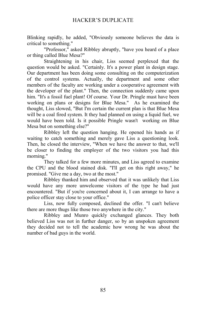Blinking rapidly, he added, "Obviously someone believes the data is critical to something."

"Professor," asked Ribbley abruptly, "have you heard of a place or thing called Blue Mesa?"

Straightening in his chair, Liss seemed perplexed that the question would be asked. "Certainly. It's a power plant in design stage. Our department has been doing some consulting on the computerization of the control systems. Actually, the department and some other members of the faculty are working under a cooperative agreement with the developer of the plant." Then, the connection suddenly came upon him. "It's a fossil fuel plant! Of course. Your Dr. Pringle must have been working on plans or designs for Blue Mesa." As he examined the thought, Liss slowed, "But I'm certain the current plan is that Blue Mesa will be a coal fired system. It they had planned on using a liquid fuel, we would have been told. Is it possible Pringle wasn't working on Blue Mesa but on something else?"

Ribbley left the question hanging. He opened his hands as if waiting to catch something and merely gave Liss a questioning look. Then, he closed the interview, "When we have the answer to that, we'll be closer to finding the employer of the two visitors you had this morning."

They talked for a few more minutes, and Liss agreed to examine the CPU and the blood stained disk. "I'll get on this right away," he promised. "Give me a day, two at the most."

Ribbley thanked him and observed that it was unlikely that Liss would have any more unwelcome visitors of the type he had just encountered. "But if you're concerned about it, I can arrange to have a police officer stay close to your office."

Liss, now fully composed, declined the offer. "I can't believe there are more thugs like those two anywhere in the city."

Ribbley and Munro quickly exchanged glances. They both believed Liss was not in further danger, so by an unspoken agreement they decided not to tell the academic how wrong he was about the number of bad guys in the world.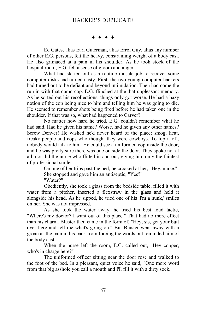$***$ 

Ed Gates, alias Earl Guterman, alias Errol Guy, alias any number of other E.G. persons, felt the heavy, constraining weight of a body cast. He also grimaced at a pain in his shoulder. As he took stock of the hospital room, E.G. felt a sense of gloom and anger.

What had started out as a routine muscle job to recover some computer disks had turned nasty. First, the two young computer hackers had turned out to be defiant and beyond intimidation. Then had come the run in with that damn cop. E.G. flinched at the that unpleasant memory. As he sorted out his recollections, things only got worse. He had a hazy notion of the cop being nice to him and telling him he was going to die. He seemed to remember shots being fired before he had taken one in the shoulder. If that was so, what had happened to Carver?

No matter how hard he tried, E.G. couldn't remember what he had said. Had he given his name? Worse, had he given any other names? Screw Denver! He wished he'd never heard of the place; smog, heat, freaky people and cops who thought they were cowboys. To top it off, nobody would talk to him. He could see a uniformed cop inside the door, and he was pretty sure there was one outside the door. They spoke not at all, nor did the nurse who flitted in and out, giving him only the faintest of professional smiles.

> On one of her trips past the bed, he croaked at her, "Hey, nurse." She stopped and gave him an antiseptic, "Yes?" "Water?"

Obediently, she took a glass from the bedside table, filled it with water from a pitcher, inserted a flexstraw in the glass and held it alongside his head. As he sipped, he tried one of his 'I'm a hunk,' smiles on her. She was not impressed.

As she took the water away, he tried his best loud tactic, "Where's my doctor? I want out of this place." That had no more effect than his charm. Bluster then came in the form of, "Hey, sis, get your butt over here and tell me what's going on." But Bluster went away with a groan as the pain in his back from forcing the words out reminded him of the body cast.

When the nurse left the room, E.G. called out, "Hey copper, who's in charge here?"

The uniformed officer sitting near the door rose and walked to the foot of the bed. In a pleasant, quiet voice he said, "One more word from that big asshole you call a mouth and I'll fill it with a dirty sock."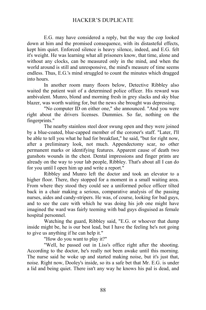E.G. may have considered a reply, but the way the cop looked down at him and the promised consequence, with its distasteful effects, kept him quiet. Enforced silence is heavy silence, indeed, and E.G. felt it's weight. He was learning what all prisoners know, that time, alone and without any clocks, can be measured only in the mind, and when the world around is still and unresponsive, the mind's measure of time seems endless. Thus, E.G.'s mind struggled to count the minutes which dragged into hours.

In another room many floors below, Detective Ribbley also waited the patient wait of a determined police officer. His reward was ambivalent. Munro, blond and morning fresh in grey slacks and sky blue blazer, was worth waiting for, but the news she brought was depressing.

"No computer ID on either one," she announced. "And you were right about the drivers licenses. Dummies. So far, nothing on the fingerprints."

The nearby stainless steel door swung open and they were joined by a blue-coated, blue-capped member of the coroner's staff. "Later, I'll be able to tell you what he had for breakfast," he said, "but for right now, after a preliminary look, not much. Appendectomy scar, no other permanent marks or identifying features. Apparent cause of death two gunshots wounds in the chest. Dental impressions and finger prints are already on the way to your lab people, Ribbley. That's about all I can do for you until I open him up and write a report."

Ribbley and Munro left the doctor and took an elevator to a higher floor. There, they stopped for a moment in a small waiting area. From where they stood they could see a uniformed police officer tilted back in a chair making a serious, comparative analysis of the passing nurses, aides and candy-stripers. He was, of course, looking for bad guys, and to see the care with which he was doing his job one might have imagined the ward was fairly teeming with bad guys disguised as female hospital personnel.

Watching the guard, Ribbley said, "E.G. or whoever that dump inside might be, he is our best lead, but I have the feeling he's not going to give us anything if he can help it."

"How do you want to play it?"

"Well, he passed out in Liss's office right after the shooting. According to the doctor, he's really not been awake until this morning. The nurse said he woke up and started making noise, but it's just that, noise. Right now, Dooley's inside, so its a safe bet that Mr. E.G. is under a lid and being quiet. There isn't any way he knows his pal is dead, and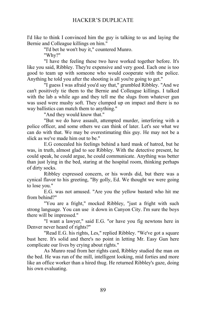I'd like to think I convinced him the guy is talking to us and laying the Bernie and Colleague killings on him."

"I'd bet he won't buy it," countered Munro.

"Why?"

"I have the feeling these two have worked together before. It's like you said, Ribbley. They're expensive and very good. Each one is too good to team up with someone who would cooperate with the police. Anything he told you after the shooting is all you're going to get."

"I guess I was afraid you'd say that," grumbled Ribbley. "And we can't positively tie them to the Bernie and Colleague killings. I talked with the lab a while ago and they tell me the slugs from whatever gun was used were mushy soft. They clumped up on impact and there is no way ballistics can match them to anything."

"And they would know that."

"But we do have assault, attempted murder, interfering with a police officer, and some others we can think of later. Let's see what we can do with that. We may be overestimating this guy. He may not be a slick as we've made him out to be."

E.G concealed his feelings behind a hard mask of hatred, but he was, in truth, almost glad to see Ribbley. With the detective present, he could speak, he could argue, he could communicate. Anything was better than just lying in the bed, staring at the hospital room, thinking perhaps of dirty socks.

Ribbley expressed concern, or his words did, but there was a cynical flavor to his greeting, "By golly, Ed. We thought we were going to lose you."

E.G. was not amused. "Are you the yellow bastard who hit me from behind?"

"You are a fright," mocked Ribbley, "just a fright with such strong language. You can use it down in Canyon City. I'm sure the boys there will be impressed."

"I want a lawyer," said E.G. "or have you fig newtons here in Denver never heard of rights?"

"Read E.G. his rights, Les," replied Ribbley. "We've got a square bust here. It's solid and there's no point in letting Mr. Easy Gun here complicate our lives by crying about rights."

As Munro read from her rights card, Ribbley studied the man on the bed. He was run of the mill, intelligent looking, mid forties and more like an office worker than a hired thug. He returned Ribbley's gaze, doing his own evaluating.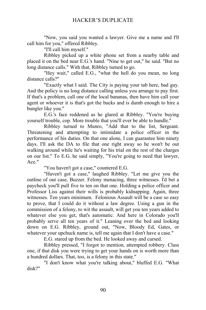"Now, you said you wanted a lawyer. Give me a name and I'll call him for you," offered Ribbley.

"I'll call him myself."

Ribbley picked up a white phone set from a nearby table and placed it on the bed near E.G.'s hand. "Nine to get out," he said. "But no long distance calls." With that, Ribbley turned to go.

"Hey wait," called E.G., "what the hell do you mean, no long distance calls?"

"Exactly what I said. The City is paying your tab here, bad guy. And the policy is no long distance calling unless you arrange to pay first. If that's a problem, call one of the local bananas, then have him call your agent or whoever it is that's got the bucks and is dumb enough to hire a bungler like you."

E.G.'s face reddened as he glared at Ribbley. "You're buying yourself trouble, cop. More trouble that you'll ever be able to handle."

Ribbley turned to Munro, "Add that to the list, Sergeant. Threatening and attempting to intimidate a police officer in the performance of his duties. On that one alone, I can guarantee him ninety days. I'll ask the DA to file that one right away so he won't be out walking around while he's waiting for his trial on the rest of the charges on our list." To E.G. he said simply, "You're going to need that lawyer, Ace."

"You haven't got a case," countered E.G.

"Haven't got a case," laughed Ribbley. "Let me give you the outline of out case, Buzzer. Felony menacing, three witnesses. I'd bet a paycheck you'll pull five to ten on that one. Holding a police officer and Professor Liss against their wills is probably kidnapping. Again, three witnesses. Ten years minimum. Felonious Assault will be a case so easy to prove, that I could do it without a law degree. Using a gun in the commission of a felony, to wit the assault, will get you ten years added to whatever else you get, that's automatic. And here in Colorado you'll probably serve all ten years of it." Leaning over the bed and looking down on E.G. Ribbley, ground out, "Now, Bloody Ed, Gates, or whatever your upchuck name is, tell me again that I don't have a case."

E.G. stared up from the bed. He looked away and cursed.

Ribbley pressed, "I forgot to mention, attempted robbery. Class one, if that disk you were trying to get your hands on is worth more than a hundred dollars. That, too, is a felony in this state."

"I don't know what you're talking about," bluffed E.G. "What disk?"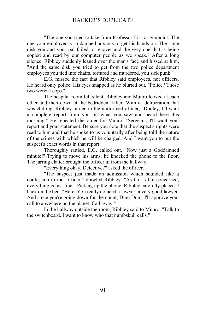"The one you tried to take from Professor Liss at gunpoint. The one your employer is so damned anxious to get his hands on. The same disk you and your pal failed to recover and the very one that is being copied and read by our computer people as we speak." After a long silence, Ribbley suddenly leaned over the man's face and hissed at him, "And the same disk you tried to get from the two police department employees you tied into chairs, tortured and murdered, you sick punk."

E.G. missed the fact that Ribbley said employees, not officers. He heard only police. His eyes snapped as he blurted out, "Police? Those two weren't cops."

The hospital room fell silent. Ribbley and Munro looked at each other and then down at the bedridden, killer. With a deliberation that was chilling, Ribbley turned to the uniformed officer, "Dooley, I'll want a complete report from you on what you saw and heard here this morning." He repeated the order for Munro, "Sergeant, I'll want your report and your statement. Be sure you note that the suspect's rights were read to him and that he spoke to us voluntarily after being told the nature of the crimes with which he will be charged. And I want you to put the suspect's exact words in that report."

Thoroughly rattled, E.G. called out, "Now just a Goddamned minute!" Trying to move his arms, he knocked the phone to the floor. The jarring clatter brought the officer in from the hallway.

"Everything okay, Detective?" asked the officer.

"The suspect just made an admission which sounded like a confession to me, officer," drawled Ribbley. "As far as I'm concerned, everything is just fine." Picking up the phone, Ribbley carefully placed it back on the bed. "Here. You really do need a lawyer, a very good lawyer. And since you're going down for the count, Dum Dum, I'll approve your call to anywhere on the planet. Call away."

In the hallway outside the room, Ribbley said to Munro, "Talk to the switchboard. I want to know who that numbskull calls."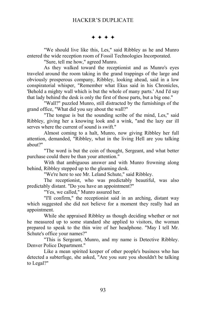$***$ 

"We should live like this, Les," said Ribbley as he and Munro entered the wide reception room of Fossil Technologies Incorporated.

"Sure, tell me how," agreed Munro.

As they walked toward the receptionist and as Munro's eyes traveled around the room taking in the grand trappings of the large and obviously prosperous company, Ribbley, looking ahead, said in a low conspiratorial whisper, "Remember what Ekus said in his Chronicles, 'Behold a mighty wall which is but the whole of many parts.' And I'd say that lady behind the desk is only the first of those parts, but a big one."

"Wall?" puzzled Munro, still distracted by the furnishings of the grand office, "What did you say about the wall?"

"The tongue is but the sounding scribe of the mind, Les," said Ribbley, giving her a knowing look and a wink, "and the lazy ear ill serves where the current of sound is swift."

Almost coming to a halt, Munro, now giving Ribbley her full attention, demanded, "Ribbley, what in the living Hell are you talking about?"

"The word is but the coin of thought, Sergeant, and what better purchase could there be than your attention."

With that ambiguous answer and with Munro frowning along behind, Ribbley stepped up to the gleaming desk.

"We're here to see Mr. Leland Schute," said Ribbley.

The receptionist, who was predictably beautiful, was also predictably distant. "Do you have an appointment?"

"Yes, we called," Munro assured her.

"I'll confirm," the receptionist said in an arching, distant way which suggested she did not believe for a moment they really had an appointment.

While she appraised Ribbley as though deciding whether or not he measured up to some standard she applied to visitors, the woman prepared to speak to the thin wire of her headphone. "May I tell Mr. Schute's office your names?"

"This is Sergeant, Munro, and my name is Detective Ribbley. Denver Police Department."

Like a mean spirited keeper of other people's business who has detected a subterfuge, she asked, "Are you sure you shouldn't be talking to Legal?"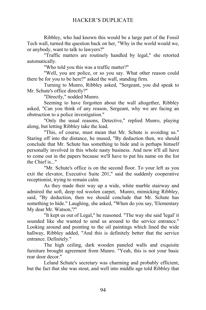Ribbley, who had known this would be a large part of the Fossil Tech wall, turned the question back on her, "Why in the world would we, or anybody, want to talk to lawyers?"

"Traffic matters are routinely handled by legal," she retorted automatically.

"Who told you this was a traffic matter?"

"Well, you are police, or so you say. What other reason could there be for you to be here?" asked the wall, standing firm.

Turning to Munro, Ribbley asked, "Sergeant, you did speak to Mr. Schute's office directly?"

"Directly," nodded Munro.

Seeming to have forgotten about the wall altogether, Ribbley asked, "Can you think of any reason, Sergeant, why we are facing an obstruction to a police investigation."

"Only the usual reasons, Detective," replied Munro, playing along, but letting Ribbley take the lead.

"This, of course, must mean that Mr. Schute is avoiding us." Staring off into the distance, he mused, "By deduction then, we should conclude that Mr. Schute has something to hide and is perhaps himself personally involved in this whole nasty business. And now it'll all have to come out in the papers because we'll have to put his name on the list the Chief is..."

"Mr. Schute's office is on the second floor. To your left as you exit the elevator, Executive Suite 201," said the suddenly cooperative receptionist, trying to remain calm.

As they made their way up a wide, white marble stairway and admired the soft, deep red woolen carpet, Munro, mimicking Ribbley, said, "By deduction, then we should conclude that Mr. Schute has something to hide." Laughing, she asked, "When do you say, 'Elementary My dear Mr. Watson,'?"

"It kept us out of Legal," he reasoned. "The way she said 'legal' it sounded like she wanted to send us around to the service entrance." Looking around and pointing to the oil paintings which lined the wide hallway, Ribbley added, "And this is definitely better that the service entrance. Definitely."

The high ceiling, dark wooden paneled walls and exquisite furniture brought agreement from Munro. "Yeah, this is not your basic rear door decor."

Leland Schute's secretary was charming and probably efficient, but the fact that she was stout, and well into middle age told Ribbley that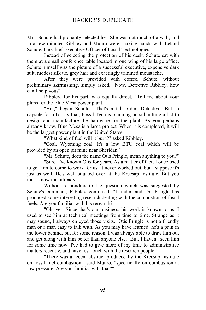Mrs. Schute had probably selected her. She was not much of a wall, and in a few minutes Ribbley and Munro were shaking hands with Leland Schute, the Chief Executive Officer of Fossil Technologies.

Instead of selecting the protection of his desk, Schute sat with them at a small conference table located in one wing of his large office. Schute himself was the picture of a successful executive, expensive dark suit, modest silk tie, grey hair and exactingly trimmed moustache.

After they were provided with coffee, Schute, without preliminary skirmishing, simply asked, "Now, Detective Ribbley, how can I help you?"

Ribbley, for his part, was equally direct, "Tell me about your plans for the Blue Mesa power plant."

"Hm," began Schute, "That's a tall order, Detective. But in capsule form I'd say that, Fossil Tech is planning on submitting a bid to design and manufacture the hardware for the plant. As you perhaps already know, Blue Mesa is a large project. When it is completed, it will be the largest power plant in the United States."

"What kind of fuel will it burn?" asked Ribbley.

"Coal. Wyoming coal. It's a low BTU coal which will be provided by an open pit mine near Sheridan."

"Mr. Schute, does the name Otis Pringle, mean anything to you?"

"Sure. I've known Otis for years. As a matter of fact, I once tried to get him to come to work for us. It never worked out, but I suppose it's just as well. He's well situated over at the Kreesap Institute. But you must know that already."

Without responding to the question which was suggested by Schute's comment, Ribbley continued, "I understand Dr. Pringle has produced some interesting research dealing with the combustion of fossil fuels. Are you familiar with his research?"

"Oh, yes. Since that's our business, his work is known to us. I used to see him at technical meetings from time to time. Strange as it may sound, I always enjoyed those visits. Otis Pringle is not a friendly man or a man easy to talk with. As you may have learned, he's a pain in the lower behind, but for some reason, I was always able to draw him out and get along with him better than anyone else. But, I haven't seen him for some time now. I've had to give more of my time to administrative matters recently, and have lost touch with the research people."

"There was a recent abstract produced by the Kreesap Institute on fossil fuel combustion," said Munro, "specifically on combustion at low pressure. Are you familiar with that?"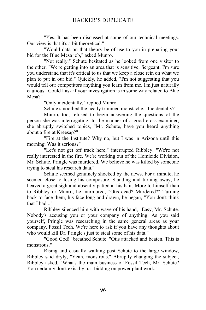"Yes. It has been discussed at some of our technical meetings. Our view is that it's a bit theoretical."

"Would data on that theory be of use to you in preparing your bid for the Blue Mesa job," asked Munro.

"Not really." Schute hesitated as he looked from one visitor to the other. "We're getting into an area that is sensitive, Sergeant. I'm sure you understand that it's critical to us that we keep a close rein on what we plan to put in our bid." Quickly, he added, "I'm not suggesting that you would tell our competitors anything you learn from me. I'm just naturally cautious. Could I ask if your investigation is in some way related to Blue Mesa?"

"Only incidentally," replied Munro.

Schute smoothed the neatly trimmed moustache. "Incidentally?"

Munro, too, refused to begin answering the questions of the person she was interrogating. In the manner of a good cross examiner, she abruptly switched topics, "Mr. Schute, have you heard anything about a fire at Kreesap?"

"Fire at the Institute? Why no, but I was in Arizona until this morning. Was it serious?"

"Let's not get off track here," interrupted Ribbley. "We're not really interested in the fire. We're working out of the Homicide Division, Mr. Schute. Pringle was murdered. We believe he was killed by someone trying to steal his research data."

Schute seemed genuinely shocked by the news. For a minute, he seemed close to losing his composure. Standing and turning away, he heaved a great sigh and absently patted at his hair. More to himself than to Ribbley or Munro, he murmured, "Otis dead? Murdered?" Turning back to face them, his face long and drawn, he began, "You don't think that I had..."

Ribbley silenced him with wave of his hand, "Easy, Mr. Schute. Nobody's accusing you or your company of anything. As you said yourself, Pringle was researching in the same general areas as your company, Fossil Tech. We're here to ask if you have any thoughts about who would kill Dr. Pringle's just to steal some of his data."

"Good God!" breathed Schute. "Otis attacked and beaten. This is monstrous."

Rising and casually walking past Schute to the large window, Ribbley said dryly, "Yeah, monstrous." Abruptly changing the subject, Ribbley asked, "What's the main business of Fossil Tech, Mr. Schute? You certainly don't exist by just bidding on power plant work."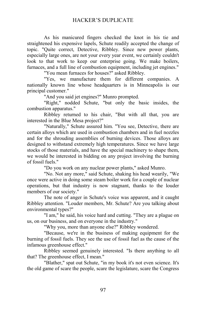As his manicured fingers checked the knot in his tie and straightened his expensive lapels, Schute readily accepted the change of topic. "Quite correct, Detective, Ribbley. Since new power plants, especially large ones, are not your every year event, we certainly couldn't look to that work to keep our enterprise going. We make boilers, furnaces, and a full line of combustion equipment, including jet engines."

"You mean furnaces for houses?" asked Ribbley.

"Yes, we manufacture them for different companies. A nationally known line whose headquarters is in Minneapolis is our principal customer."

"And you said jet engines?" Munro prompted.

"Right," nodded Schute, "but only the basic insides, the combustion apparatus."

Ribbley returned to his chair, "But with all that, you are interested in the Blue Mesa project?"

"Naturally," Schute assured him. "You see, Detective, there are certain alloys which are used in combustion chambers and in fuel nozzles and for the shrouding assemblies of burning devices. Those alloys are designed to withstand extremely high temperatures. Since we have large stocks of those materials, and have the special machinery to shape them, we would be interested in bidding on any project involving the burning of fossil fuels."

"Do you work on any nuclear power plants," asked Munro.

"No. Not any more," said Schute, shaking his head wearily, "We once were active in doing some steam boiler work for a couple of nuclear operations, but that industry is now stagnant, thanks to the louder members of our society."

The note of anger in Schute's voice was apparent, and it caught Ribbley attention. "Louder members, Mr. Schute? Are you talking about environmental types?"

"I am," he said, his voice hard and cutting. "They are a plague on us, on our business, and on everyone in the industry."

"Why you, more than anyone else?" Ribbley wondered.

"Because, we're in the business of making equipment for the burning of fossil fuels. They see the use of fossil fuel as the cause of the infamous greenhouse effect."

Ribbley seemed genuinely interested. "Is there anything to all that? The greenhouse effect, I mean."

"Blather," spat out Schute, "in my book it's not even science. It's the old game of scare the people, scare the legislature, scare the Congress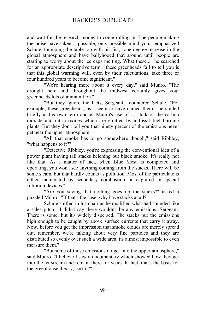and wait for the research money to come rolling in. The people making the noise have taken a possible, only possible mind you," emphasized Schute, thumping the table top with his fist, "one degree increase in the global atmosphere and have ballyhooed that around until people are starting to worry about the ice caps melting. What these..." he searched for an appropriate descriptive term, "these greenheads fail to tell you is that this global warming will, even by their calculations, take three or four hundred years to become significant."

"We're hearing more about it every day," said Munro. "The drought here and throughout the midwest certainly gives your greenheads lots of ammunition."

"But they ignore the facts, Sergeant," countered Schute. "For example, these greenheads, as I seem to have named them," he smiled briefly at his own term and at Munro's use of it, "talk of the carbon dioxide and nitric oxides which are emitted by a fossil fuel burning plants. But they don't tell you that ninety percent of the emissions never get near the upper atmosphere."

"All that smoke has to go somewhere though," said Ribbley, "what happens to it?"

"Detective Ribbley, you're expressing the conventional idea of a power plant having tall stacks belching out black smoke. It's really not like that. As a matter of fact, when Blue Mesa is completed and operating, you won't see anything coming from the stacks. There will be some steam, but that hardly counts as pollution. Most of the particulate is either incinerated by secondary combustion or captured in special filtration devices."

"Are you saying that nothing goes up the stacks?" asked a puzzled Munro. "If that's the case, why have stacks at all?"

Schute shifted in his chair as he qualified what had sounded like a sales pitch. "I didn't say there wouldn't be any emissions, Sergeant. There is some, but it's widely dispersed. The stacks put the emissions high enough to be caught by above surface currents that carry it away. Now, before you get the impression that smoke clouds are merely spread out, remember, we're talking about very fine particles and they are distributed so evenly over such a wide area, its almost impossible to even measure them."

"But some of those emissions do get into the upper atmosphere," said Munro. "I believe I saw a documentary which showed how they get into the jet stream and remain there for years. In fact, that's the basis for the greenhouse theory, isn't it?"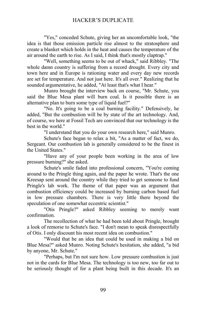"Yes," conceded Schute, giving her an uncomfortable look, "the idea is that those emission particle rise almost to the stratosphere and create a blanket which holds in the heat and causes the temperature of the air around the earth to rise. As I said, I think that's mostly claptrap."

"Well, something seems to be out of whack," said Ribbley. "The whole damn country is suffering from a record drought. Every city and town here and in Europe is rationing water and every day new records are set for temperature. And not just here. It's all over." Realizing that he sounded argumentative, he added, "At least that's what I hear."

Munro brought the interview back on course, "Mr. Schute, you said the Blue Mesa plant will burn coal. Is it possible there is an alternative plan to burn some type of liquid fuel?"

"No. It's going to be a coal burning facility." Defensively, he added, "But the combustion will be by state of the art technology. And, of course, we here at Fossil Tech are convinced that our technology is the best in the world."

"I understand that you do your own research here," said Munro.

Schute's face began to relax a bit, "As a matter of fact, we do, Sergeant. Our combustion lab is generally considered to be the finest in the United States."

"Have any of your people been working in the area of low pressure burning?" she asked.

Schute's smile faded into professional concern, "You're coming around to the Pringle thing again, and the paper he wrote. That's the one Kreesap sent around the country while they tried to get someone to fund Pringle's lab work. The theme of that paper was an argument that combustion efficiency could be increased by burning carbon based fuel in low pressure chambers. There is very little there beyond the speculation of one somewhat eccentric scientist."

"Otis Pringle?" asked Ribbley seeming to merely want confirmation.

The recollection of what he had been told about Pringle, brought a look of remorse to Schute's face. "I don't mean to speak disrespectfully of Otis. I only discount his most recent idea on combustion."

"Would that be an idea that could be used in making a bid on Blue Mesa?" asked Munro. Noting Schute's hesitation, she added, "a bid by anyone, Mr. Schute."

"Perhaps, but I'm not sure how. Low pressure combustion is just not in the cards for Blue Mesa. The technology is too new, too far out to be seriously thought of for a plant being built in this decade. It's an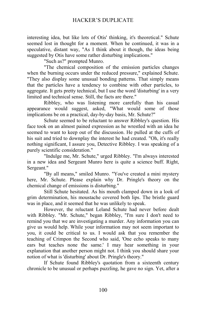interesting idea, but like lots of Otis' thinking, it's theoretical." Schute seemed lost in thought for a moment. When he continued, it was in a speculative, distant way, "As I think about it though, the ideas being suggested by Otis have some rather disturbing implications."

"Such as?" prompted Munro.

"The chemical composition of the emission particles changes when the burning occurs under the reduced pressure," explained Schute. "They also display some unusual bonding patterns. That simply means that the particles have a tendency to combine with other particles, to aggregate. It gets pretty technical, but I use the word 'disturbing' in a very limited and technical sense. Still, the facts are there."

Ribbley, who was listening more carefully than his casual appearance would suggest, asked, "What would some of those implications be on a practical, day-by-day basis, Mr. Schute?"

Schute seemed to be reluctant to answer Ribbley's question. His face took on an almost pained expression as he wrestled with an idea he seemed to want to keep out of the discussion. He pulled at the cuffs of his suit and tried to downplay the interest he had created. "Oh, it's really nothing significant, I assure you, Detective Ribbley. I was speaking of a purely scientific consideration."

"Indulge me, Mr. Schute," urged Ribbley. "I'm always interested in a new idea and Sergeant Munro here is quite a science buff. Right, Sergeant."

"By all means," smiled Munro. "You've created a mini mystery here, Mr. Schute. Please explain why Dr. Pringle's theory on the chemical change of emissions is disturbing."

Still Schute hesitated. As his mouth clamped down in a look of grim determination, his moustache covered both lips. The bristle guard was in place, and it seemed that he was unlikely to speak.

However, the reluctant Leland Schute had never before dealt with Ribbley. "Mr. Schute," began Ribbley, "I'm sure I don't need to remind you that we are investigating a murder. Any information you can give us would help. While your information may not seem important to you, it could be critical to us. I would ask that you remember the teaching of Crimpon the Second who said, 'One echo speaks to many ears but teaches none the same.' I may hear something in your explanation that another person might not. I think you should share your notion of what is 'disturbing' about Dr. Pringle's theory."

If Schute found Ribbley's quotation from a sixteenth century chronicle to be unusual or perhaps puzzling, he gave no sign. Yet, after a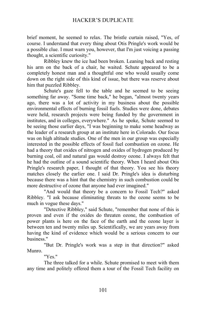brief moment, he seemed to relax. The bristle curtain raised, "Yes, of course. I understand that every thing about Otis Pringle's work would be a possible clue. I must warn you, however, that I'm just voicing a passing thought, a scientific curiosity."

Ribbley knew the ice had been broken. Leaning back and resting his arm on the back of a chair, he waited. Schute appeared to be a completely honest man and a thoughtful one who would usually come down on the right side of this kind of issue, but there was reserve about him that puzzled Ribbley.

Schute's gaze fell to the table and he seemed to be seeing something far away. "Some time back," he began, "almost twenty years ago, there was a lot of activity in my business about the possible environmental effects of burning fossil fuels. Studies were done, debates were held, research projects were being funded by the government in institutes, and in colleges, everywhere." As he spoke, Schute seemed to be seeing those earlier days, "I was beginning to make some headway as the leader of a research group at an institute here in Colorado. Our focus was on high altitude studies. One of the men in our group was especially interested in the possible effects of fossil fuel combustion on ozone. He had a theory that oxides of nitrogen and oxides of hydrogen produced by burning coal, oil and natural gas would destroy ozone. I always felt that he had the outline of a sound scientific theory. When I heard about Otis Pringle's research paper, I thought of that theory. You see his theory matches closely the earlier one. I said Dr. Pringle's idea is disturbing because there was a hint that the chemistry in such combustion could be more destructive of ozone that anyone had ever imagined."

"And would that theory be a concern to Fossil Tech?" asked Ribbley. "I ask because eliminating threats to the ozone seems to be much in vogue these days."

"Detective Ribbley," said Schute, "remember that none of this is proven and even if the oxides do threaten ozone, the combustion of power plants is here on the face of the earth and the ozone layer is between ten and twenty miles up. Scientifically, we are years away from having the kind of evidence which would be a serious concern to our business."

"But Dr. Pringle's work was a step in that direction?" asked Munro.

"Yes."

The three talked for a while. Schute promised to meet with them any time and politely offered them a tour of the Fossil Tech facility on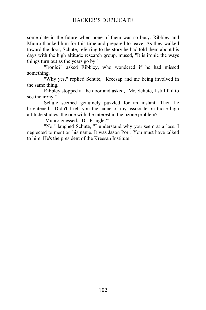some date in the future when none of them was so busy. Ribbley and Munro thanked him for this time and prepared to leave. As they walked toward the door, Schute, referring to the story he had told them about his days with the high altitude research group, mused, "It is ironic the ways things turn out as the years go by."

"Ironic?" asked Ribbley, who wondered if he had missed something.

"Why yes," replied Schute, "Kreesap and me being involved in the same thing."

Ribbley stopped at the door and asked, "Mr. Schute, I still fail to see the irony."

Schute seemed genuinely puzzled for an instant. Then he brightened, "Didn't I tell you the name of my associate on those high altitude studies, the one with the interest in the ozone problem?"

Munro guessed, "Dr. Pringle?"

"No," laughed Schute, "I understand why you seem at a loss. I neglected to mention his name. It was Jason Porr. You must have talked to him. He's the president of the Kreesap Institute."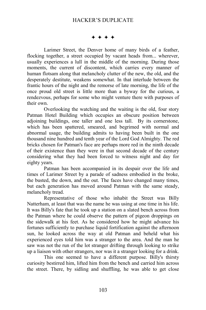$***$ 

Larimer Street, the Denver home of many birds of a feather, flocking together, a street occupied by vacant heads from... wherever, usually experiences a lull in the middle of the morning. During those moments, the current of discontent, which carries every manner of human flotsam along that melancholy clutter of the new, the old, and the desperately destitute, weakens somewhat. In that interlude between the frantic hours of the night and the remorse of late morning, the life of the once proud old street is little more than a byway for the curious, a rendezvous, perhaps for some who might venture there with purposes of their own.

Overlooking the watching and the waiting is the old, four story Patman Hotel Building which occupies an obscure position between adjoining buildings, one taller and one less tall. By its cornerstone, which has been spattered, smeared, and begrimed with normal and abnormal usage, the building admits to having been built in the one thousand nine hundred and tenth year of the Lord God Almighty. The red bricks chosen for Patman's face are perhaps more red in the ninth decade of their existence than they were in that second decade of the century considering what they had been forced to witness night and day for eighty years.

Patman has been accompanied in its despair over the life and times of Larimer Street by a parade of sadness embodied in the broke, the busted, the down, and the out. The faces have changed many times, but each generation has moved around Patman with the same steady, melancholy tread.

Representative of those who inhabit the Street was Billy Natterham, at least that was the name he was using at one time in his life. It was Billy's fate that he took up a station on a slated bench across from the Patman where he could observe the pattern of pigeon droppings on the sidewalk at his feet. As he considered how he might advance his fortunes sufficiently to purchase liquid fortification against the afternoon sun, he looked across the way at old Patman and beheld what his experienced eyes told him was a stranger to the area. And the man he saw was not the run of the lot stranger drifting through looking to strike up a liaison with other strangers, nor was it a stranger looking for a drink.

This one seemed to have a different purpose. Billy's thirsty curiosity bestirred him, lifted him from the bench and carried him across the street. There, by sidling and shuffling, he was able to get close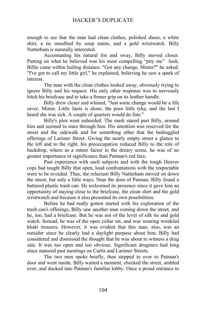enough to see that the man had clean clothes, polished shoes, a white shirt, a tie unsullied by soup stains, and a gold wristwatch. Billy Natterham is naturally interested.

Accentuating his natural list and sway, Billy moved closer. Putting on what he believed was his most compelling "pity me" look, Billie came within hailing distance. "Got any change, Mister?" he asked. "I've got to call my little girl," he explained, believing he saw a spark of interest.

The man with the clean clothes looked away, obviously trying to ignore Billy and his request. His only other response was to nervously hitch his briefcase and to take a firmer grip on its leather handle.

Billy drew closer and whined, "Just some change would be a life saver, Mister. Little Janie is alone, the poor little tyke, and the last I heard she was sick. A couple of quarters would do fine."

Billy's plea went unheeded. The mark stared past Billy, around him and seemed to stare through him. His attention was reserved for the street and the sidewalk and for something other that the bedraggled offerings of Larimer Street. Giving the nearly empty street a glance to the left and to the right, his preoccupation reduced Billy to the role of backdrop, where as a minor factor in the dreary scene, he was of no greater importance or significance than Patman's red face.

Past experience with such subjects and with the tough Denver cops had taught Billy that open, loud confrontations with the respectable were to be avoided. Thus, the reluctant Billy Natterham moved on down the street, but only a little ways. Near the door of Patman, Billy found a battered plastic trash can. He welcomed its presence since it gave him an opportunity of staying close to the briefcase, the clean shirt and the gold wristwatch and because it also presented its own possibilities.

Before he had really gotten started with his exploration of the trash can's offerings, Billy saw another man coming down the street, and he, too, had a briefcase. But he was not of the level of silk tie and gold watch. Instead, he was of the open collar set, and was wearing wrinkled khaki trousers. However, it was evident that this man, also, was an outsider since he clearly had a daylight purpose about him. Billy had considered and dismissed the thought that he was about to witness a drug sale. It was too open and too obvious. Significant drugsters had long since matured past meetings on Curtis and Larimer Streets.

The two men spoke briefly, then stepped to over to Patman's door and went inside. Billy waited a moment, checked the street, ambled over, and ducked into Patman's familiar lobby. Once a proud entrance to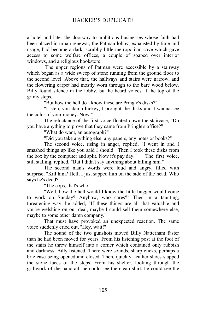a hotel and later the doorway to ambitious businesses whose faith had been placed in urban renewal, the Patman lobby, exhausted by time and usage, had become a dark, scrubby little metropolitan cave which gave access to some welfare offices, a couple of soaped over interior windows, and a religious bookstore.

 The upper regions of Patman were accessible by a stairway which began as a wide sweep of stone running from the ground floor to the second level. Above that, the hallways and stairs were narrow, and the flowering carpet had mostly worn through to the bare wood below. Billy found silence in the lobby, but he heard voices at the top of the grimy steps.

"But how the hell do I know these are Pringle's disks?"

"Listen, you damn hickey, I brought the disks and I wanna see the color of your money. Now."

The reluctance of the first voice floated down the staircase, "Do you have anything to prove that they came from Pringle's office?"

"What do want, an autograph?"

"Did you take anything else, any papers, any notes or books?"

The second voice, rising in anger, replied, "I went in and I smashed things up like you said I should. Then I took these disks from the box by the computer and split. Now it's pay day." The first voice, still stalling, replied, "But I didn't say anything about killing him."

The second man's words were loud and angry, filled with surprise, "Kill him? Hell, I just sapped him on the side of the head. Who says he's dead?"

"The cops, that's who."

"Well, how the hell would I know the little bugger would come to work on Sunday? Anyhow, who cares?" Then in a taunting, threatening way, he added, "If these things are all that valuable and you're welshing on our deal, maybe I could sell them somewhere else, maybe to some other damn company."

That must have provoked an unexpected reaction. The same voice suddenly cried out, "Hey, wait!"

The sound of the two gunshots moved Billy Natterham faster than he had been moved for years. From his listening post at the foot of the stairs he threw himself into a corner which contained only rubbish and darkness. Billy listened. There were sounds, sharp clicks, perhaps a briefcase being opened and closed. Then, quickly, leather shoes slapped the stone faces of the steps. From his shelter, looking through the grillwork of the handrail, he could see the clean shirt, he could see the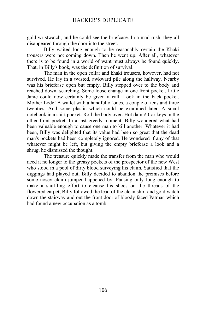gold wristwatch, and he could see the briefcase. In a mad rush, they all disappeared through the door into the street.

Billy waited long enough to be reasonably certain the Khaki trousers were not coming down. Then he went up. After all, whatever there is to be found in a world of want must always be found quickly. That, in Billy's book, was the definition of survival.

The man in the open collar and khaki trousers, however, had not survived. He lay in a twisted, awkward pile along the hallway. Nearby was his briefcase open but empty. Billy stepped over to the body and reached down, searching. Some loose change in one front pocket. Little Janie could now certainly be given a call. Look in the back pocket. Mother Lode! A wallet with a handful of ones, a couple of tens and three twenties. And some plastic which could be examined later. A small notebook in a shirt pocket. Roll the body over. Hot damn! Car keys in the other front pocket. In a last greedy moment, Billy wondered what had been valuable enough to cause one man to kill another. Whatever it had been, Billy was delighted that its value had been so great that the dead man's pockets had been completely ignored. He wondered if any of that whatever might be left, but giving the empty briefcase a look and a shrug, he dismissed the thought.

The treasure quickly made the transfer from the man who would need it no longer to the greasy pockets of the prospector of the new West who stood in a pool of dirty blood surveying his claim. Satisfied that the diggings had played out, Billy decided to abandon the premises before some nosey claim jumper happened by. Pausing only long enough to make a shuffling effort to cleanse his shoes on the threads of the flowered carpet, Billy followed the lead of the clean shirt and gold watch down the stairway and out the front door of bloody faced Patman which had found a new occupation as a tomb.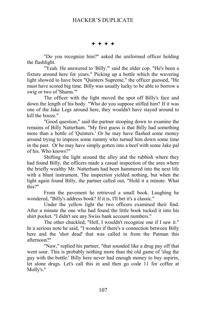$***$ 

"Do you recognize him?" asked the uniformed officer holding the flashlight.

"Yeah. He answered to 'Billy.'" said the older cop. "He's been a fixture around here for years." Picking up a bottle which the wavering light showed to have been "Quinters Supreme," the officer guessed, "He must have scored big time. Billy was usually lucky to be able to borrow a swig or two of 'Shams.'"

The officer with the light moved the spot off Billy's face and down the length of his body. "Who do you suppose stiffed him? If it was one of the Jake Legs around here, they wouldn't have stayed around to kill the booze."

"Good question," said the partner stooping down to examine the remains of Billy Natterham. "My first guess is that Billy had something more than a bottle of 'Quinters.' Or he may have flashed some money around trying to impress some rummy who turned him down some time in the past. Or he may have simply gotten into a beef with some Jake pal of his. Who knows?"

Shifting the light around the alley and the rubbish where they had found Billy, the officers made a casual inspection of the area where the briefly wealthy Mr. Natterham had been hammered into the next life with a blunt instrument. The inspection yielded nothing, but when the light again found Billy, the partner called out, "Hold it a minute. What this?"

From the pavement he retrieved a small book. Laughing he wondered, "Billy's address book? If it is, I'll bet it's a classic."

Under the yellow light the two officers examined their find. After a minute the one who had found the little book tucked it into his shirt pocket. "I didn't see any Swiss bank account numbers."

The other chuckled, "Hell, I wouldn't recognize one if I saw it." In a serious note he said, "I wonder if there's a connection between Billy here and the 'shot dead' that was called in from the Patman this afternoon?"

"Naw," replied his partner, "that sounded like a drug pay off that went sour. This is probably nothing more than the old game of 'slug the guy with the bottle.' Billy here never had enough money to buy aspirin, let alone drugs. Let's call this in and then go code 11 for coffee at Molly's."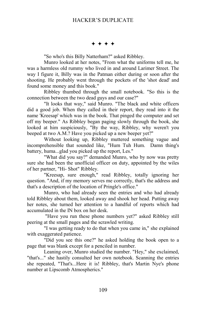#### $***$

"So who's this Billy Natterham?" asked Ribbley.

Munro looked at her notes, "From what the uniforms tell me, he was a harmless old rummy who lived in and around Larimer Street. The way I figure it, Billy was in the Patman either during or soon after the shooting. He probably went through the pockets of the 'shot dead' and found some money and this book."

Ribbley thumbed through the small notebook. "So this is the connection between the two dead guys and our case?"

"It looks that way," said Munro. "The black and white officers did a good job. When they called in their report, they read into it the name 'Kreesap' which was in the book. That pinged the computer and set off my beeper." As Ribbley began paging slowly through the book, she looked at him suspiciously, "By the way, Ribbley, why weren't you beeped at two A.M.? Have you picked up a new beeper yet?"

Without looking up, Ribbley muttered something vague and incomprehensible that sounded like, "Hum Tuh Hum. Damn thing's battery, huma...glad you picked up the report, Les."

"What did you say?" demanded Munro, who by now was pretty sure she had been the unofficial officer on duty, appointed by the wiles of her partner, "Hi- Shot" Ribbley.

"Kreesap, sure enough," read Ribbley, totally ignoring her question. "And, if my memory serves me correctly, that's the address and that's a description of the location of Pringle's office."

Munro, who had already seen the entries and who had already told Ribbley about them, looked away and shook her head. Putting away her notes, she turned her attention to a handful of reports which had accumulated in the IN box on her desk.

 "Have you run these phone numbers yet?" asked Ribbley still peering at the small pages and the scrawled writing.

"I was getting ready to do that when you came in," she explained with exaggerated patience.

"Did you see this one?" he asked holding the book open to a page that was blank except for a penciled in number.

Leaning over, Munro studied the number. "Hey," she exclaimed, "that's..." she hastily consulted her own notebook. Scanning the entries she repeated, "That's...Here it is! Ribbley, that's Martin Nye's phone number at Lipscomb Atmospherics."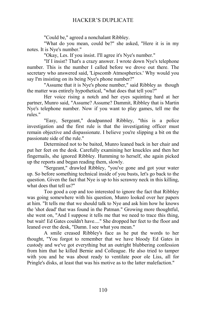"Could be," agreed a nonchalant Ribbley.

"What do you mean, could be?" she asked, "Here it is in my notes. It is Nye's number."

"Okay, Les. If you insist. I'll agree it's Nye's number."

"If I insist? That's a crazy answer. I wrote down Nye's telephone number. This is the number I called before we drove out there. The secretary who answered said, 'Lipscomb Atmospherics.' Why would you say I'm insisting on its being Nye's phone number?"

"Assume that it is Nye's phone number," said Ribbley as though the matter was entirely hypothetical, "what does that tell you?"

Her voice rising a notch and her eyes squinting hard at her partner, Munro said, "Assume? Assume? Dammit, Ribbley that is Martin Nye's telephone number. Now if you want to play games, tell me the rules."

"Easy, Sergeant," deadpanned Ribbley, "this is a police investigation and the first rule is that the investigating officer must remain objective and dispassionate. I believe you're slipping a bit on the passionate side of the rule."

Determined not to be baited, Munro leaned back in her chair and put her feet on the desk. Carefully examining her knuckles and then her fingernails, she ignored Ribbley. Humming to herself, she again picked up the reports and began reading them, slowly.

"Sergeant," drawled Ribbley, "you've gone and got your water up. So before something technical inside of you busts, let's go back to the question. Given the fact that Nye is up to his scrawny neck in this killing, what does that tell us?"

Too good a cop and too interested to ignore the fact that Ribbley was going somewhere with his question, Munro looked over her papers at him. "It tells me that we should talk to Nye and ask him how he knows the 'shot dead' that was found in the Patman." Growing more thoughtful, she went on, "And I suppose it tells me that we need to trace this thing, but wait! Ed Gates couldn't have...." She dropped her feet to the floor and leaned over the desk, "Damn. I see what you mean."

A smile creased Ribbley's face as he put the words to her thought, "You forgot to remember that we have bloody Ed Gates in custody and we've got everything but an outright blubbering confession from him that he killed Bernie and Colleague. He also tried to tamper with you and he was about ready to ventilate poor ole Liss, all for Pringle's disks, at least that was his motive as to the latter malefaction."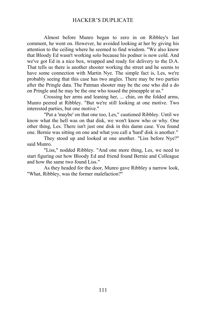Almost before Munro began to zero in on Ribbley's last comment, he went on. However, he avoided looking at her by giving his attention to the ceiling where he seemed to find wisdom. "We also know that Bloody Ed wasn't working solo because his podner is now cold. And we've got Ed in a nice box, wrapped and ready for delivery to the D.A. That tells us there is another shooter working the street and he seems to have some connection with Martin Nye. The simple fact is, Les, we're probably seeing that this case has two angles. There may be two parties after the Pringle data. The Patman shooter may be the one who did a do on Pringle and he may be the one who tossed the pineapple at us."

Crossing her arms and leaning her, ... chin, on the folded arms, Munro peered at Ribbley. "But we're still looking at one motive. Two interested parties, but one motive."

"Put a 'maybe' on that one too, Les," cautioned Ribbley. Until we know what the hell was on that disk, we won't know who or why. One other thing, Les. There isn't just one disk in this damn case. You found one. Bernie was sitting on one and what you call a 'hard' disk is another."

They stood up and looked at one another. "Liss before Nye?" said Munro.

"Liss," nodded Ribbley. "And one more thing, Les, we need to start figuring out how Bloody Ed and friend found Bernie and Colleague and how the same two found Liss."

As they headed for the door, Munro gave Ribbley a narrow look, "What, Ribbley, was the former malefaction?"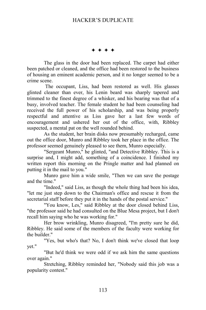$+ + + +$ 

The glass in the door had been replaced. The carpet had either been patched or cleaned, and the office had been restored to the business of housing an eminent academic person, and it no longer seemed to be a crime scene.

 The occupant, Liss, had been restored as well. His glasses glinted cleaner than ever, his Lenin beard was sharply tapered and trimmed to the finest degree of a whisker, and his bearing was that of a busy, involved teacher. The female student he had been counseling had received the full power of his scholarship, and was being properly respectful and attentive as Liss gave her a last few words of encouragement and ushered her out of the office, with, Ribbley suspected, a mental pat on the well rounded behind.

As the student, her brain disks now presumably recharged, came out the office door, Munro and Ribbley took her place in the office. The professor seemed genuinely pleased to see them, Munro especially.

"Sergeant Munro," he glinted, "and Detective Ribbley. This is a surprise and, I might add, something of a coincidence. I finished my written report this morning on the Pringle matter and had planned on putting it in the mail to you."

Munro gave him a wide smile, "Then we can save the postage and the time."

"Indeed," said Liss, as though the whole thing had been his idea, "let me just step down to the Chairman's office and rescue it from the secretarial staff before they put it in the hands of the postal service."

"You know, Les," said Ribbley at the door closed behind Liss, "the professor said he had consulted on the Blue Mesa project, but I don't recall him saying who he was working for."

Her brow wrinkling, Munro disagreed, "I'm pretty sure he did, Ribbley. He said some of the members of the faculty were working for the builder."

"Yes, but who's that? No, I don't think we've closed that loop yet."

"But he'd think we were odd if we ask him the same questions over again."

Stretching, Ribbley reminded her, "Nobody said this job was a popularity contest."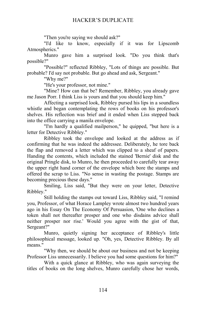"Then you're saying we should ask?"

"I'd like to know, especially if it was for Lipscomb Atmospherics."

Munro gave him a surprised look. "Do you think that's possible?"

"Possible?" reflected Ribbley, "Lots of things are possible. But probable? I'd say not probable. But go ahead and ask, Sergeant."

"Why me?"

"He's your professor, not mine."

"Mine? How can that be? Remember, Ribbley, you already gave me Jason Porr. I think Liss is yours and that you should keep him."

Affecting a surprised look, Ribbley pursed his lips in a soundless whistle and began contemplating the rows of books on his professor's shelves. His reflection was brief and it ended when Liss stepped back into the office carrying a manila envelope.

"I'm hardly a qualified mailperson," he quipped, "but here is a letter for Detective Ribbley."

Ribbley took the envelope and looked at the address as if confirming that he was indeed the addressee. Deliberately, he tore back the flap and removed a letter which was clipped to a sheaf of papers. Handing the contents, which included the stained 'Bernie' disk and the original Pringle disk, to Munro, he then proceeded to carefully tear away the upper right hand corner of the envelope which bore the stamps and offered the scrap to Liss. "No sense in wasting the postage. Stamps are becoming precious these days."

Smiling, Liss said, "But they were on your letter, Detective Ribbley."

Still holding the stamps out toward Liss, Ribbley said, "I remind you, Professor, of what Horace Lampley wrote almost two hundred years ago in his Essay On The Economy Of Persuasion, 'One who declines a token shall not thereafter prosper and one who disdains advice shall neither prosper nor rise.' Would you agree with the gist of that, Sergeant?"

Munro, quietly signing her acceptance of Ribbley's little philosophical message, looked up. "Oh, yes, Detective Ribbley. By all means."

"Why then, we should be about our business and not be keeping Professor Liss unnecessarily. I believe you had some questions for him?"

With a quick glance at Ribbley, who was again surveying the titles of books on the long shelves, Munro carefully chose her words,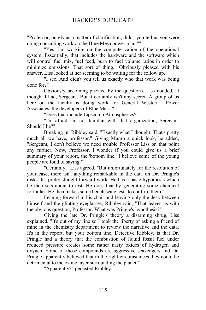"Professor, purely as a matter of clarification, didn't you tell us you were doing consulting work on the Blue Mesa power plant?"

"Yes. I'm working on the computerization of the operational system. Essentially, that includes the hardware and the software which will control fuel mix, fuel feed, burn to fuel volume ratios in order to minimize emissions. That sort of thing." Obviously pleased with his answer, Liss looked at her seeming to be waiting for the follow up.

"I see. And didn't you tell us exactly who that work was being done for?"

Obviously becoming puzzled by the questions, Liss nodded, "I thought I had, Sergeant. But it certainly isn't any secret. A group of us here on the faculty is doing work for General Western Power Associates, the developers of Blue Mesa."

"Does that include Lipscomb Atmospherics?"

"I'm afraid I'm not familiar with that organization, Sergeant. Should I be?"

Breaking in, Ribbley said, "Exactly what I thought. That's pretty much all we have, professor." Giving Munro a quick look, he added, "Sergeant, I don't believe we need trouble Professor Liss on that point any further. Now, Professor, I wonder if you could give us a brief summary of your report, the 'bottom line,' I believe some of the young people are fond of saying."

"Certainly," Liss agreed. "But unfortunately for the resolution of your case, there isn't anything remarkable in the data on Dr. Pringle's disks. It's pretty straight forward work. He has a basic hypothesis which he then sets about to test. He does that by generating some chemical formulas. He then makes some bench scale tests to confirm them."

Leaning forward in his chair and leaving only the desk between himself and the glinting eyeglasses, Ribbley said, "That leaves us with the obvious question, Professor. What was Pringle's hypothesis?"

Giving the late Dr. Pringle's theory a disarming shrug, Liss explained. "It's out of my line so I took the liberty of asking a friend of mine in the chemistry department to review the narrative and the data. It's in the report, but your bottom line, Detective Ribbley, is that Dr. Pringle had a theory that the combustion of liquid fossil fuel under reduced pressure creates some rather nasty oxides of hydrogen and oxygen. Some of those compounds are aggressive scavengers and Dr. Pringle apparently believed that in the right circumstances they could be detrimental to the ozone layer surrounding the planet."

"Apparently?" persisted Ribbley.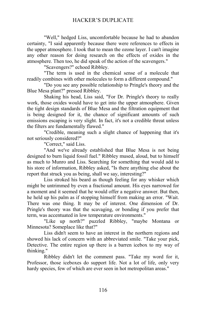"Well," hedged Liss, uncomfortable because he had to abandon certainty, "I said apparently because there were references to effects in the upper atmosphere. I took that to mean the ozone layer. I can't imagine any other reason for doing research on the effects of oxides in the atmosphere. Then too, he did speak of the action of the scavengers."

"Scavengers?" echoed Ribbley.

"The term is used in the chemical sense of a molecule that readily combines with other molecules to form a different compound."

"Do you see any possible relationship to Pringle's theory and the Blue Mesa plant?" pressed Ribbley.

Shaking his head, Liss said, "For Dr. Pringle's theory to really work, those oxides would have to get into the upper atmosphere. Given the tight design standards of Blue Mesa and the filtration equipment that is being designed for it, the chance of significant amounts of such emissions escaping is very slight. In fact, it's not a credible threat unless the filters are fundamentally flawed."

"Credible, meaning such a slight chance of happening that it's not seriously considered?"

"Correct," said Liss.

"And we've already established that Blue Mesa is not being designed to burn liquid fossil fuel." Ribbley mused, aloud, but to himself as much to Munro and Liss. Searching for something that would add to his store of information, Ribbley asked, "Is there anything else about the report that struck you as being, shall we say, interesting?"

Liss stroked his beard as though feeling for any whisker which might be untrimmed by even a fractional amount. His eyes narrowed for a moment and it seemed that he would offer a negative answer. But then, he held up his palm as if stopping himself from making an error. "Wait. There was one thing. It may be of interest. One dimension of Dr. Pringle's theory was that the scavaging, or bonding if you prefer that term, was accentuated in low temperature environments."

"Like up north?" puzzled Ribbley, "maybe Montana or Minnesota? Someplace like that?"

Liss didn't seem to have an interest in the northern regions and showed his lack of concern with an abbreviated smile. "Take your pick, Detective. The entire region up there is a barren icebox to my way of thinking."

Ribbley didn't let the comment pass. "Take my word for it, Professor, those iceboxes do support life. Not a lot of life, only very hardy species, few of which are ever seen in hot metropolitan areas."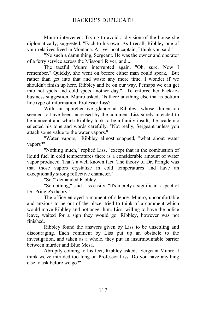Munro intervened. Trying to avoid a division of the house she diplomatically, suggested, "Each to his own. As I recall, Ribbley one of your relatives lived in Montana. A river boat captain, I think you said."

"No such a damn thing, Sergeant. He was the owner and operator of a ferry service across the Missouri River, and ..."

The tactful Munro interrupted again. "Oh, sure. Now I remember." Quickly, she went on before either man could speak, "But rather than get into that and waste any more time, I wonder if we shouldn't finish up here, Ribbley and be on our way. Perhaps we can get into hot spots and cold spots another day." To enforce her back-tobusiness suggestion, Munro asked, "Is there anything else that is bottom line type of information, Professor Liss?"

With an apprehensive glance at Ribbley, whose dimension seemed to have been increased by the comment Liss surely intended to be innocent and which Ribbley took to be a family insult, the academic selected his tone and words carefully. "Not really, Sergeant unless you attach some value to the water vapors."

"Water vapors," Ribbley almost snapped, "what about water vapors?"

"Nothing much," replied Liss, "except that in the combustion of liquid fuel in cold temperatures there is a considerable amount of water vapor produced. That's a well known fact. The theory of Dr. Pringle was that those vapors crystalize in cold temperatures and have an exceptionally strong reflective character."

"So?" demanded Ribbley.

"So nothing," said Liss easily. "It's merely a significant aspect of Dr. Pringle's theory."

The office enjoyed a moment of silence. Munro, uncomfortable and anxious to be out of the place, tried to think of a comment which would move Ribbley and not anger him. Liss, willing to have the police leave, waited for a sign they would go. Ribbley, however was not finished.

Ribbley found the answers given by Liss to be unsettling and discouraging. Each comment by Liss put up an obstacle to the investigation, and taken as a whole, they put an insurmountable barrier between murder and Blue Mesa.

Abruptly coming to his feet, Ribbley asked, "Sergeant Munro, I think we've intruded too long on Professor Liss. Do you have anything else to ask before we go?"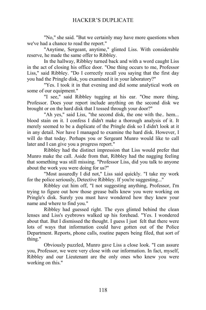"No," she said. "But we certainly may have more questions when we've had a chance to read the report."

"Anytime, Sergeant, anytime," glinted Liss. With considerable reserve, he made the same offer to Ribbley.

In the hallway, Ribbley turned back and with a word caught Liss in the act of closing his office door. "One thing occurs to me, Professor Liss," said Ribbley. "Do I correctly recall you saying that the first day you had the Pringle disk, you examined it in your laboratory?"

"Yes. I took it in that evening and did some analytical work on some of our equipment."

"I see," said Ribbley tugging at his ear. "One more thing, Professor. Does your report include anything on the second disk we brought or on the hard disk that I tossed through your door?"

"Ah yes," said Liss, "the second disk, the one with the.. hem... blood stain on it. I confess I didn't make a thorough analysis of it. It merely seemed to be a duplicate of the Pringle disk so I didn't look at it in any detail. Nor have I managed to examine the hard disk. However, I will do that today. Perhaps you or Sergeant Munro would like to call later and I can give you a progress report."

Ribbley had the distinct impression that Liss would prefer that Munro make the call. Aside from that, Ribbley had the nagging feeling that something was still missing. "Professor Liss, did you talk to anyone about the work you were doing for us?"

"Most assuredly I did not," Liss said quickly. "I take my work for the police seriously, Detective Ribbley. If you're suggesting..."

Ribbley cut him off, "I not suggesting anything, Professor, I'm trying to figure out how those grease balls knew you were working on Pringle's disk. Surely you must have wondered how they knew your name and where to find you."

Ribbley had guessed right. The eyes glinted behind the clean lenses and Liss's eyebrows walked up his forehead. "Yes. I wondered about that. But I dismissed the thought. I guess I just felt that there were lots of ways that information could have gotten out of the Police Department. Reports, phone calls, routine papers being filed, that sort of thing."

Obviously puzzled, Munro gave Liss a close look. "I can assure you, Professor, we were very close with our information. In fact, myself, Ribbley and our Lieutenant are the only ones who knew you were working on this."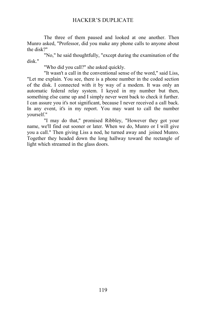The three of them paused and looked at one another. Then Munro asked, "Professor, did you make any phone calls to anyone about the disk?"

"No," he said thoughtfully, "except during the examination of the disk."

"Who did you call?" she asked quickly.

"It wasn't a call in the conventional sense of the word," said Liss, "Let me explain. You see, there is a phone number in the coded section of the disk. I connected with it by way of a modem. It was only an automatic federal relay system. I keyed in my number but then, something else came up and I simply never went back to check it further. I can assure you it's not significant, because I never received a call back. In any event, it's in my report. You may want to call the number yourself."

"I may do that," promised Ribbley, "However they got your name, we'll find out sooner or later. When we do, Munro or I will give you a call." Then giving Liss a nod, he turned away and joined Munro. Together they headed down the long hallway toward the rectangle of light which streamed in the glass doors.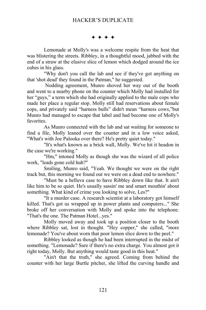$***$ 

Lemonade at Molly's was a welcome respite from the heat that was blistering the streets. Ribbley, in a thoughtful mood, jabbed with the end of a straw at the elusive slice of lemon which dodged around the ice cubes in his glass.

"Why don't you call the lab and see if they've got anything on that 'shot dead' they found in the Patman," he suggested.

 Nodding agreement, Munro shoved her way out of the booth and went to a nearby phone on the counter which Molly had installed for her "guys," a term which she had originally applied to the male cops who made her place a regular stop. Molly still had reservations about female cops, and privately said "harness bulls" didn't mean "harness cows,"but Munro had managed to escape that label and had become one of Molly's favorites.

As Munro connected with the lab and sat waiting for someone to find a file, Molly leaned over the counter and in a low voice asked, "What's with Joe Palooka over there? He's pretty quiet today."

"It's what's known as a brick wall, Molly. We've hit it headon in the case we're working."

"Hm," intoned Molly as though she was the wizard of all police work, "leads gone cold huh?"

Smiling, Munro said, "Yeah. We thought we were on the right track but, this morning we found out we were on a dead end to nowhere."

"Must be a helluva case to have Ribbley down like that. It ain't like him to be so quiet. He's usually sassin' me and smart mouthin' about something. What kind of crime you looking to solve, Les?"

"It a murder case. A research scientist at a laboratory got himself killed. That's got us wrapped up in power plants and computers..." She broke off her conversation with Molly and spoke into the telephone. "That's the one. The Patman Hotel...yes."

Molly moved away and took up a position closer to the booth where Ribbley sat, lost in thought. "Hey copper," she called, "more lemonade? You've about worn that poor lemon slice down to the peel."

Ribbley looked as though he had been interrupted in the midst of something. "Lemonade? Sure if there's no extra charge. You almost got it right today, Molly. But anything would taste good in this heat."

"Ain't that the truth," she agreed. Coming from behind the counter with her large Burtle pitcher, she lifted the curving handle and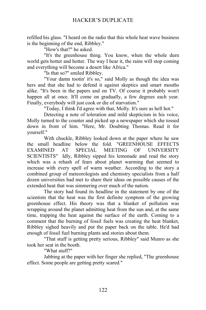refilled his glass. "I heard on the radio that this whole heat wave business is the beginning of the end, Ribbley."

"How's that?" he asked.

"It's the greenhouse thing. You know, when the whole durn world gets hotter and hotter. The way I hear it, the rains will stop coming and everything will become a desert like Africa."

"Is that so?" smiled Ribbley.

"Your damn tootin' it's so," said Molly as though the idea was hers and that she had to defend it against skeptics and smart mouths alike. "It's been in the papers and on TV. Of course it probably won't happen all at once. It'll come on gradually, a few degrees each year. Finally, everybody will just cook or die of starvation."

"Today, I think I'd agree with that, Molly. It's sure as hell hot."

Detecting a note of toleration and mild skepticism in his voice, Molly turned to the counter and picked up a newspaper which she tossed down in front of him. "Here, Mr. Doubting Thomas. Read it for yourself."

With chuckle, Ribbley looked down at the paper where he saw the small headline below the fold. "GREENHOUSE EFFECTS EXAMINED AT SPECIAL MEETING OF UNIVERSITY SCIENTISTS" Idly, Ribbley sipped his lemonade and read the story which was a rehash of fears about planet warming that seemed to increase with every spell of warm weather. According to the story a combined group of meteorologists and chemistry specialists from a half dozen universities had met to share their ideas on possible causes of the extended heat that was simmering over much of the nation.

The story had found its headline in the statement by one of the scientists that the heat was the first definite symptom of the growing greenhouse effect. His theory was that a blanket of pollution was wrapping around the planet admitting heat from the sun and, at the same time, trapping the heat against the surface of the earth. Coming to a comment that the burning of fossil fuels was creating the heat blanket, Ribbley sighed heavily and put the paper back on the table. He'd had enough of fossil fuel burning plants and stories about them.

"That stuff is getting pretty serious, Ribbley" said Munro as she took her seat in the booth.

"What stuff?"

Jabbing at the paper with her finger she replied, "The greenhouse effect. Some people are getting pretty scared."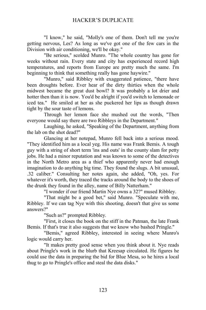"I know," he said, "Molly's one of them. Don't tell me you're getting nervous, Les? As long as we've got one of the few cars in the Division with air conditioning, we'll be okay."

"Be serious," scolded Munro. "The whole country has gone for weeks without rain. Every state and city has experienced record high temperatures, and reports from Europe are pretty much the same. I'm beginning to think that something really has gone haywire."

"Munro," said Ribbley with exaggerated patience, "there have been droughts before. Ever hear of the dirty thirties when the whole midwest became the great dust bowl? It was probably a lot drier and hotter then than it is now. You'd be alright if you'd switch to lemonade or iced tea." He smiled at her as she puckered her lips as though drawn tight by the sour taste of lemons.

Through her lemon face she mushed out the words, "Then everyone would say there are two Ribbleys in the Department."

Laughing, he asked, "Speaking of the Department, anything from the lab on the shot dead?"

Glancing at her notepad, Munro fell back into a serious mood. "They identified him as a local yeg. His name was Frank Bemis. A tough guy with a string of short term 'ins and outs' in the county slam for petty jobs. He had a minor reputation and was known to some of the detectives in the North Metro area as a thief who apparently never had enough imagination to do anything big time. They found the slugs. A bit unusual, .32 caliber." Consulting her notes again, she added, "Oh, yes. For whatever it's worth, they traced the tracks around the body to the shoes of the drunk they found in the alley, name of Billy Natterham."

"I wonder if our friend Martin Nye owns a 32?" mused Ribbley.

"That might be a good bet," said Munro. "Speculate with me, Ribbley. If we can tag Nye with this shooting, doesn't that give us some answers?"

"Such as?" prompted Ribbley.

"First, it closes the book on the stiff in the Patman, the late Frank Bemis. If that's true it also suggests that we know who bashed Pringle."

"Bemis," agreed Ribbley, interested in seeing where Munro's logic would carry her.

"It makes pretty good sense when you think about it. Nye reads about Pringle's work in the blurb that Kreesap circulated. He figures he could use the data in preparing the bid for Blue Mesa, so he hires a local thug to go to Pringle's office and steal the data disks."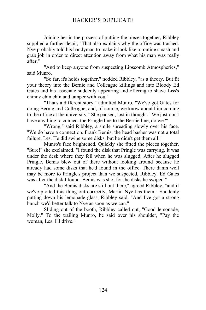Joining her in the process of putting the pieces together, Ribbley supplied a further detail, "That also explains why the office was trashed. Nye probably told his handyman to make it look like a routine smash and grab job in order to direct attention away from what his man was really after."

"And to keep anyone from suspecting Lipscomb Atmospherics," said Munro.

"So far, it's holds together," nodded Ribbley, "as a theory. But fit your theory into the Bernie and Colleague killings and into Bloody Ed Gates and his associate suddenly appearing and offering to shave Liss's chinny chin chin and tamper with you."

"That's a different story," admitted Munro. "We've got Gates for doing Bernie and Colleague, and, of course, we know about him coming to the office at the university." She paused, lost in thought. "We just don't have anything to connect the Pringle line to the Bernie line, do we?"

"Wrong," said Ribbley, a smile spreading slowly over his face. "We do have a connection. Frank Bemis, the head basher was not a total failure, Les. He did swipe some disks, but he didn't get them all."

Munro's face brightened. Quickly she fitted the pieces together. "Sure!" she exclaimed. "I found the disk that Pringle was carrying. It was under the desk where they fell when he was slugged. After he slugged Pringle, Bemis blew out of there without looking around because he already had some disks that he'd found in the office. There damn well may be more to Pringle's project than we suspected, Ribbley. Ed Gates was after the disk I found. Bemis was shot for the disks he swiped."

"And the Bemis disks are still out there," agreed Ribbley, "and if we've plotted this thing out correctly, Martin Nye has them." Suddenly putting down his lemonade glass, Ribbley said, "And I've got a strong hunch we'd better talk to Nye as soon as we can."

Sliding out of the booth, Ribbley called out, "Good lemonade, Molly." To the trailing Munro, he said over his shoulder, "Pay the woman, Les. I'll drive."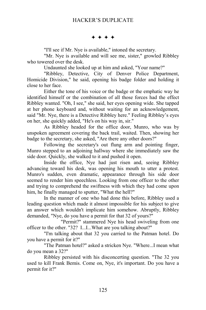$***$ 

"I'll see if Mr. Nye is available," intoned the secretary.

"Mr. Nye is available and will see me, sister," growled Ribbley who towered over the desk.

Undaunted she looked up at him and asked, "Your name?"

"Ribbley, Detective, City of Denver Police Department, Homicide Division," he said, opening his badge folder and holding it close to her face.

Either the tone of his voice or the badge or the emphatic way he identified himself or the combination of all those forces had the effect Ribbley wanted. "Oh, I see," she said, her eyes opening wide. She tapped at her phone keyboard and, without waiting for an acknowledgement, said "Mr. Nye, there is a Detective Ribbley here." Feeling Ribbley's eyes on her, she quickly added, "He's on his way in, sir."

As Ribbley headed for the office door, Munro, who was by unspoken agreement covering the back trail, waited. Then, showing her badge to the secretary, she asked, "Are there any other doors?"

Following the secretary's out flung arm and pointing finger, Munro stepped to an adjoining hallway where she immediately saw the side door. Quickly, she walked to it and pushed it open.

Inside the office, Nye had just risen and, seeing Ribbley advancing toward his desk, was opening his mouth to utter a protest. Munro's sudden, even dramatic, appearance through his side door seemed to render him speechless. Looking from one officer to the other and trying to comprehend the swiftness with which they had come upon him, he finally managed to sputter, "What the hell?"

In the manner of one who had done this before, Ribbley used a leading question which made it almost impossible for his subject to give an answer which wouldn't implicate him somehow. Abruptly, Ribbley demanded, "Nye, do you have a permit for that 32 of yours?"

"Permit?" stammered Nye his head swiveling from one officer to the other. "32? I...I...What are you talking about?"

"I'm talking about that 32 you carried to the Patman hotel. Do you have a permit for it?"

"The Patman hotel?" asked a stricken Nye. "Where...I mean what do you mean a 32?"

Ribbley persisted with his disconcerting question. "The 32 you used to kill Frank Bemis. Come on, Nye, it's important. Do you have a permit for it?"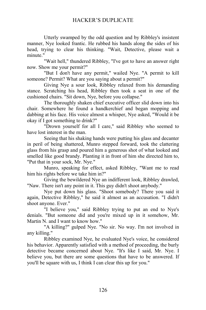Utterly swamped by the odd question and by Ribbley's insistent manner, Nye looked frantic. He rubbed his hands along the sides of his head, trying to clear his thinking. "Wait, Detective, please wait a minute."

"Wait hell," thundered Ribbley, "I've got to have an answer right now. Show me your permit?"

"But I don't have any permit," wailed Nye. "A permit to kill someone? Permit? What are you saying about a permit?"

Giving Nye a sour look, Ribbley relaxed from his demanding stance. Scratching his head, Ribbley then took a seat in one of the cushioned chairs. "Sit down, Nye, before you collapse."

The thoroughly shaken chief executive officer slid down into his chair. Somewhere he found a handkerchief and began mopping and dabbing at his face. His voice almost a whisper, Nye asked, "Would it be okay if I got something to drink?"

"Drown yourself for all I care," said Ribbley who seemed to have lost interest in the man.

Seeing that his shaking hands were putting his glass and decanter in peril of being shattered, Munro stepped forward, took the clattering glass from his grasp and poured him a generous shot of what looked and smelled like good brandy. Planting it in front of him she directed him to, "Put that in your sock, Mr. Nye."

Munro, speaking for effect, asked Ribbley, "Want me to read him his rights before we take him in?"

Giving the bewildered Nye an indifferent look, Ribbley drawled, "Naw. There isn't any point in it. This guy didn't shoot anybody."

Nye put down his glass. "Shoot somebody? There you said it again, Detective Ribbley," he said it almost as an accusation. "I didn't shoot anyone. Ever."

"I believe you," said Ribbley trying to put an end to Nye's denials. "But someone did and you're mixed up in it somehow, Mr. Martin N. and I want to know how."

"A killing?" gulped Nye. "No sir. No way. I'm not involved in any killing."

Ribbley examined Nye, he evaluated Nye's voice, he considered his behavior. Apparently satisfied with a method of proceeding, the burly detective became concerned about Nye. "It's like I said, Mr. Nye. I believe you, but there are some questions that have to be answered. If you'll be square with us, I think I can clear this up for you."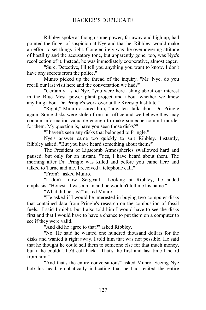Ribbley spoke as though some power, far away and high up, had pointed the finger of suspicion at Nye and that he, Ribbley, would make an effort to set things right. Gone entirely was the overpowering attitude of hostility and the accusatory tone, but apparently gone, too, was Nye's recollection of it. Instead, he was immediately cooperative, almost eager.

"Sure, Detective, I'll tell you anything you want to know. I don't have any secrets from the police."

Munro picked up the thread of the inquiry. "Mr. Nye, do you recall our last visit here and the conversation we had?"

"Certainly," said Nye, "you were here asking about our interest in the Blue Mesa power plant project and about whether we knew anything about Dr. Pringle's work over at the Kreesap Institute."

"Right," Munro assured him, "now let's talk about Dr. Pringle again. Some disks were stolen from his office and we believe they may contain information valuable enough to make someone commit murder for them. My question is, have you seen those disks?"

"I haven't seen any disks that belonged to Pringle."

Nye's answer came too quickly to suit Ribbley. Instantly, Ribbley asked, "But you have heard something about them?"

The President of Lipscomb Atmospherics swallowed hard and paused, but only for an instant. "Yes, I have heard about them. The morning after Dr. Pringle was killed and before you came here and talked to Turne and me, I received a telephone call."

"From?" asked Munro.

"I don't know, Sergeant." Looking at Ribbley, he added emphasis, "Honest. It was a man and he wouldn't tell me his name."

"What did he say?" asked Munro.

"He asked if I would be interested in buying two computer disks that contained data from Pringle's research on the combustion of fossil fuels. I said I might, but I also told him I would have to see the disks first and that I would have to have a chance to put them on a computer to see if they were valid."

"And did he agree to that?" asked Ribbley.

"No. He said he wanted one hundred thousand dollars for the disks and wanted it right away. I told him that was not possible. He said that he thought he could sell them to someone else for that much money, but if he couldn't he'd call back. That's the first and last time I heard from him."

"And that's the entire conversation?" asked Munro. Seeing Nye bob his head, emphatically indicating that he had recited the entire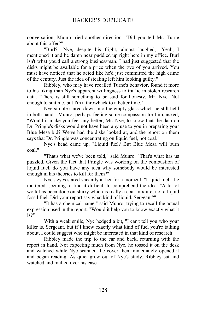conversation, Munro tried another direction. "Did you tell Mr. Turne about this offer?"

"Burl?" Nye, despite his fright, almost laughed, "Yeah, I mentioned it and he damn near puddled up right here in my office. Burl isn't what you'd call a strong businessman. I had just suggested that the disks might be available for a price when the two of you arrived. You must have noticed that he acted like he'd just committed the high crime of the century. Just the idea of stealing left him looking guilty."

Ribbley, who may have recalled Turne's behavior, found it more to his liking than Nye's apparent willingness to traffic in stolen research data. "There is still something to be said for honesty, Mr. Nye. Not enough to suit me, but I'm a throwback to a better time."

Nye simple stared down into the empty glass which he still held in both hands. Munro, perhaps feeling some compassion for him, asked, "Would it make you feel any better, Mr. Nye, to know that the data on Dr. Pringle's disks would not have been any use to you in preparing your Blue Mesa bid? We've had the disks looked at, and the report on them says that Dr. Pringle was concentrating on liquid fuel, not coal."

Nye's head came up. "Liquid fuel? But Blue Mesa will burn coal."

"That's what we've been told," said Munro. "That's what has us puzzled. Given the fact that Pringle was working on the combustion of liquid fuel, do you have any idea why somebody would be interested enough in his theories to kill for them?"

Nye's eyes stared vacantly at her for a moment. "Liquid fuel," he muttered, seeming to find it difficult to comprehend the idea. "A lot of work has been done on slurry which is really a coal mixture, not a liquid fossil fuel. Did your report say what kind of liquid, Sergeant?"

"It has a chemical name," said Munro, trying to recall the actual expression used in the report. "Would it help you to know exactly what it is?"

With a weak smile, Nye hedged a bit, "I can't tell you who your killer is, Sergeant, but if I knew exactly what kind of fuel you're talking about, I could suggest who might be interested in that kind of research."

Ribbley made the trip to the car and back, returning with the report in hand. Not expecting much from Nye, he tossed it on the desk and watched while Nye scanned the cover then immediately opened it and began reading. As quiet grew out of Nye's study, Ribbley sat and watched and mulled over his case.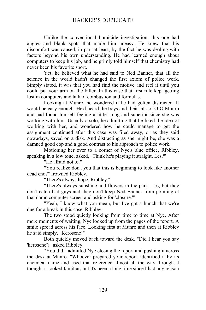Unlike the conventional homicide investigation, this one had angles and blank spots that made him uneasy. He knew that his discomfort was caused, in part at least, by the fact he was dealing with factors beyond his own understanding. He had learned enough about computers to keep his job, and he grimly told himself that chemistry had never been his favorite sport.

Yet, he believed what he had said to Ned Banner, that all the science in the world hadn't changed the first axiom of police work. Simply stated, it was that you had find the motive and reel it until you could put your arm on the killer. In this case that first rule kept getting lost in computers and talk of combustion and formulas.

Looking at Munro, he wondered if he had gotten distracted. It would be easy enough. He'd heard the boys and their talk of O O Munro and had found himself feeling a little smug and superior since she was working with him. Usually a solo, he admitting that he liked the idea of working with her, and wondered how he could manage to get the assignment continued after this case was filed away, or as they said nowadays, saved on a disk. And distracting as she might be, she was a damned good cop and a good contrast to his approach to police work.

Motioning her over to a corner of Nye's blue office, Ribbley, speaking in a low tone, asked, "Think he's playing it straight, Les?"

"He afraid not to."

"You realize don't you that this is beginning to look like another dead end?" frowned Ribbley.

"There's always hope, Ribbley."

"There's always sunshine and flowers in the park, Les, but they don't catch bad guys and they don't keep Ned Banner from pointing at that damn computer screen and asking for 'closure.'"

"Yeah, I know what you mean, but I've got a hunch that we're due for a break in this case, Ribbley."

The two stood quietly looking from time to time at Nye. After more moments of waiting, Nye looked up from the pages of the report. A smile spread across his face. Looking first at Munro and then at Ribbley he said simply, "Kerosene!"

Both quickly moved back toward the desk. "Did I hear you say 'kerosene'?" asked Ribbley.

"You did," admitted Nye closing the report and pushing it across the desk at Munro. "Whoever prepared your report, identified it by its chemical name and used that reference almost all the way through. I thought it looked familiar, but it's been a long time since I had any reason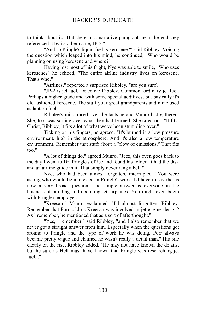to think about it. But there in a narrative paragraph near the end they referenced it by its other name, JP-2."

"And so Pringle's liquid fuel is kerosene?" said Ribbley. Voicing the question which leaped into his mind, he continued, "Who would be planning on using kerosene and where?"

Having lost most of his fright, Nye was able to smile, "Who uses kerosene?" he echoed, "The entire airline industry lives on kerosene. That's who."

"Airlines," repeated a surprised Ribbley, "are you sure?"

"JP-2 is jet fuel, Detective Ribbley. Common, ordinary jet fuel. Perhaps a higher grade and with some special additives, but basically it's old fashioned kerosene. The stuff your great grandparents and mine used as lantern fuel."

Ribbley's mind raced over the facts he and Munro had gathered. She, too, was sorting over what they had learned. She cried out, "It fits! Christ, Ribbley, it fits a lot of what we've been stumbling over."

Ticking on his fingers, he agreed. "It's burned in a low pressure environment, high in the atmosphere. And it's also a low temperature environment. Remember that stuff about a "flow of emissions?' That fits too."

"A lot of things do," agreed Munro. "Jeez, this even goes back to the day I went to Dr. Pringle's office and found his folder. It had the disk and an airline guide in it. That simply never rang a bell."

Nye, who had been almost forgotten, interrupted. "You were asking who would be interested in Pringle's work. I'd have to say that is now a very broad question. The simple answer is everyone in the business of building and operating jet airplanes. You might even begin with Pringle's employer."

"Kreesap!" Munro exclaimed. "I'd almost forgotten, Ribbley. Remember that Porr told us Kreesap was involved in jet engine design? As I remember, he mentioned that as a sort of afterthought."

"Yes, I remember," said Ribbley, "and I also remember that we never got a straight answer from him. Especially when the questions got around to Pringle and the type of work he was doing. Porr always became pretty vague and claimed he wasn't really a detail man." His bile clearly on the rise, Ribbley added, "He may not have known the details, but he sure as Hell must have known that Pringle was researching jet fuel..."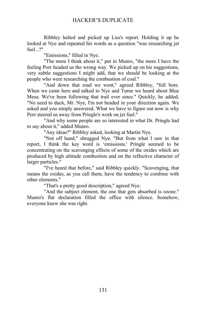Ribbley halted and picked up Liss's report. Holding it up he looked at Nye and repeated his words as a question "was researching jet fuel. $2"$ 

"Emissions," filled in Nye.

"The more I think about it," put in Munro, "the more I have the feeling Porr headed us the wrong way. We picked up on his suggestions, very subtle suggestions I might add, that we should be looking at the people who were researching the combustion of coal."

"And down that road we went," agreed Ribbley, "full bore. When we came here and talked to Nye and Turne we heard about Blue Mesa. We've been following that trail ever since." Quickly, he added, "No need to duck, Mr. Nye, I'm not headed in your direction again. We asked and you simply answered. What we have to figure out now is why Porr steered us away from Pringle's work on jet fuel."

"And why some people are so interested in what Dr. Pringle had to say about it," added Munro.

"Any ideas?" Ribbley asked, looking at Martin Nye.

"Not off hand," shrugged Nye. "But from what I saw in that report, I think the key word is 'emissions.' Pringle seemed to be concentrating on the scavenging effects of some of the oxides which are produced by high altitude combustion and on the reflective character of larger particles."

"I've heard that before," said Ribbley quickly. "Scavenging, that means the oxides, as you call them, have the tendency to combine with other elements."

"That's a pretty good description," agreed Nye.

"And the subject element, the one that gets absorbed is ozone." Munro's flat declaration filled the office with silence. Somehow, everyone knew she was right.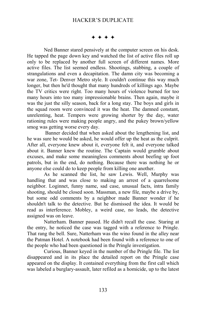#### $***$

Ned Banner stared pensively at the computer screen on his desk. He tapped the page down key and watched the list of active files roll up only to be replaced by another full screen of different names. More active files. The list seemed endless. Shootings, stabbing, a couple of strangulations and even a decapitation. The damn city was becoming a war zone, Tet- Denver Metro style. It couldn't continue this way much longer, but then he'd thought that many hundreds of killings ago. Maybe the TV critics were right. Too many hours of violence burned for too many hours into too many impressionable brains. Then again, maybe it was the just the silly season, back for a long stay. The boys and girls in the squad room were convinced it was the heat. The damned constant, unrelenting, heat. Tempers were growing shorter by the day, water rationing rules were making people angry, and the pukey brown/yellow smog was getting worse every day.

 Banner decided that when asked about the lengthening list, and he was sure he would be asked, he would offer up the heat as the culprit. After all, everyone knew about it, everyone felt it, and everyone talked about it. Banner knew the routine. The Captain would grumble about excuses, and make some meaningless comments about beefing up foot patrols, but in the end, do nothing. Because there was nothing he or anyone else could do to keep people from killing one another.

As he scanned the list, he saw Lewis. Well, Murphy was handling that and was close to making an arrest of a quarrelsome neighbor. Loginnet, funny name, sad case, unusual facts, intra family shooting, should be closed soon. Massman, a new file, maybe a drive by, but some odd comments by a neighbor made Banner wonder if he shouldn't talk to the detective. But he dismissed the idea. It would be read as interference. Mobley, a weird case, no leads, the detective assigned was on leave.

Natterham. Banner paused. He didn't recall the case. Staring at the entry, he noticed the case was tagged with a reference to Pringle. That rang the bell. Sure, Natterham was the wino found in the alley near the Patman Hotel. A notebook had been found with a reference to one of the people who had been questioned in the Pringle investigation.

Curious, Banner keyed in the number of the Pringle file. The list disappeared and in its place the detailed report on the Pringle case appeared on the display. It contained everything from the first call which was labeled a burglary-assault, later refiled as a homicide, up to the latest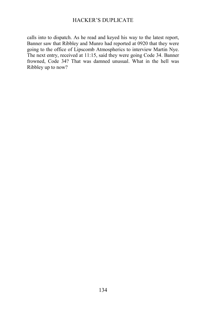calls into to dispatch. As he read and keyed his way to the latest report, Banner saw that Ribbley and Munro had reported at 0920 that they were going to the office of Lipscomb Atmospherics to interview Martin Nye. The next entry, received at 11:15, said they were going Code 34. Banner frowned, Code 34? That was damned unusual. What in the hell was Ribbley up to now?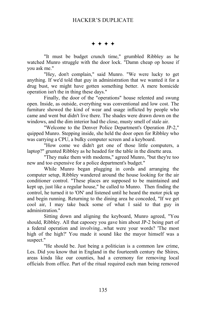$***$ 

"It must be budget crunch time," grumbled Ribbley as he watched Munro struggle with the door lock. "Damn cheap op house if you ask me."

"Hey, don't complain," said Munro. "We were lucky to get anything. If we'd told that guy in administration that we wanted it for a drug bust, we might have gotten something better. A mere homicide operation isn't the in thing these days."

Finally, the door of the "operations" house relented and swung open. Inside, as outside, everything was conventional and low cost. The furniture showed the kind of wear and usage inflicted by people who came and went but didn't live there. The shades were drawn down on the windows, and the dim interior had the close, musty smell of stale air.

"Welcome to the Denver Police Department's Operation JP-2," quipped Munro. Stepping inside, she held the door open for Ribbley who was carrying a CPU, a bulky computer screen and a keyboard.

"How come we didn't get one of those little computers, a laptop?" grunted Ribbley as he headed for the table in the dinette area.

"They make them with modems," agreed Munro, "but they're too new and too expensive for a police department's budget."

While Munro began plugging in cords and arranging the computer setup, Ribbley wandered around the house looking for the air conditioner control. "These places are supposed to be maintained and kept up, just like a regular house," he called to Munro. Then finding the control, he turned it to 'ON' and listened until he heard the motor pick up and begin running. Returning to the dining area he conceded, "If we get cool air, I may take back some of what I said to that guy in administration."

Sitting down and aligning the keyboard, Munro agreed, "You should, Ribbley. All that capooey you gave him about JP-2 being part of a federal operation and involving...what were your words? 'The most high of the high?' You made it sound like the mayor himself was a suspect."

"He should be. Just being a politician is a common law crime, Les. Did you know that in England in the fourteenth century the Shires, areas kinda like our counties, had a ceremony for removing local officials from office. Part of the ritual required each man being removed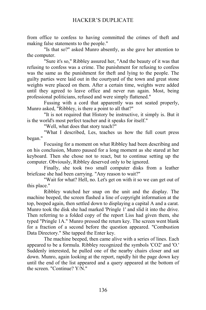from office to confess to having committed the crimes of theft and making false statements to the people."

"Is that so?" asked Munro absently, as she gave her attention to the computer.

"Sure it's so," Ribbley assured her, "And the beauty of it was that refusing to confess was a crime. The punishment for refusing to confess was the same as the punishment for theft and lying to the people. The guilty parties were laid out in the courtyard of the town and great stone weights were placed on them. After a certain time, weights were added until they agreed to leave office and never run again. Most, being professional politicians, refused and were simply flattened."

Fussing with a cord that apparently was not seated properly, Munro asked, "Ribbley, is there a point to all that?"

"It is not required that History be instructive, it simply is. But it is the world's most perfect teacher and it speaks for itself."

"Well, what does that story teach?"

"What I described, Les, teaches us how the full court press began."

Focusing for a moment on what Ribbley had been describing and on his conclusion, Munro paused for a long moment as she stared at her keyboard. Then she chose not to react, but to continue setting up the computer. Obviously, Ribbley deserved only to be ignored.

Finally, she took two small computer disks from a leather briefcase she had been carrying. "Any reason to wait?"

"Wait for what? Hell, no. Let's get on with it so we can get out of this place."

Ribbley watched her snap on the unit and the display. The machine beeped, the screen flashed a line of copyright information at the top, beeped again, then settled down to displaying a capital A and a carat. Munro took the disk she had marked 'Pringle 1' and slid it into the drive. Then referring to a folded copy of the report Liss had given them, she typed "Pringle 1A." Munro pressed the return key. The screen went blank for a fraction of a second before the question appeared. "Combustion Data Directory." She tapped the Enter key.

The machine beeped, then came alive with a series of lines. Each appeared to be a formula. Ribbley recognized the symbols 'CO2' and 'O.' Suddenly interested, he pulled one of the nearby chairs closer and sat down. Munro, again looking at the report, rapidly hit the page down key until the end of the list appeared and a query appeared at the bottom of the screen. "Continue? Y/N."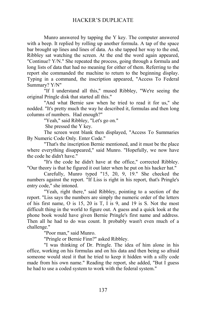Munro answered by tapping the Y key. The computer answered with a beep. It replied by rolling up another formula. A tap of the space bar brought up lines and lines of data. As she tapped her way to the end, Ribbley sat watching the screen. At the end the word again appeared, "Continue? Y/N." She repeated the process, going through a formula and long lists of data that had no meaning for either of them. Referring to the report she commanded the machine to return to the beginning display. Typing in a command, the inscription appeared, "Access To Federal Summary? Y/N"

"If I understand all this," mused Ribbley, "We're seeing the original Pringle disk that started all this."

"And what Bernie saw when he tried to read it for us," she nodded. "It's pretty much the way he described it, formulas and then long columns of numbers. Had enough?"

"Yeah," said Ribbley, "Let's go on."

She pressed the Y key.

The screen went blank then displayed, "Access To Summaries By Numeric Code Only. Enter Code."

"That's the inscription Bernie mentioned, and it must be the place where everything disappeared," said Munro. "Hopefully, we now have the code he didn't have."

"It's the code he didn't have at the office," corrected Ribbley. "Our theory is that he figured it out later when he put on his hacker hat."

Carefully, Munro typed "15, 20, 9, 19." She checked the numbers against the report. "If Liss is right in his report, that's Pringle's entry code," she intoned.

"Yeah, right there," said Ribbley, pointing to a section of the report. "Liss says the numbers are simply the numeric order of the letters of his first name, O is 15, 20 is T, I is 9, and 19 is S. Not the most difficult thing in the world to figure out. A guess and a quick look at the phone book would have given Bernie Pringle's first name and address. Then all he had to do was count. It probably wasn't even much of a challenge."

"Poor man," said Munro.

"Pringle or Bernie Finn?" asked Ribbley.

"I was thinking of Dr. Pringle. The idea of him alone in his office, working on his formulas and on his data and then being so afraid someone would steal it that he tried to keep it hidden with a silly code made from his own name." Reading the report, she added, "But I guess he had to use a coded system to work with the federal system."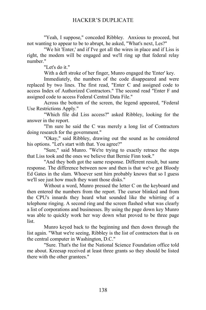"Yeah, I suppose," conceded Ribbley. Anxious to proceed, but not wanting to appear to be to abrupt, he asked, "What's next, Les?"

"We hit 'Enter,' and if I've got all the wires in place and if Liss is right, the modem will be engaged and we'll ring up that federal relay number."

"Let's do it."

With a deft stroke of her finger, Munro engaged the 'Enter' key.

Immediately, the numbers of the code disappeared and were replaced by two lines. The first read, "Enter C and assigned code to access Index of Authorized Contractors." The second read "Enter F and assigned code to access Federal Central Data File."

Across the bottom of the screen, the legend appeared, "Federal Use Restrictions Apply."

"Which file did Liss access?" asked Ribbley, looking for the answer in the report.

"I'm sure he said the C was merely a long list of Contractors doing research for the government."

"Okay," said Ribbley, drawing out the sound as he considered his options. "Let's start with that. You agree?"

"Sure," said Munro. "We're trying to exactly retrace the steps that Liss took and the ones we believe that Bernie Finn took."

"And they both got the same response. Different result, but same response. The difference between now and then is that we've got Bloody Ed Gates in the slam. Whoever sent him probably knows that so I guess we'll see just how much they want those disks."

Without a word, Munro pressed the letter C on the keyboard and then entered the numbers from the report. The cursor blinked and from the CPU's innards they heard what sounded like the whirring of a telephone ringing. A second ring and the screen flashed what was clearly a list of corporations and businesses. By using the page down key Munro was able to quickly work her way down what proved to be three page list.

Munro keyed back to the beginning and then down through the list again. "What we're seeing, Ribbley is the list of contractors that is on the central computer in Washington, D.C."

"Sure. That's the list the National Science Foundation office told me about. Kreesap received at least three grants so they should be listed there with the other grantees."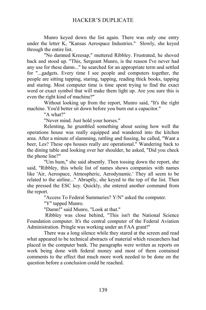Munro keyed down the list again. There was only one entry under the letter K, "Kansas Aerospace Industries." Slowly, she keyed through the entire list.

"No damned Kreesap," muttered Ribbley. Frustrated, he shoved back and stood up. "This, Sergeant Munro, is the reason I've never had any use for these damn..." he searched for an appropriate term and settled for "...gadgets. Every time I see people and computers together, the people are sitting tapping, staring, tapping, reading thick books, tapping and staring. Most computer time is time spent trying to find the exact word or exact symbol that will make them light up. Are you sure this is even the right kind of machine?"

Without looking up from the report, Munro said, "It's the right machine. You'd better sit down before you burn out a capacitor."

"A what?"

"Never mind. Just hold your horses."

Relenting, he grumbled something about seeing how well the operations house was really equipped and wandered into the kitchen area. After a minute of slamming, rattling and fussing, he called, "Want a beer, Les? These ops houses really are operational." Wandering back to the dining table and looking over her shoulder, he asked, "Did you check the phone line?"

"Um hum," she said absently. Then tossing down the report, she said, "Ribbley, this whole list of names shows companies with names like 'Air, Aerospace, Atmospheric, Aerodynamic.' They all seem to be related to the airline..." Abruptly, she keyed to the top of the list. Then she pressed the ESC key. Quickly, she entered another command from the report.

"Access To Federal Summaries? Y/N" asked the computer.

"Y" tapped Munro.

"Damn!" said Munro, "Look at that."

 Ribbley was close behind, "This isn't the National Science Foundation computer. It's the central computer of the Federal Aviation Administration. Pringle was working under an FAA grant!"

There was a long silence while they stared at the screen and read what appeared to be technical abstracts of material which researchers had placed in the computer bank. The paragraphs were written as reports on work being done with federal money and most of them contained comments to the effect that much more work needed to be done on the question before a conclusion could be reached.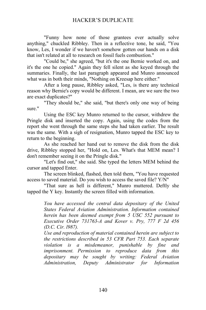"Funny how none of those grantees ever actually solve anything," chuckled Ribbley. Then in a reflective tone, he said, "You know, Les, I wonder if we haven't somehow gotten our hands on a disk that isn't related at all to research on fossil fuels combustion."

"Could be," she agreed, "but it's the one Bernie worked on, and it's the one he copied." Again they fell silent as she keyed through the summaries. Finally, the last paragraph appeared and Munro announced what was in both their minds, "Nothing on Kreesap here either."

After a long pause, Ribbley asked, "Les, is there any technical reason why Bernie's copy would be different. I mean, are we sure the two are exact duplicates?"

"They should be," she said, "but there's only one way of being sure."

Using the ESC key Munro returned to the cursor, withdrew the Pringle disk and inserted the copy. Again, using the codes from the report she went through the same steps she had taken earlier. The result was the same. With a sigh of resignation, Munro tapped the ESC key to return to the beginning.

As she reached her hand out to remove the disk from the disk drive, Ribbley stopped her, "Hold on, Les. What's that MEM mean? I don't remember seeing it on the Pringle disk."

"Let's find out," she said. She typed the letters MEM behind the cursor and tapped Enter.

The screen blinked, flashed, then told them, "You have requested access to saved material. Do you wish to access the saved file? Y/N"

"That sure as hell is different," Munro muttered. Deftly she tapped the Y key. Instantly the screen filled with information.

> *You have accessed the central data depositary of the United States Federal Aviation Administration. Information contained herein has been deemed exempt from 5 USC 552 pursuant to Executive Order 731763-A and Kover v. Pry, 777 F 2d 456 (D.C. Cir. l987).*

> *Use and reproduction of material contained herein are subject to the restrictions described in 53 CFR Part 753. Each separate violation is a misdemeanor, punishable by fine and imprisonment. Permission to reproduce data from this depositary may be sought by writing: Federal Aviation Administration, Deputy Administrator for Information*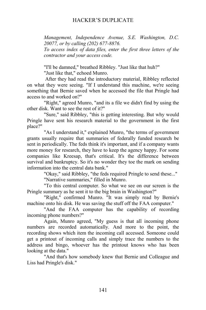*Management, Independence Avenue, S.E. Washington, D.C. 20077, or by calling (202) 677-8876.*

*To access index of data files, enter the first three letters of the contractor and your access code.*

"I'll be damned," breathed Ribbley. "Just like that huh?"

"Just like that," echoed Munro.

 After they had read the introductory material, Ribbley reflected on what they were seeing. "If I understand this machine, we're seeing something that Bernie saved when he accessed the file that Pringle had access to and worked on?"

"Right," agreed Munro, "and its a file we didn't find by using the other disk. Want to see the rest of it?"

"Sure," said Ribbley, "this is getting interesting. But why would Pringle have sent his research material to the government in the first place?"

"As I understand it," explained Munro, "the terms of government grants usually require that summaries of federally funded research be sent in periodically. The feds think it's important, and if a company wants more money for research, they have to keep the agency happy. For some companies like Kreesap, that's critical. It's the difference between survival and bankruptcy. So it's no wonder they toe the mark on sending information into the central data bank."

"Okay," said Ribbley, "the feds required Pringle to send these..."

"Narrative summaries," filled in Munro.

"To this central computer. So what we see on our screen is the Pringle summary as he sent it to the big brain in Washington?"

"Right," confirmed Munro. "It was simply read by Bernie's machine onto his disk. He was saving the stuff off the FAA computer."

"And the FAA computer has the capability of recording incoming phone numbers?"

Again, Munro agreed, "My guess is that all incoming phone numbers are recorded automatically. And more to the point, the recording shows which item the incoming call accessed. Someone could get a printout of incoming calls and simply trace the numbers to the address and bingo, whoever has the printout knows who has been looking at the data."

"And that's how somebody knew that Bernie and Colleague and Liss had Pringle's disk."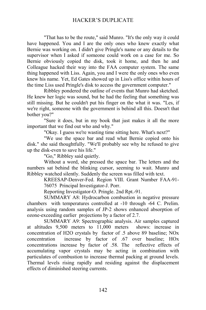"That has to be the route," said Munro. "It's the only way it could have happened. You and I are the only ones who knew exactly what Bernie was working on. I didn't give Pringle's name or any details to the supervisor when I asked if someone could work on a case for me. So Bernie obviously copied the disk, took it home, and then he and Colleague hacked their way into the FAA computer system. The same thing happened with Liss. Again, you and I were the only ones who even knew his name. Yet, Ed Gates showed up in Liss's office within hours of the time Liss used Pringle's disk to access the government computer."

Ribbley pondered the outline of events that Munro had sketched. He knew her logic was sound, but he had the feeling that something was still missing. But he couldn't put his finger on the what it was. "Les, if we're right, someone with the government is behind all this. Doesn't that bother you?"

"Sure it does, but in my book that just makes it all the more important that we find out who and why."

"Okay. I guess we're wasting time sitting here. What's next?"

"We use the space bar and read what Bernie copied onto his disk." she said thoughtfully. "We'll probably see why he refused to give up the disk-even to save his life."

"Go," Ribbley said quietly.

Without a word, she pressed the space bar. The letters and the numbers sat behind the blinking cursor, seeming to wait. Munro and Ribbley watched silently. Suddenly the screen was filled with text.

> KREESAP-Denver-Fed. Region VIII. Grant Number FAA-91- 76075 Principal Investigator-J. Porr.

Reporting Investigator-O. Pringle. 2nd Rpt.-91.

SUMMARY A8: Hydrocarbon combustion in negative pressure chambers with temperatures controlled at -10 through -64 C. Prelim. analysis using random samples of JP-2 shows enhanced absorption of ozone-exceeding earlier projections by a factor of 2.7.

SUMMARY A9: Spectrographic analysis. Air samples captured at altitudes 9,500 meters to 11,000 meters shows: increase in concentration of H2O crystals by factor of .5 above 89 baseline; NOx concentration increase by factor of .67 over baseline; HOx concentrations increase by factor of .58. The reflective effects of accumulating vapor crystals may be acting in combination with particulates of combustion to increase thermal packing at ground levels. Thermal levels rising rapidly and residing against the displacement effects of diminished steering currents.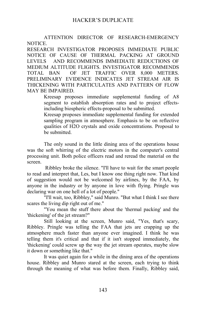ATTENTION DIRECTOR OF RESEARCH-EMERGENCY NOTICE.

RESEARCH INVESTIGATOR PROPOSES IMMEDIATE PUBLIC NOTICE OF CAUSE OF THERMAL PACKING AT GROUND LEVELS AND RECOMMENDS IMMEDIATE REDUCTIONS OF MEDIUM ALTITUDE FLIGHTS. INVESTIGATOR RECOMMENDS TOTAL BAN OF JET TRAFFIC OVER 8,000 METERS. PRELIMINARY EVIDENCE INDICATES JET STREAM AIR IS THICKENING WITH PARTICULATES AND PATTERN OF FLOW MAY BE IMPAIRED.

Kreesap proposes immediate supplemental funding of A8 segment to establish absorption rates and to project effectsincluding biospheric effects-proposal to be submitted.

Kreesap proposes immediate supplemental funding for extended sampling program in atmosphere. Emphasis to be on reflective qualities of H2O crystals and oxide concentrations. Proposal to be submitted.

The only sound in the little dining area of the operations house was the soft whirring of the electric motors in the computer's central processing unit. Both police officers read and reread the material on the screen.

 Ribbley broke the silence. "I'll have to wait for the smart people to read and interpret that, Les, but I know one thing right now. That kind of suggestion would not be welcomed by airlines, by the FAA, by anyone in the industry or by anyone in love with flying. Pringle was declaring war on one hell of a lot of people."

"I'll wait, too, Ribbley," said Munro. "But what I think I see there scares the living dip right out of me."

"You mean the stuff there about the 'thermal packing' and the 'thickening' of the jet stream?"

Still looking at the screen, Munro said, "Yes, that's scary, Ribbley. Pringle was telling the FAA that jets are crapping up the atmosphere much faster than anyone ever imagined. I think he was telling them it's critical and that if it isn't stopped immediately, the 'thickening' could screw up the way the jet stream operates, maybe slow it down or something like that."

It was quiet again for a while in the dining area of the operations house. Ribbley and Munro stared at the screen, each trying to think through the meaning of what was before them. Finally, Ribbley said,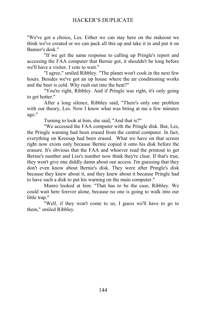"We've got a choice, Les. Either we can stay here on the stakeout we think we've created or we can pack all this up and take it in and put it on Banner's desk."

"If we get the same response to calling up Pringle's report and accessing the FAA computer that Bernie got, it shouldn't be long before we'll have a visitor. I vote to wait."

"I agree," smiled Ribbley. "The planet won't cook in the next few hours. Besides we've got an op house where the air conditioning works and the beer is cold. Why rush out into the heat?"

"You're right, Ribbley. And if Pringle was right, it's only going to get hotter."

After a long silence, Ribbley said, "There's only one problem with our theory, Les. Now I know what was biting at me a few minutes ago."

Turning to look at him, she said, "And that is?"

"We accessed the FAA computer with the Pringle disk. But, Les, the Pringle warning had been erased from the central computer. In fact, everything on Kreesap had been erased. What we have on that screen right now exists only because Bernie copied it onto his disk before the erasure. It's obvious that the FAA and whoever read the printout to get Bernie's number and Liss's number now think they're clear. If that's true, they won't give one diddly damn about our access. I'm guessing that they don't even know about Bernie's disk. They were after Pringle's disk because they knew about it, and they knew about it because Pringle had to have such a disk to put his warning on the main computer."

Munro looked at him. "That has to be the case, Ribbley. We could wait here forever alone, because no one is going to walk into our little trap."

"Well, if they won't come to us, I guess we'll have to go to them," smiled Ribbley.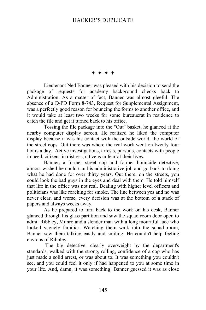$+ + + +$ 

Lieutenant Ned Banner was pleased with his decision to send the package of requests for academy background checks back to Administration. As a matter of fact, Banner was almost gleeful. The absence of a D-PD Form 8-743, Request for Supplemental Assignment, was a perfectly good reason for bouncing the forms to another office, and it would take at least two weeks for some bureaucrat in residence to catch the file and get it turned back to his office.

Tossing the file package into the "Out" basket, he glanced at the nearby computer display screen. He realized he liked the computer display because it was his contact with the outside world, the world of the street cops. Out there was where the real work went on twenty four hours a day. Active investigations, arrests, pursuits, contacts with people in need, citizens in distress, citizens in fear of their lives.

Banner, a former street cop and former homicide detective, almost wished he could can his administrative job and go back to doing what he had done for over thirty years. Out there, on the streets, you could look the bad guys in the eyes and deal with them. He told himself that life in the office was not real. Dealing with higher level officers and politicians was like reaching for smoke. The line between yes and no was never clear, and worse, every decision was at the bottom of a stack of papers and always weeks away.

As he prepared to turn back to the work on his desk, Banner glanced through his glass partition and saw the squad room door open to admit Ribbley, Munro and a slender man with a long mournful face who looked vaguely familiar. Watching them walk into the squad room, Banner saw them talking easily and smiling. He couldn't help feeling envious of Ribbley.

 The big detective, clearly overweight by the department's standards, walked with the strong, rolling, confidence of a cop who has just made a solid arrest, or was about to. It was something you couldn't see, and you could feel it only if had happened to you at some time in your life. And, damn, it was something! Banner guessed it was as close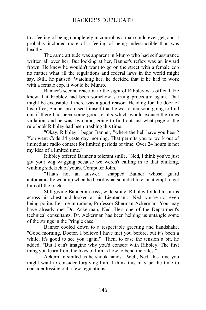to a feeling of being completely in control as a man could ever get, and it probably included more of a feeling of being indestructible than was healthy.

The same attitude was apparent in Munro who had self assurance written all over her. But looking at her, Banner's reflex was an inward frown. He knew he wouldn't want to go on the street with a female cop no matter what all the regulations and federal laws in the world might say. Still, he paused. Watching her, he decided that if he had to work with a female cop, it would be Munro.

Banner's second reaction to the sight of Ribbley was official. He knew that Ribbley had been somehow skirting procedure again. That might be excusable if there was a good reason. Heading for the door of his office, Banner promised himself that he was damn soon going to find out if there had been some good results which would excuse the rules violation, and he was, by damn, going to find out just what page of the rule book Ribbley had been trashing this time.

"Okay, Ribbley," began Banner, "where the hell have you been? You went Code 34 yesterday morning. That permits you to work out of immediate radio contact for limited periods of time. Over 24 hours is not my idea of a limited time."

Ribbley offered Banner a tolerant smile, "Ned, I think you've just got your wig wagging because we weren't calling in to that blinking, winking sidekick of yours, Computer John."

"That's not an answer," snapped Banner whose guard automatically went up when he heard what sounded like an attempt to get him off the track.

Still giving Banner an easy, wide smile, Ribbley folded his arms across his chest and looked at his Lieutenant. "Ned, you're not even being polite. Let me introduce, Professor Sherman Ackerman. You may have already met Dr. Ackerman, Ned. He's one of the Department's technical consultants. Dr. Ackerman has been helping us untangle some of the strings in the Pringle case."

Banner cooled down to a respectable greeting and handshake. "Good morning, Doctor. I believe I have met you before, but it's been a while. It's good to see you again." Then, to ease the tension a bit, he added, "But I can't imagine why you'd consort with Ribbley. The first thing you learn from the likes of him is how to bend the rules."

Ackerman smiled as he shook hands. "Well, Ned, this time you might want to consider forgiving him. I think this may be the time to consider tossing out a few regulations."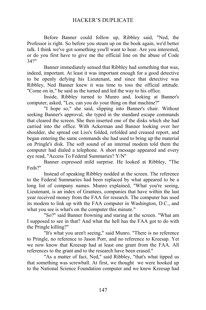Before Banner could follow up, Ribbley said, "Ned, the Professor is right. So before you steam up on the book again, we'd better talk. I think we've got something you'll want to hear. Are you interested, or do you first have to give me the official line on the abuse of Code 34?"

Banner immediately sensed that Ribbley had something that was, indeed, important. At least it was important enough for a good detective to be openly defying his Lieutenant, and since that detective was Ribbley, Ned Banner knew it was time to toss the official attitude. "Come on in," he said as the turned and led the way to his office.

Inside, Ribbley turned to Munro and, looking at Banner's computer, asked, "Les, can you do your thing on that machine?"

"I hope so," she said, slipping into Banner's chair. Without seeking Banner's approval, she typed in the standard escape commands that cleared the screen. She then inserted one of the disks which she had carried into the office. With Ackerman and Banner looking over her shoulder, she spread out Liss's folded, refolded and creased report, and began entering the same commands she had used to bring up the material on Pringle's disk. The soft sound of an internal modem told them the computer had dialed a telephone. A short message appeared and every eye read, "Access To Federal Summaries? Y/N"

Banner expressed mild surprise. He looked at Ribbley, "The Feds?"

Instead of speaking Ribbley nodded at the screen. The reference to the Federal Summaries had been replaced by what appeared to be a long list of company names. Munro explained, "What you're seeing, Lieutenant, is an index of Grantees, companies that have within the last year received money from the FAA for research. The computer has used its modem to link up with the FAA computer in Washington, D.C., and what you see is what's on the computer this minute."

"So?" said Banner frowning and staring at the screen. "What am I supposed to see in that? And what the hell has the FAA got to do with the Pringle killing?"

"It's what you aren't seeing," said Munro. "There is no reference to Pringle, no reference to Jason Porr, and no reference to Kreesap. Yet we now know that Kreesap had at least one grant from the FAA. All references to the grant and to the research have been erased."

"As a matter of fact, Ned," said Ribbley, "that's what tipped us that something was screwball. At first, we thought we were hooked up to the National Science Foundation computer and we knew Kreesap had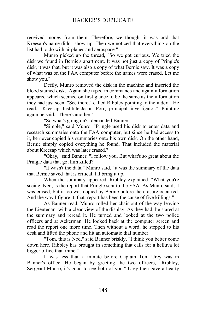received money from them. Therefore, we thought it was odd that Kreesap's name didn't show up. Then we noticed that everything on the list had to do with airplanes and aerospace."

Munro picked up the thread, "So we got curious. We tried the disk we found in Bernie's apartment. It was not just a copy of Pringle's disk, it was that, but it was also a copy of what Bernie saw. It was a copy of what was on the FAA computer before the names were erased. Let me show you."

Deftly, Munro removed the disk in the machine and inserted the blood stained disk. Again she typed in commands and again information appeared which seemed on first glance to be the same as the information they had just seen. "See there," called Ribbley pointing to the index." He read, "Kreesap Institute-Jason Porr, principal investigator." Pointing again he said, "There's another."

"So what's going on?" demanded Banner.

"Simple," said Munro. "Pringle used his disk to enter data and research summaries onto the FAA computer, but since he had access to it, he never copied his summaries onto his own disk. On the other hand, Bernie simply copied everything he found. That included the material about Kreesap which was later erased."

"Okay," said Banner, "I follow you. But what's so great about the Pringle data that got him killed?"

"It wasn't the data," Munro said, "it was the summary of the data that Bernie saved that is critical. I'll bring it up."

When the summary appeared, Ribbley explained, "What you're seeing, Ned, is the report that Pringle sent to the FAA. As Munro said, it was erased, but it too was copied by Bernie before the erasure occurred. And the way I figure it, that report has been the cause of five killings."

As Banner read, Munro rolled her chair out of the way leaving the Lieutenant with a clear view of the display. As they had, he stared at the summary and reread it. He turned and looked at the two police officers and at Ackerman. He looked back at the computer screen and read the report one more time. Then without a word, he stepped to his desk and lifted the phone and hit an automatic dial number.

"Tom, this is Ned," said Banner briskly, "I think you better come down here. Ribbley has brought in something that calls for a helluva lot bigger office than mine."

It was less than a minute before Captain Tom Urey was in Banner's office. He began by greeting the two officers, "Ribbley, Sergeant Munro, it's good to see both of you." Urey then gave a hearty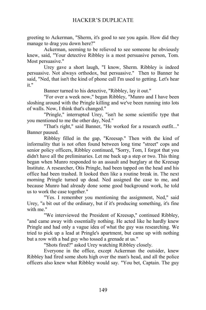greeting to Ackerman, "Sherm, it's good to see you again. How did they manage to drag you down here?"

Ackerman, seeming to be relieved to see someone he obviously knew, said, "Your detective Ribbley is a most persuasive person, Tom. Most persuasive."

Urey gave a short laugh, "I know, Sherm. Ribbley is indeed persuasive. Not always orthodox, but persuasive." Then to Banner he said, "Ned, that isn't the kind of phone call I'm used to getting. Let's hear it."

Banner turned to his detective, "Ribbley, lay it out."

"For over a week now," began Ribbley, "Munro and I have been sloshing around with the Pringle killing and we've been running into lots of walls. Now, I think that's changed."

"Pringle," interrupted Urey, "isn't he some scientific type that you mentioned to me the other day, Ned."

"That's right," said Banner, "He worked for a research outfit..." Banner paused.

Ribbley filled in the gap, "Kreesap." Then with the kind of informality that is not often found between long time "street" cops and senior policy officers, Ribbley continued, "Sorry, Tom, I forgot that you didn't have all the preliminaries. Let me back up a step or two. This thing began when Munro responded to an assault and burglary at the Kreesap Institute. A researcher, Otis Pringle, had been tapped on the head and his office had been trashed. It looked then like a routine break in. The next morning Pringle turned up dead. Ned assigned the case to me, and because Munro had already done some good background work, he told us to work the case together."

"Yes. I remember you mentioning the assignment, Ned," said Urey, "a bit out of the ordinary, but if it's producing something, it's fine with me."

"We interviewed the President of Kreesap," continued Ribbley, "and came away with essentially nothing. He acted like he hardly knew Pringle and had only a vague idea of what the guy was researching. We tried to pick up a lead at Pringle's apartment, but came up with nothing but a row with a bad guy who tossed a grenade at us."

"Shots fired?" asked Urey watching Ribbley closely.

Everyone in the office, except Ackerman the outsider, knew Ribbley had fired some shots high over the man's head, and all the police officers also knew what Ribbley would say. "You bet, Captain. The guy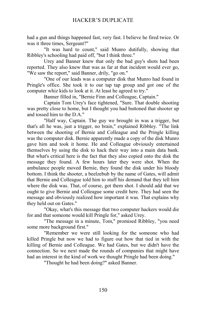had a gun and things happened fast, very fast. I believe he fired twice. Or was it three times, Sergeant?"

"It was hard to count," said Munro dutifully, showing that Ribbley's schooling had paid off, "but I think three."

Urey and Banner knew that only the bad guy's shots had been reported. They also knew that was as far at that incident would ever go, "We saw the report," said Banner, drily, "go on."

"One of our leads was a computer disk that Munro had found in Pringle's office. She took it to our tap tap group and got one of the computer whiz kids to look at it. At least he agreed to try."

Banner filled in, "Bernie Finn and Colleague, Captain."

Captain Tom Urey's face tightened, "Sure. That double shooting was pretty close to home, but I thought you had buttoned that shooter up and tossed him to the D.A."

"Half way, Captain. The guy we brought in was a trigger, but that's all he was, just a trigger, no brain," explained Ribbley. "The link between the shooting of Bernie and Colleague and the Pringle killing was the computer disk. Bernie apparently made a copy of the disk Munro gave him and took it home. He and Colleague obviously entertained themselves by using the disk to hack their way into a main data bank. But what's critical here is the fact that they also copied onto the disk the message they found. A few hours later they were shot. When the ambulance people moved Bernie, they found the disk under his bloody bottom. I think the shooter, a beelzebub by the name of Gates, will admit that Bernie and Colleague told him to stuff his demand that they tell him where the disk was. That, of course, got them shot. I should add that we ought to give Bernie and Colleague some credit here. They had seen the message and obviously realized how important it was. That explains why they held out on Gates."

"Okay, what's this message that two computer hackers would die for and that someone would kill Pringle for," asked Urey.

"The message in a minute, Tom," promised Ribbley, "you need some more background first."

"Remember we were still looking for the someone who had killed Pringle but now we had to figure out how that tied in with the killing of Bernie and Colleague. We had Gates, but we didn't have the connection. So we next made the rounds of companies that might have had an interest in the kind of work we thought Pringle had been doing."

"Thought he had been doing?" asked Banner.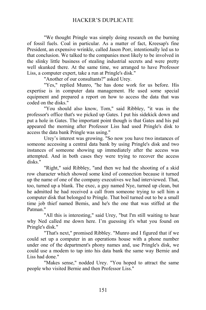"We thought Pringle was simply doing research on the burning of fossil fuels. Coal in particular. As a matter of fact, Kreesap's fine President, an expensive wrinkle, called Jason Porr, intentionally led us to that conclusion. We talked to the companies most likely to be involved in the slinky little business of stealing industrial secrets and were pretty well skunked there. At the same time, we arranged to have Professor Liss, a computer expert, take a run at Pringle's disk."

"Another of our consultants?" asked Urey.

"Yes," replied Munro, "he has done work for us before. His expertise is in computer data management. He used some special equipment and prepared a report on how to access the data that was coded on the disks."

"You should also know, Tom," said Ribbley, "it was in the professor's office that's we picked up Gates. I put his sidekick down and put a hole in Gates. The important point though is that Gates and his pal appeared the morning after Professor Liss had used Pringle's disk to access the data bank Pringle was using."

Urey's interest was growing. "So now you have two instances of someone accessing a central data bank by using Pringle's disk and two instances of someone showing up immediately after the access was attempted. And in both cases they were trying to recover the access disks."

"Right," said Ribbley, "and then we had the shooting of a skid row character which showed some kind of connection because it turned up the name of one of the company executives we had interviewed. That, too, turned up a blank. The exec, a guy named Nye, turned up clean, but he admitted he had received a call from someone trying to sell him a computer disk that belonged to Pringle. That boil turned out to be a small time job thief named Bemis, and he's the one that was stiffed at the Patman."

"All this is interesting," said Urey, "but I'm still waiting to hear why Ned called me down here. I'm guessing it's what you found on Pringle's disk."

"That's next," promised Ribbley. "Munro and I figured that if we could set up a computer in an operations house with a phone number under one of the department's phony names and, use Pringle's disk, we could use a modem to tap into his data bank the same way Bernie and Liss had done."

"Makes sense," nodded Urey. "You hoped to attract the same people who visited Bernie and then Professor Liss."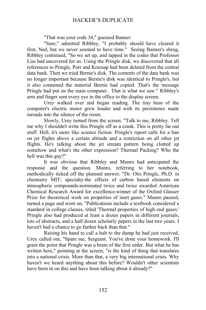"That was your code 34," guessed Banner.

"Sure," admitted Ribbley, "I probably should have cleared it first, Ned, but we never seemed to have time." Seeing Banner's shrug, Ribbley continued, "So we set up, and tapped in the codes that Professor Liss had uncovered for us. Using the Pringle disk, we discovered that all references to Pringle, Porr and Kreesap had been deleted from the central data bank. Then we tried Bernie's disk. The contents of the data bank was no longer important because Bernie's disk was identical to Pringle's, but it also contained the material Bernie had copied. That's the message Pringle had put on the main computer. That is what we saw." Ribbley's arm and finger sent every eye in the office to the display screen.

Urey walked over and began reading. The tiny hum of the computer's electric motor grew louder and with its persistence made inroads into the silence of the room.

Slowly, Urey turned from the screen. "Talk to me, Ribbley. Tell me why I shouldn't write this Pringle off as a crank. This is pretty far out stuff. Hell, it's more like science fiction. Pringle's report calls for a ban on jet flights above a certain altitude and a restriction on all other jet flights. He's talking about the jet stream pattern being clotted up somehow and what's the other expression? Thermal Packing? Who the hell was this guy?"

It was obvious that Ribbley and Munro had anticipated the response and the question. Munro, referring to her notebook, methodically ticked off the planned answer, "Dr. Otis Pringle, Ph.D. in chemistry MIT; specialty-the effects of carbon based elements on atmospheric compounds-nominated twice and twice awarded American Chemical Research Award for excellence-winner of the Oxford Glasser Prize for theoretical work on properties of inert gases." Munro paused, turned a page and went on, "Publications include a textbook considered a standard in college classes, titled 'Thermal properties of high end gases.' Pringle also had produced at least a dozen papers in different journals, lots of abstracts, and a half dozen scholarly papers in the last two years. I haven't had a chance to go farther back than that."

Raising his hand to call a halt to the dump he had just received, Urey called out, "Spare me, Sergeant. You've done your homework. I'll grant the point that Pringle was a brain of the first order. But what he has written here," pointing at the screen, "is the kind of thing that translates into a national crisis. More than that, a very big international crisis. Why haven't we heard anything about this before? Wouldn't other scientists have been in on this and have been talking about it already?"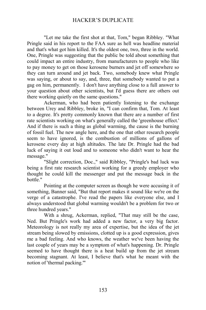"Let me take the first shot at that, Tom," began Ribbley. "What Pringle said in his report to the FAA sure as hell was headline material and that's what got him killed. It's the oldest one, two, three in the world. One, Pringle was suggesting that the public be told about something that could impact an entire industry, from manufacturers to people who like to pay money to get on those kerosene burners and jet off somewhere so they can turn around and jet back. Two, somebody knew what Pringle was saying, or about to say, and, three, that somebody wanted to put a gag on him, permanently. I don't have anything close to a full answer to your question about other scientists, but I'd guess there are others out there working quietly on the same questions."

Ackerman, who had been patiently listening to the exchange between Urey and Ribbley, broke in, "I can confirm that, Tom. At least to a degree. It's pretty commonly known that there are a number of first rate scientists working on what's generally called the 'greenhouse effect.' And if there is such a thing as global warming, the cause is the burning of fossil fuel. The new angle here, and the one that other research people seem to have ignored, is the combustion of millions of gallons of kerosene every day at high altitudes. The late Dr. Pringle had the bad luck of saying it out loud and to someone who didn't want to hear the message."

"Slight correction, Doc.," said Ribbley, "Pringle's bad luck was being a first rate research scientist working for a greedy employer who thought he could kill the messenger and put the message back in the bottle."

Pointing at the computer screen as though he were accusing it of something, Banner said, "But that report makes it sound like we're on the verge of a catastrophe. I've read the papers like everyone else, and I always understood that global warming wouldn't be a problem for two or three hundred years."

With a shrug, Ackerman, replied, "That may still be the case, Ned. But Pringle's work had added a new factor, a very big factor. Meteorology is not really my area of expertise, but the idea of the jet stream being slowed by emissions, clotted up is a good expression, gives me a bad feeling. And who knows, the weather we've been having the last couple of years may be a symptom of what's happening. Dr. Pringle seemed to have thought there is a heat build up from the jet stream becoming stagnant. At least, I believe that's what he meant with the notion of 'thermal packing.'"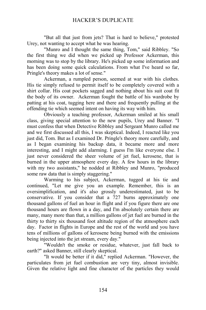"But all that just from jets? That is hard to believe," protested Urey, not wanting to accept what he was hearing.

"Munro and I thought the same thing, Tom," said Ribbley. "So the first thing we did when we picked up Professor Ackerman, this morning was to stop by the library. He's picked up some information and has been doing some quick calculations. From what I've heard so far, Pringle's theory makes a lot of sense."

Ackerman, a rumpled person, seemed at war with his clothes. His tie simply refused to permit itself to be completely covered with a shirt collar. His coat pockets sagged and nothing about his suit coat fit the body of its owner. Ackerman fought the battle of his wardrobe by patting at his coat, tugging here and there and frequently pulling at the offending tie which seemed intent on having its way with him.

Obviously a teaching professor, Ackerman smiled at his small class, giving special attention to the new pupils, Urey and Banner. "I must confess that when Detective Ribbley and Sergeant Munro called me and we first discussed all this, I was skeptical. Indeed, I reacted like you just did, Tom. But as I examined Dr. Pringle's theory more carefully, and as I began examining his backup data, it became more and more interesting, and I might add alarming. I guess I'm like everyone else. I just never considered the sheer volume of jet fuel, kerosene, that is burned in the upper atmosphere every day. A few hours in the library with my two assistants," he nodded at Ribbley and Munro, "produced some raw data that is simply staggering."

Warming to his subject, Ackerman, tugged at his tie and continued, "Let me give you an example. Remember, this is an oversimplification, and it's also grossly underestimated, just to be conservative. If you consider that a 727 burns approximately one thousand gallons of fuel an hour in flight and if you figure there are one thousand hours are flown in a day, and I'm absolutely certain there are many, many more than that, a million gallons of jet fuel are burned in the thirty to thirty six thousand foot altitude region of the atmosphere each day. Factor in flights in Europe and the rest of the world and you have tens of millions of gallons of kerosene being burned with the emissions being injected into the jet stream, every day."

"Wouldn't the smoke or residue, whatever, just fall back to earth?" asked Banner, still clearly skeptical.

"It would be better if it did," replied Ackerman. "However, the particulates from jet fuel combustion are very tiny, almost invisible. Given the relative light and fine character of the particles they would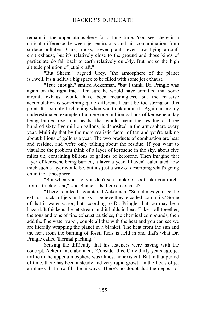remain in the upper atmosphere for a long time. You see, there is a critical difference between jet emissions and air contamination from surface polluters. Cars, trucks, power plants, even low flying aircraft emit exhaust, but it's relatively close to the ground and those kinds of particulate do fall back to earth relatively quickly. But not so the high altitude pollution of jet aircraft."

"But Sherm," argued Urey, "the atmosphere of the planet is...well, it's a helluva big space to be filled with some jet exhaust."

"True enough," smiled Ackerman, "but I think, Dr. Pringle was again on the right track. I'm sure he would have admitted that some aircraft exhaust would have been meaningless, but the massive accumulation is something quite different. I can't be too strong on this point. It is simply frightening when you think about it. Again, using my underestimated example of a mere one million gallons of kerosene a day being burned over our heads, that would mean the residue of three hundred sixty five million gallons, is deposited in the atmosphere every year. Multiply that by the more realistic factor of ten and you're talking about billions of gallons a year. The two products of combustion are heat and residue, and we're only talking about the residue. If you want to visualize the problem think of a layer of kerosene in the sky, about five miles up, containing billions of gallons of kerosene. Then imagine that layer of kerosene being burned, a layer a year. I haven't calculated how thick such a layer would be, but it's just a way of describing what's going on in the atmosphere."

"But when you fly, you don't see smoke or soot, like you might from a truck or car," said Banner. "Is there an exhaust?"

"There is indeed," countered Ackerman. "Sometimes you see the exhaust tracks of jets in the sky. I believe they're called 'con trails.' Some of that is water vapor, but according to Dr. Pringle, that too may be a hazard. It thickens the jet stream and it holds in heat. Take it all together, the tons and tons of fine exhaust particles, the chemical compounds, then add the fine water vapor, couple all that with the heat and you can see we are literally wrapping the planet in a blanket. The heat from the sun and the heat from the burning of fossil fuels is held in and that's what Dr. Pringle called 'thermal packing.'"

Sensing the difficulty that his listeners were having with the concept, Ackerman, elaborated, "Consider this. Only thirty years ago, jet traffic in the upper atmosphere was almost nonexistent. But in that period of time, there has been a steady and very rapid growth in the fleets of jet airplanes that now fill the airways. There's no doubt that the deposit of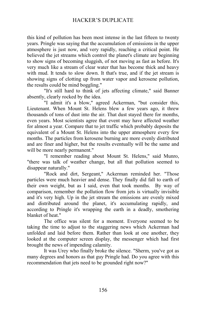this kind of pollution has been most intense in the last fifteen to twenty years. Pringle was saying that the accumulation of emissions in the upper atmosphere is just now, and very rapidly, reaching a critical point. He believed the jet streams which control the planet's climate are beginning to show signs of becoming sluggish, of not moving as fast as before. It's very much like a stream of clear water that has become thick and heavy with mud. It tends to slow down. It that's true, and if the jet stream is showing signs of clotting up from water vapor and kerosene pollution, the results could be mind boggling."

"It's still hard to think of jets affecting climate," said Banner absently, clearly rocked by the idea.

"I admit it's a blow," agreed Ackerman, "but consider this, Lieutenant. When Mount St. Helens blew a few years ago, it threw thousands of tons of dust into the air. That dust stayed there for months, even years. Most scientists agree that event may have affected weather for almost a year. Compare that to jet traffic which probably deposits the equivalent of a Mount St. Helens into the upper atmosphere every few months. The particles from kerosene burning are more evenly distributed and are finer and higher, but the results eventually will be the same and will be more nearly permanent."

"I remember reading about Mount St. Helens," said Munro, "there was talk of weather change, but all that pollution seemed to disappear naturally."

"Rock and dirt, Sergeant," Ackerman reminded her. "Those particles were much heavier and dense. They finally did fall to earth of their own weight, but as I said, even that took months. By way of comparison, remember the pollution flow from jets is virtually invisible and it's very high. Up in the jet stream the emissions are evenly mixed and distributed around the planet, it's accumulating rapidly, and according to Pringle it's wrapping the earth in a deadly, smothering blanket of heat."

The office was silent for a moment. Everyone seemed to be taking the time to adjust to the staggering news which Ackerman had unfolded and laid before them. Rather than look at one another, they looked at the computer screen display, the messenger which had first brought the news of impending calamity.

It was Urey who finally broke the silence. "Sherm, you've got as many degrees and honors as that guy Pringle had. Do you agree with this recommendation that jets need to be grounded right now?"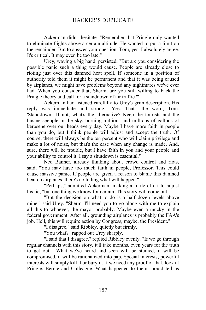Ackerman didn't hesitate. "Remember that Pringle only wanted to eliminate flights above a certain altitude. He wanted to put a limit on the remainder. But to answer your question, Tom, yes, I absolutely agree. It's critical. It may even be too late."

Urey, waving a big hand, persisted, "But are you considering the possible panic such a thing would cause. People are already close to rioting just over this damned heat spell. If someone in a position of authority told them it might be permanent and that it was being caused by airplanes, we might have problems beyond any nightmares we've ever had. When you consider that, Sherm, are you still willing to back the Pringle theory and call for a standdown of air traffic?"

Ackerman had listened carefully to Urey's grim description. His reply was immediate and strong, "Yes. That's the word, Tom. 'Standdown.' If not, what's the alternative? Keep the tourists and the businesspeople in the sky, burning millions and millions of gallons of kerosene over our heads every day. Maybe I have more faith in people than you do, but I think people will adjust and accept the truth. Of course, there will always be the ten percent who will claim privilege and make a lot of noise, but that's the case when any change is made. And, sure, there will be trouble, but I have faith in you and your people and your ability to control it. I say a shutdown is essential."

Ned Banner, already thinking about crowd control and riots, said, "You may have too much faith in people, Professor. This could cause massive panic. If people are given a reason to blame this damned heat on airplanes, there's no telling what will happen."

"Perhaps," admitted Ackerman, making a futile effort to adjust his tie, "but one thing we know for certain. This story will come out."

"But the decision on what to do is a half dozen levels above mine," said Urey. "Sherm, I'll need you to go along with me to explain all this to whoever, the mayor probably. Maybe even a mucky in the federal government. After all, grounding airplanes is probably the FAA's job. Hell, this will require action by Congress, maybe, the President."

"I disagree," said Ribbley, quietly but firmly.

"You what?" rapped out Urey sharply.

"I said that I disagree," replied Ribbley evenly. "If we go through regular channels with this story, it'll take months, even years for the truth to get out. What we've heard and seen will be studied, it will be compromised, it will be rationalized into pap. Special interests, powerful interests will simply kill it or bury it. If we need any proof of that, look at Pringle, Bernie and Colleague. What happened to them should tell us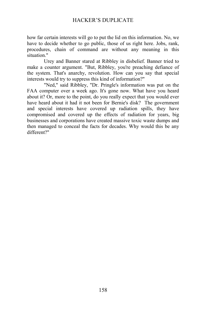how far certain interests will go to put the lid on this information. No, we have to decide whether to go public, those of us right here. Jobs, rank, procedures, chain of command are without any meaning in this situation."

Urey and Banner stared at Ribbley in disbelief. Banner tried to make a counter argument. "But, Ribbley, you're preaching defiance of the system. That's anarchy, revolution. How can you say that special interests would try to suppress this kind of information?"

"Ned," said Ribbley, "Dr. Pringle's information was put on the FAA computer over a week ago. It's gone now. What have you heard about it? Or, more to the point, do you really expect that you would ever have heard about it had it not been for Bernie's disk? The government and special interests have covered up radiation spills, they have compromised and covered up the effects of radiation for years, big businesses and corporations have created massive toxic waste dumps and then managed to conceal the facts for decades. Why would this be any different?"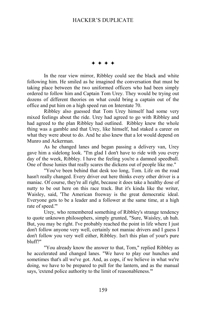$***$ 

In the rear view mirror, Ribbley could see the black and white following him. He smiled as he imagined the conversation that must be taking place between the two uniformed officers who had been simply ordered to follow him and Captain Tom Urey. They would be trying out dozens of different theories on what could bring a captain out of the office and put him on a high speed run on Interstate 70.

Ribbley also guessed that Tom Urey himself had some very mixed feelings about the ride. Urey had agreed to go with Ribbley and had agreed to the plan Ribbley had outlined. Ribbley knew the whole thing was a gamble and that Urey, like himself, had staked a career on what they were about to do. And he also knew that a lot would depend on Munro and Ackerman.

As he changed lanes and began passing a delivery van, Urey gave him a sidelong look. "I'm glad I don't have to ride with you every day of the week, Ribbley. I have the feeling you're a damned speedball. One of those lunies that really scares the dickens out of people like me."

"You've been behind that desk too long, Tom. Life on the road hasn't really changed. Every driver out here thinks every other driver is a maniac. Of course, they're all right, because it does take a healthy dose of nutty to be out here on this race track. But it's kinda like the writer, Waisley, said, 'The American freeway is the great democratic ideal. Everyone gets to be a leader and a follower at the same time, at a high rate of speed.'"

Urey, who remembered something of Ribbley's strange tendency to quote unknown philosophers, simply grunted, "Sure, Waisley, uh huh. But, you may be right. I've probably reached the point in life where I just don't follow anyone very well, certainly not maniac drivers and I guess I don't follow you very well either, Ribbley. Isn't this plan of your's pure bluff?"

"You already know the answer to that, Tom," replied Ribbley as he accelerated and changed lanes. "We have to play our hunches and sometimes that's all we've got. And, as cops, if we believe in what we're doing, we have to be prepared to pull for the lantern, and as the manual says, 'extend police authority to the limit of reasonableness.'"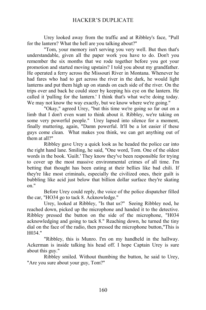Urey looked away from the traffic and at Ribbley's face, "Pull for the lantern? What the hell are you talking about?"

"Tom, your memory isn't serving you very well. But then that's understandable, given all the paper work you have to do. Don't you remember the six months that we rode together before you got your promotion and started moving upstairs? I told you about my grandfather. He operated a ferry across the Missouri River in Montana. Whenever he had fares who had to get across the river in the dark, he would light lanterns and put them high up on stands on each side of the river. On the trips over and back he could steer by keeping his eye on the lantern. He called it 'pulling for the lantern.' I think that's what we're doing today. We may not know the way exactly, but we know where we're going."

"Okay," agreed Urey, "but this time we're going so far out on a limb that I don't even want to think about it. Ribbley, we're taking on some very powerful people." Urey lapsed into silence for a moment, finally muttering, again, "Damn powerful. It'll be a lot easier if these guys come clean. What makes you think, we can get anything out of them at all?"

Ribbley gave Urey a quick look as he headed the police car into the right hand lane. Smiling, he said, "One word, Tom. One of the oldest words in the book. 'Guilt.' They know they've been responsible for trying to cover up the most massive environmental crimes of all time. I'm betting that thought has been eating at their bellies like bad chili. If they're like most criminals, especially the civilized ones, their guilt is bubbling like acid just below that billion dollar surface they're skating on."

Before Urey could reply, the voice of the police dispatcher filled the car, "HO34 go to tack 8. Acknowledge."

Urey, looked at Ribbley, "Is that us?" Seeing Ribbley nod, he reached down, picked up the microphone and handed it to the detective. Ribbley pressed the button on the side of the microphone, "H034 acknowledging and going to tack 8." Reaching down, he turned the tiny dial on the face of the radio, then pressed the microphone button,"This is H034."

"Ribbley, this is Munro. I'm on my handheld in the hallway. Ackerman is inside talking his head off. I hope Captain Urey is sure about this guy."

Ribbley smiled. Without thumbing the button, he said to Urey, "Are you sure about your guy, Tom?"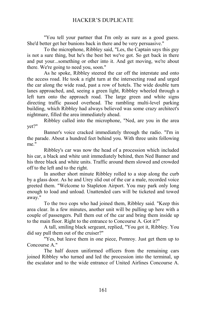"You tell your partner that I'm only as sure as a good guess. She'd better get her bunions back in there and be very persuasive."

To the microphone, Ribbley said, "Les, the Captain says this guy is not a sure thing, but he's the best bet we've got. So get back in there and put your...something or other into it. And get moving, we're about there. We're going to need you, soon."

As he spoke, Ribbley steered the car off the interstate and onto the access road. He took a right turn at the intersecting road and urged the car along the wide road, past a row of hotels. The wide double turn lanes approached, and, seeing a green light, Ribbley wheeled through a left turn onto the approach road. The large green and white signs directing traffic passed overhead. The rambling multi-level parking building, which Ribbley had always believed was some crazy architect's nightmare, filled the area immediately ahead.

Ribbley called into the microphone, "Ned, are you in the area yet?"

Banner's voice cracked immediately through the radio. "I'm in the parade. About a hundred feet behind you. With three units following me"

Ribbley's car was now the head of a procession which included his car, a black and white unit immediately behind, then Ned Banner and his three black and white units. Traffic around them slowed and crowded off to the left and to the right.

In another short minute Ribbley rolled to a stop along the curb by a glass door. As he and Urey slid out of the car a male, recorded voice greeted them. "Welcome to Stapleton Airport. You may park only long enough to load and unload. Unattended cars will be ticketed and towed away."

To the two cops who had joined them, Ribbley said. "Keep this area clear. In a few minutes, another unit will be pulling up here with a couple of passengers. Pull them out of the car and bring them inside up to the main floor. Right to the entrance to Concourse A. Got it?"

A tall, smiling black sergeant, replied, "You got it, Ribbley. You did say pull them out of the cruiser?"

"Yes, but leave them in one piece, Pomroy. Just get them up to Concourse A<sup>"</sup>

The half dozen uniformed officers from the remaining cars joined Ribbley who turned and led the procession into the terminal, up the escalator and to the wide entrance of United Airlines Concourse A.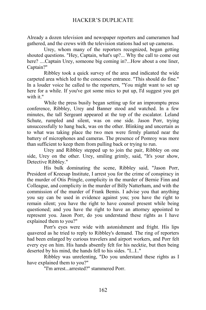Already a dozen television and newspaper reporters and cameramen had gathered, and the crews with the television stations had set up cameras.

Urey, whom many of the reporters recognized, began getting shouted questions. "Hey, Captain, what's up?... Why the call to come out here? ....Captain Urey, someone big coming in?...How about a one liner, Captain?"

Ribbley took a quick survey of the area and indicated the wide carpeted area which led to the concourse entrance. "This should do fine." In a louder voice he called to the reporters, "You might want to set up here for a while. If you've got some mics to put up, I'd suggest you get with it."

While the press busily began setting up for an impromptu press conference, Ribbley, Urey and Banner stood and watched. In a few minutes, the tall Sergeant appeared at the top of the escalator. Leland Schute, rumpled and silent, was on one side. Jason Porr, trying unsuccessfully to hang back, was on the other. Blinking and uncertain as to what was taking place the two men were firmly planted near the battery of microphones and cameras. The presence of Pomroy was more than sufficient to keep them from pulling back or trying to run.

Urey and Ribbley stepped up to join the pair, Ribbley on one side, Urey on the other. Urey, smiling grimly, said, "It's your show, Detective Ribbley."

His bulk dominating the scene, Ribbley said, "Jason Porr, President of Kreesap Institute, I arrest you for the crime of conspiracy in the murder of Otis Pringle, complicity in the murder of Bernie Finn and Colleague, and complicity in the murder of Billy Natterham, and with the commission of the murder of Frank Bemis. I advise you that anything you say can be used in evidence against you; you have the right to remain silent; you have the right to have counsel present while being questioned; and you have the right to have an attorney appointed to represent you. Jason Porr, do you understand these rights as I have explained them to you?"

Porr's eyes were wide with astonishment and fright. His lips quavered as he tried to reply to Ribbley's demand. The ring of reporters had been enlarged by curious travelers and airport workers, and Porr felt every eye on him. His hands absently felt for his necktie, but then being deserted by his mind, the hands fell to his sides. "I...I.."

Ribbley was unrelenting, "Do you understand these rights as I have explained them to you?"

"I'm arrest...arrested?" stammered Porr.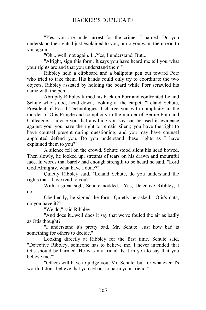"Yes, you are under arrest for the crimes I named. Do you understand the rights I just explained to you, or do you want them read to you again."

"Oh... well, not again. I...Yes, I understand. But..."

"Alright, sign this form. It says you have heard me tell you what your rights are and that you understand them."

Ribbley held a clipboard and a ballpoint pen out toward Porr who tried to take them. His hands could only try to coordinate the two objects. Ribbley assisted by holding the board while Porr scrawled his name with the pen.

Abruptly Ribbley turned his back on Porr and confronted Leland Schute who stood, head down, looking at the carpet. "Leland Schute, President of Fossil Technologies, I charge you with complicity in the murder of Otis Pringle and complicity in the murder of Bernie Finn and Colleague. I advise you that anything you say can be used in evidence against you; you have the right to remain silent; you have the right to have counsel present during questioning; and you may have counsel appointed defend you. Do you understand these rights as I have explained them to you?"

A silence fell on the crowd. Schute stood silent his head bowed. Then slowly, he looked up, streams of tears on his drawn and mournful face. In words that barely had enough strength to be heard he said, "Lord God Almighty, what have I done?"

Quietly Ribbley said, "Leland Schute, do you understand the rights that I have read to you?"

With a great sigh, Schute nodded, "Yes, Detective Ribbley, I do."

Obediently, he signed the form. Quietly he asked, "Otis's data, do you have it?"

"We do," said Ribbley.

"And does it...well does it say that we've fouled the air as badly as Otis thought?"

"I understand it's pretty bad, Mr. Schute. Just how bad is something for others to decide."

Looking directly at Ribbley for the first time, Schute said, "Detective Ribbley, someone has to believe me. I never intended that Otis should be harmed. He was my friend. Is it in you to say that you believe me?"

"Others will have to judge you, Mr. Schute, but for whatever it's worth, I don't believe that you set out to harm your friend."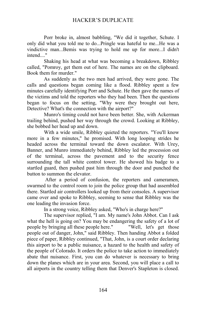Porr broke in, almost babbling, "We did it together, Schute. I only did what you told me to do...Pringle was hateful to me...He was a vindictive man...Bemis was trying to hold me up for more...I didn't intend...."

Shaking his head at what was becoming a breakdown, Ribbley called, "Pomroy, get them out of here. The names are on the clipboard. Book them for murder."

As suddenly as the two men had arrived, they were gone. The calls and questions began coming like a flood. Ribbley spent a few minutes carefully identifying Porr and Schute. He then gave the names of the victims and told the reporters who they had been. Then the questions began to focus on the setting, "Why were they brought out here, Detective? What's the connection with the airport?"

Munro's timing could not have been better. She, with Ackerman trailing behind, pushed her way through the crowd. Looking at Ribbley, she bobbed her head up and down.

With a wide smile, Ribbley quieted the reporters. "You'll know more in a few minutes," he promised. With long looping strides he headed across the terminal toward the down escalator. With Urey, Banner, and Munro immediately behind, Ribbley led the procession out of the terminal, across the pavement and to the security fence surrounding the tall white control tower. He showed his badge to a startled guard, then pushed past him through the door and punched the button to summon the elevator.

 After a period of confusion, the reporters and cameramen, swarmed to the control room to join the police group that had assembled there. Startled air controllers looked up from their consoles. A supervisor came over and spoke to Ribbley, seeming to sense that Ribbley was the one leading the invasion force.

In a strong voice, Ribbley asked, "Who's in charge here?"

The supervisor replied, "I am. My name's John Abbot. Can I ask what the hell is going on? You may be endangering the safety of a lot of people by bringing all these people here." "Well, let's get those people out of danger, John," said Ribbley. Then handing Abbot a folded piece of paper, Ribbley continued, "That, John, is a court order declaring this airport to be a public nuisance, a hazard to the health and safety of the people of Colorado. It orders the police to take action to immediately abate that nuisance. First, you can do whatever is necessary to bring down the planes which are in your area. Second, you will place a call to all airports in the country telling them that Denver's Stapleton is closed.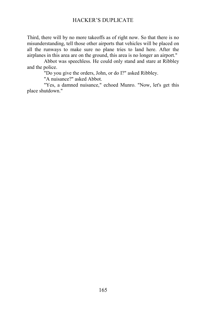Third, there will by no more takeoffs as of right now. So that there is no misunderstanding, tell those other airports that vehicles will be placed on all the runways to make sure no plane tries to land here. After the airplanes in this area are on the ground, this area is no longer an airport."

Abbot was speechless. He could only stand and stare at Ribbley and the police.

"Do you give the orders, John, or do I?" asked Ribbley.

"A nuisance?" asked Abbot.

"Yes, a damned nuisance," echoed Munro. "Now, let's get this place shutdown."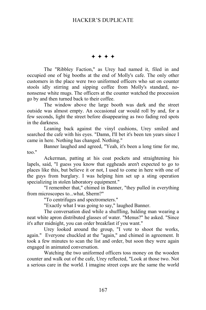Ø Ø Ø Ø

The "Ribbley Faction," as Urey had named it, filed in and occupied one of big booths at the end of Molly's cafe. The only other customers in the place were two uniformed officers who sat on counter stools idly stirring and sipping coffee from Molly's standard, nononsense white mugs. The officers at the counter watched the procession go by and then turned back to their coffee.

The window above the large booth was dark and the street outside was almost empty. An occasional car would roll by and, for a few seconds, light the street before disappearing as two fading red spots in the darkness.

Leaning back against the vinyl cushions, Urey smiled and searched the cafe with his eyes. "Damn, I'll bet it's been ten years since I came in here. Nothing has changed. Nothing."

Banner laughed and agreed, "Yeah, it's been a long time for me, too."

Ackerman, patting at his coat pockets and straightening his lapels, said, "I guess you know that eggheads aren't expected to go to places like this, but believe it or not, I used to come in here with one of the guys from burglary. I was helping him set up a sting operation specializing in stolen laboratory equipment."

"I remember that," chimed in Banner, "they pulled in everything from microscopes to...what, Sherm?"

"To centrifuges and spectrometers."

"Exactly what I was going to say," laughed Banner.

The conversation died while a shuffling, balding man wearing a neat white apron distributed glasses of water. "Menus?" he asked. "Since it's after midnight, you can order breakfast if you want."

Urey looked around the group, "I vote to shoot the works, again." Everyone chuckled at the "again," and chimed in agreement. It took a few minutes to scan the list and order, but soon they were again engaged in animated conversation.

Watching the two uniformed officers toss money on the wooden counter and walk out of the cafe, Urey reflected, "Look at those two. Not a serious care in the world. I imagine street cops are the same the world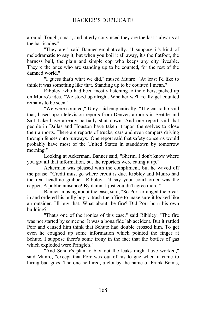around. Tough, smart, and utterly convinced they are the last stalwarts at the barricades."

"They are," said Banner emphatically. "I suppose it's kind of melodramatic to say it, but when you boil it all away, it's the flatfoot, the harness bull, the plain and simple cop who keeps any city liveable. They're the ones who are standing up to be counted, for the rest of the damned world."

"I guess that's what we did," mused Munro. "At least I'd like to think it was something like that. Standing up to be counted I mean."

Ribbley, who had been mostly listening to the others, picked up on Munro's idea. "We stood up alright. Whether we'll really get counted remains to be seen."

"We were counted," Urey said emphatically. "The car radio said that, based upon television reports from Denver, airports in Seattle and Salt Lake have already partially shut down. And one report said that people in Dallas and Houston have taken it upon themselves to close their airports. There are reports of trucks, cars and even campers driving through fences onto runways. One report said that safety concerns would probably have most of the United States in standdown by tomorrow morning."

Looking at Ackerman, Banner said, "Sherm, I don't know where you got all that information, but the reporters were eating it up."

Ackerman was pleased with the compliment, but he waved off the praise. "Credit must go where credit is due. Ribbley and Munro had the real headline grabber. Ribbley, I'd say your court order was the capper. A public nuisance! By damn, I just couldn't agree more."

Banner, musing about the case, said, "So Porr arranged the break in and ordered his bully boy to trash the office to make sure it looked like an outsider. I'll buy that. What about the fire? Did Porr burn his own building?"

"That's one of the ironies of this case," said Ribbley, "The fire was not started by someone. It was a bona fide lab accident. But it rattled Porr and caused him think that Schute had double crossed him. To get even he coughed up some information which pointed the finger at Schute. I suppose there's some irony in the fact that the bottles of gas which exploded were Pringle's."

"And Schute's plan to blot out the leaks might have worked," said Munro, "except that Porr was out of his league when it came to hiring bad guys. The one he hired, a clot by the name of Frank Bemis,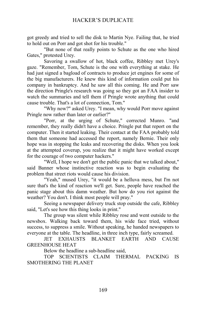got greedy and tried to sell the disk to Martin Nye. Failing that, he tried to hold out on Porr and got shot for his trouble."

"But none of that really points to Schute as the one who hired Gates," protested Urey.

Savoring a swallow of hot, black coffee, Ribbley met Urey's gaze. "Remember, Tom, Schute is the one with everything at stake. He had just signed a bagload of contracts to produce jet engines for some of the big manufacturers. He knew this kind of information could put his company in bankruptcy. And he saw all this coming. He and Porr saw the direction Pringle's research was going so they got an FAA insider to watch the summaries and tell them if Pringle wrote anything that could cause trouble. That's a lot of connection, Tom."

"Why now?" asked Urey. "I mean, why would Porr move against Pringle now rather than later or earlier?"

"Porr, at the urging of Schute," corrected Munro. "and remember, they really didn't have a choice. Pringle put that report on the computer. Then it started leaking. Their contact at the FAA probably told them that someone had accessed the report, namely Bernie. Their only hope was in stopping the leaks and recovering the disks. When you look at the attempted coverup, you realize that it might have worked except for the courage of two computer hackers."

"Well, I hope we don't get the public panic that we talked about," said Banner whose instinctive reaction was to begin evaluating the problem that street riots would cause his division.

"Yeah," mused Urey, "it would be a helluva mess, but I'm not sure that's the kind of reaction we'll get. Sure, people have reached the panic stage about this damn weather. But how do you riot against the weather? You don't. I think most people will pray."

Seeing a newspaper delivery truck stop outside the cafe, Ribbley said, "Let's see how this thing looks in print."

The group was silent while Ribbley rose and went outside to the newsbox. Walking back toward them, his wide face tried, without success, to suppress a smile. Without speaking, he handed newspapers to everyone at the table. The headline, in three inch type, fairly screamed.

JET EXHAUSTS BLANKET EARTH AND CAUSE GREENHOUSE HEAT

Below the headline a sub-headline said,

TOP SCIENTISTS CLAIM THERMAL PACKING IS SMOTHERING THE PLANET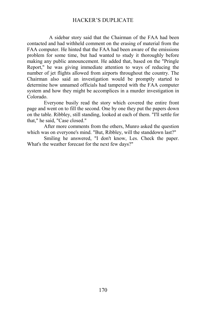A sidebar story said that the Chairman of the FAA had been contacted and had withheld comment on the erasing of material from the FAA computer. He hinted that the FAA had been aware of the emissions problem for some time, but had wanted to study it thoroughly before making any public announcement. He added that, based on the "Pringle Report," he was giving immediate attention to ways of reducing the number of jet flights allowed from airports throughout the country. The Chairman also said an investigation would be promptly started to determine how unnamed officials had tampered with the FAA computer system and how they might be accomplices in a murder investigation in Colorado.

Everyone busily read the story which covered the entire front page and went on to fill the second. One by one they put the papers down on the table. Ribbley, still standing, looked at each of them. "I'll settle for that," he said, "Case closed."

After more comments from the others, Munro asked the question which was on everyone's mind. "But, Ribbley, will the standdown last?"

Smiling he answered, "I don't know, Les. Check the paper. What's the weather forecast for the next few days?"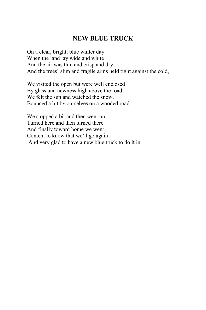## **NEW BLUE TRUCK**

On a clear, bright, blue winter day When the land lay wide and white And the air was thin and crisp and dry And the trees' slim and fragile arms held tight against the cold,

We visited the open but were well enclosed By glass and newness high above the road; We felt the sun and watched the snow, Bounced a bit by ourselves on a wooded road

We stopped a bit and then went on Turned here and then turned there And finally toward home we went Content to know that we'll go again And very glad to have a new blue truck to do it in.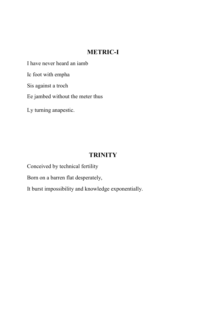## **METRIC-I**

I have never heard an iamb

Ic foot with empha

Sis against a troch

Ee jambed without the meter thus

Ly turning anapestic.

# **TRINITY**

Conceived by technical fertility

Born on a barren flat desperately,

It burst impossibility and knowledge exponentially.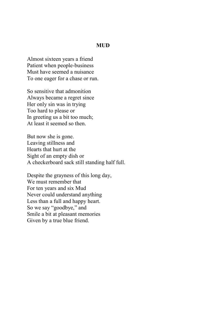#### **MUD**

Almost sixteen years a friend Patient when people-business Must have seemed a nuisance To one eager for a chase or run.

So sensitive that admonition Always became a regret since Her only sin was in trying Too hard to please or In greeting us a bit too much; At least it seemed so then.

But now she is gone. Leaving stillness and Hearts that hurt at the Sight of an empty dish or A checkerboard sack still standing half full.

Despite the grayness of this long day, We must remember that For ten years and six Mud Never could understand anything Less than a full and happy heart. So we say "goodbye," and Smile a bit at pleasant memories Given by a true blue friend.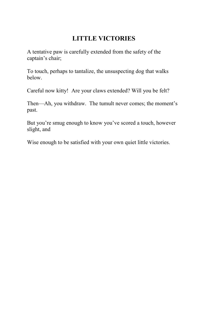## **LITTLE VICTORIES**

A tentative paw is carefully extended from the safety of the captain's chair;

To touch, perhaps to tantalize, the unsuspecting dog that walks below.

Careful now kitty! Are your claws extended? Will you be felt?

Then—Ah, you withdraw. The tumult never comes; the moment's past.

But you're smug enough to know you've scored a touch, however slight, and

Wise enough to be satisfied with your own quiet little victories.